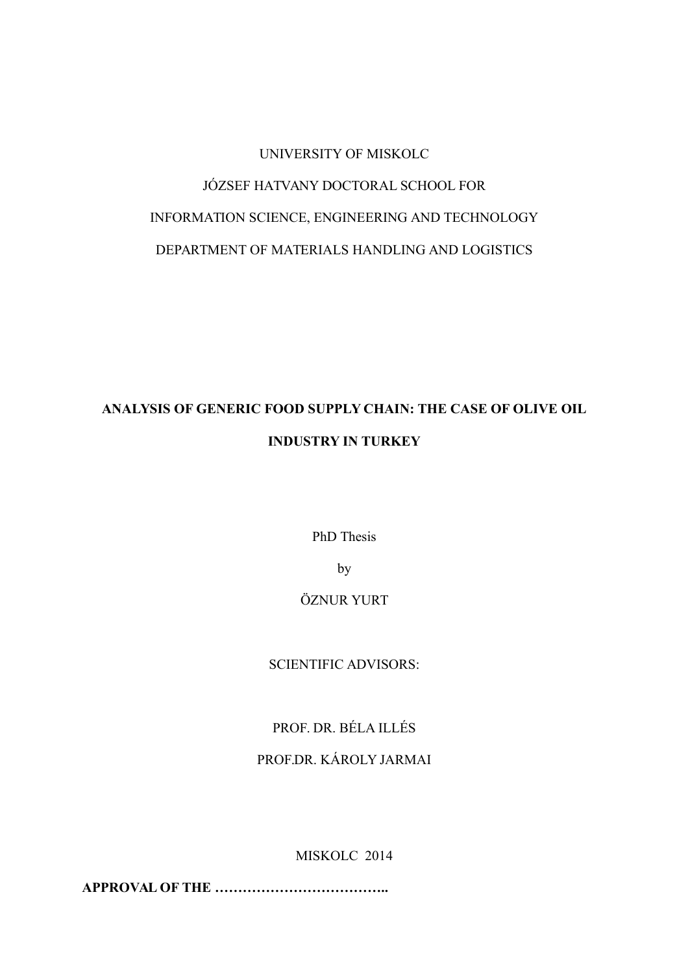# UNIVERSITY OF MISKOLC JÓZSEF HATVANY DOCTORAL SCHOOL FOR INFORMATION SCIENCE, ENGINEERING AND TECHNOLOGY DEPARTMENT OF MATERIALS HANDLING AND LOGISTICS

## **ANALYSIS OF GENERIC FOOD SUPPLY CHAIN: THE CASE OF OLIVE OIL INDUSTRY IN TURKEY**

PhD Thesis

by

#### ÖZNUR YURT

SCIENTIFIC ADVISORS:

## PROF. DR. BÉLA ILLÉS

### PROF.DR. KÁROLY JARMAI

MISKOLC 2014

**APPROVAL OF THE ………………………………..**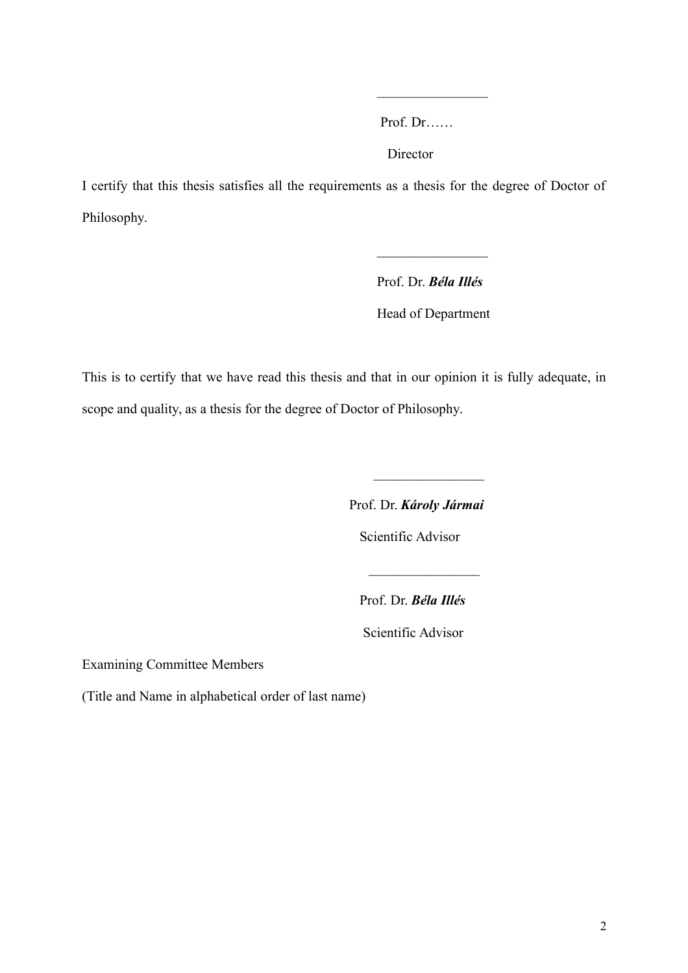Prof. Dr……

 $\frac{1}{2}$ 

**Director** 

I certify that this thesis satisfies all the requirements as a thesis for the degree of Doctor of Philosophy.

 $\mathcal{L}_\text{max}$  and  $\mathcal{L}_\text{max}$  are the set of the set of the set of the set of the set of the set of the set of the set of the set of the set of the set of the set of the set of the set of the set of the set of the set o

 Prof. Dr. *Béla Illés* Head of Department

This is to certify that we have read this thesis and that in our opinion it is fully adequate, in scope and quality, as a thesis for the degree of Doctor of Philosophy.

 $\mathcal{L}_\text{max}$  and  $\mathcal{L}_\text{max}$  and  $\mathcal{L}_\text{max}$  and  $\mathcal{L}_\text{max}$ 

Prof. Dr. *Károly Jármai*

 $\frac{1}{2}$ 

Scientific Advisor

Prof. Dr. *Béla Illés*

Scientific Advisor

Examining Committee Members

(Title and Name in alphabetical order of last name)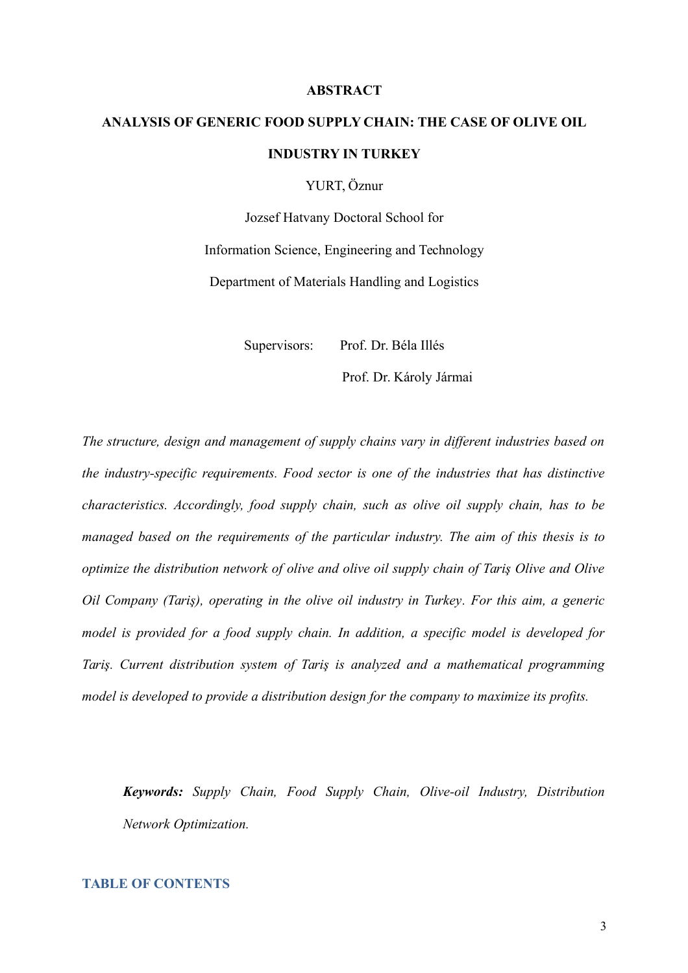#### <span id="page-2-0"></span>**ABSTRACT**

## **ANALYSIS OF GENERIC FOOD SUPPLY CHAIN: THE CASE OF OLIVE OIL INDUSTRY IN TURKEY**

YURT, Öznur

Jozsef Hatvany Doctoral School for Information Science, Engineering and Technology Department of Materials Handling and Logistics

Supervisors: Prof. Dr. Béla Illés

Prof. Dr. Károly Jármai

*The structure, design and management of supply chains vary in different industries based on the industry-specific requirements. Food sector is one of the industries that has distinctive characteristics. Accordingly, food supply chain, such as olive oil supply chain, has to be managed based on the requirements of the particular industry. The aim of this thesis is to optimize the distribution network of olive and olive oil supply chain of Tariş Olive and Olive Oil Company (Tariş), operating in the olive oil industry in Turkey. For this aim, a generic model is provided for a food supply chain. In addition, a specific model is developed for Tariş. Current distribution system of Tariş is analyzed and a mathematical programming model is developed to provide a distribution design for the company to maximize its profits.*

*Keywords: Supply Chain, Food Supply Chain, Olive-oil Industry, Distribution Network Optimization.*

#### **TABLE OF CONTENTS**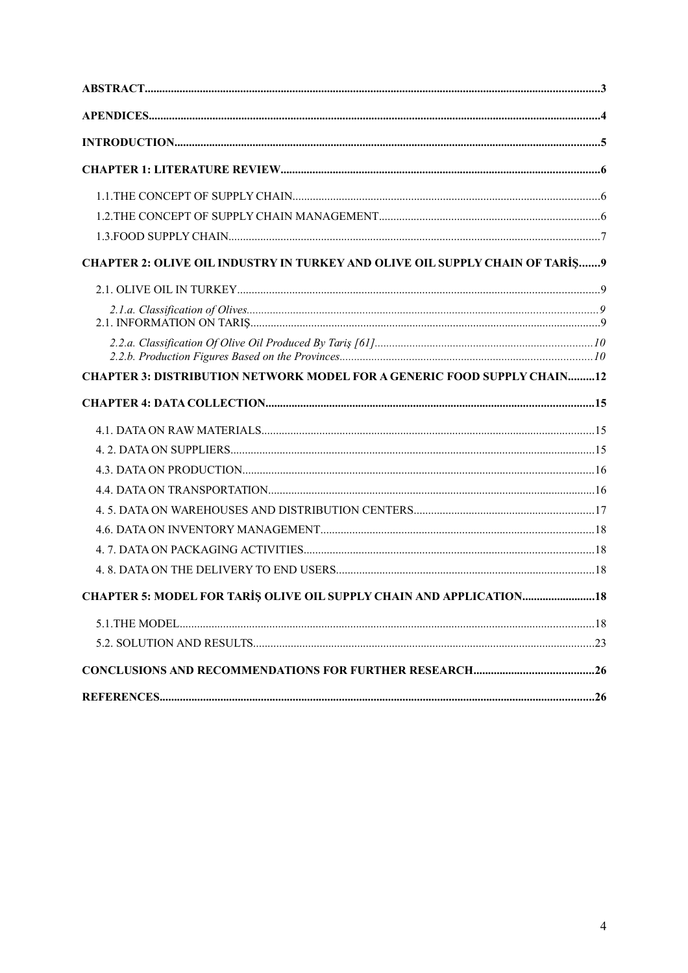| CHAPTER 2: OLIVE OIL INDUSTRY IN TURKEY AND OLIVE OIL SUPPLY CHAIN OF TARIS 9  |  |
|--------------------------------------------------------------------------------|--|
|                                                                                |  |
|                                                                                |  |
|                                                                                |  |
| <b>CHAPTER 3: DISTRIBUTION NETWORK MODEL FOR A GENERIC FOOD SUPPLY CHAIN12</b> |  |
|                                                                                |  |
|                                                                                |  |
|                                                                                |  |
|                                                                                |  |
|                                                                                |  |
|                                                                                |  |
|                                                                                |  |
|                                                                                |  |
|                                                                                |  |
|                                                                                |  |
| CHAPTER 5: MODEL FOR TARIS OLIVE OIL SUPPLY CHAIN AND APPLICATION              |  |
|                                                                                |  |
|                                                                                |  |
|                                                                                |  |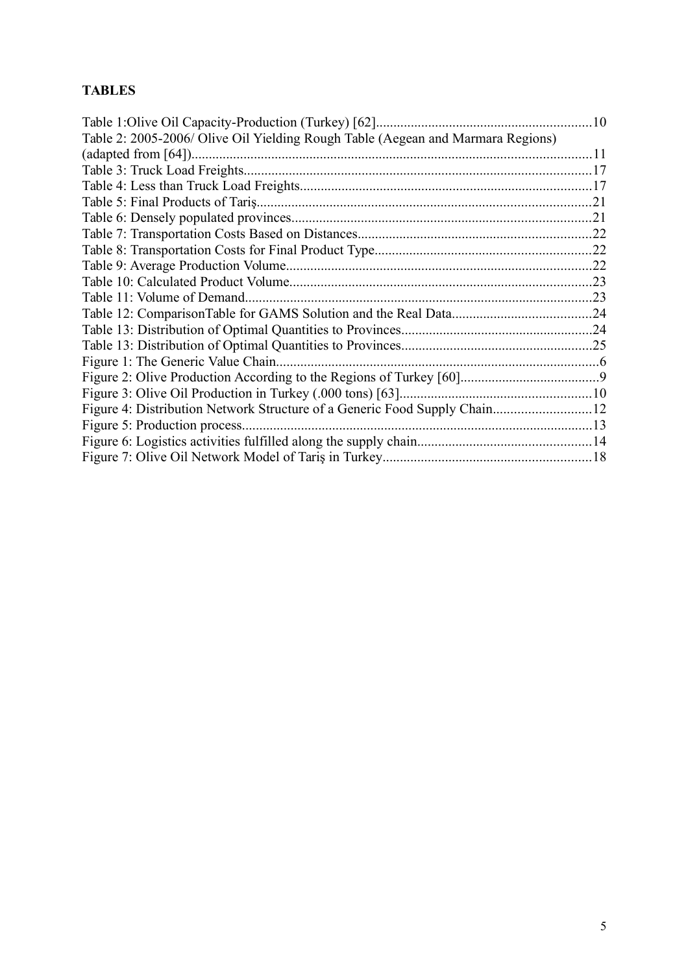## **TABLES**

|                                                                                 | $\ldots$ 10 |
|---------------------------------------------------------------------------------|-------------|
| Table 2: 2005-2006/ Olive Oil Yielding Rough Table (Aegean and Marmara Regions) |             |
|                                                                                 |             |
|                                                                                 | 17          |
|                                                                                 |             |
|                                                                                 |             |
|                                                                                 |             |
|                                                                                 |             |
|                                                                                 | .22         |
|                                                                                 |             |
|                                                                                 |             |
| Table 11: Volume of Demand                                                      |             |
|                                                                                 |             |
|                                                                                 |             |
|                                                                                 |             |
| Figure 1: The Generic Value Chain.                                              |             |
|                                                                                 |             |
| Figure 3: Olive Oil Production in Turkey (.000 tons) [63]                       |             |
| Figure 4: Distribution Network Structure of a Generic Food Supply Chain12       |             |
| Figure 5: Production process                                                    |             |
|                                                                                 |             |
|                                                                                 |             |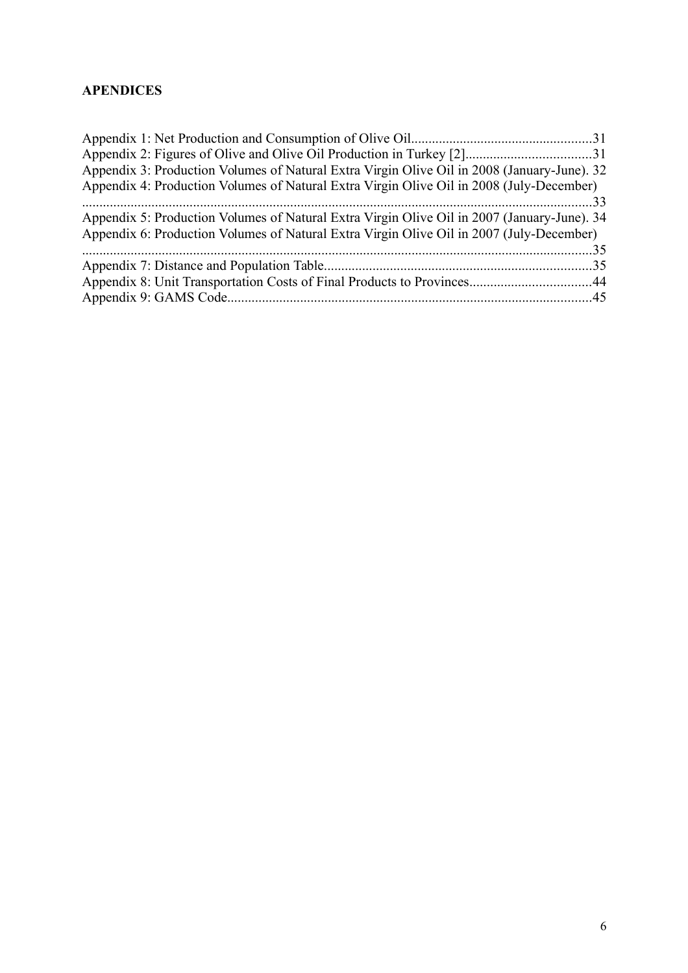#### <span id="page-5-0"></span>**APENDICES**

| Appendix 3: Production Volumes of Natural Extra Virgin Olive Oil in 2008 (January-June). 32 |  |
|---------------------------------------------------------------------------------------------|--|
| Appendix 4: Production Volumes of Natural Extra Virgin Olive Oil in 2008 (July-December)    |  |
|                                                                                             |  |
| Appendix 5: Production Volumes of Natural Extra Virgin Olive Oil in 2007 (January-June). 34 |  |
| Appendix 6: Production Volumes of Natural Extra Virgin Olive Oil in 2007 (July-December)    |  |
|                                                                                             |  |
|                                                                                             |  |
|                                                                                             |  |
|                                                                                             |  |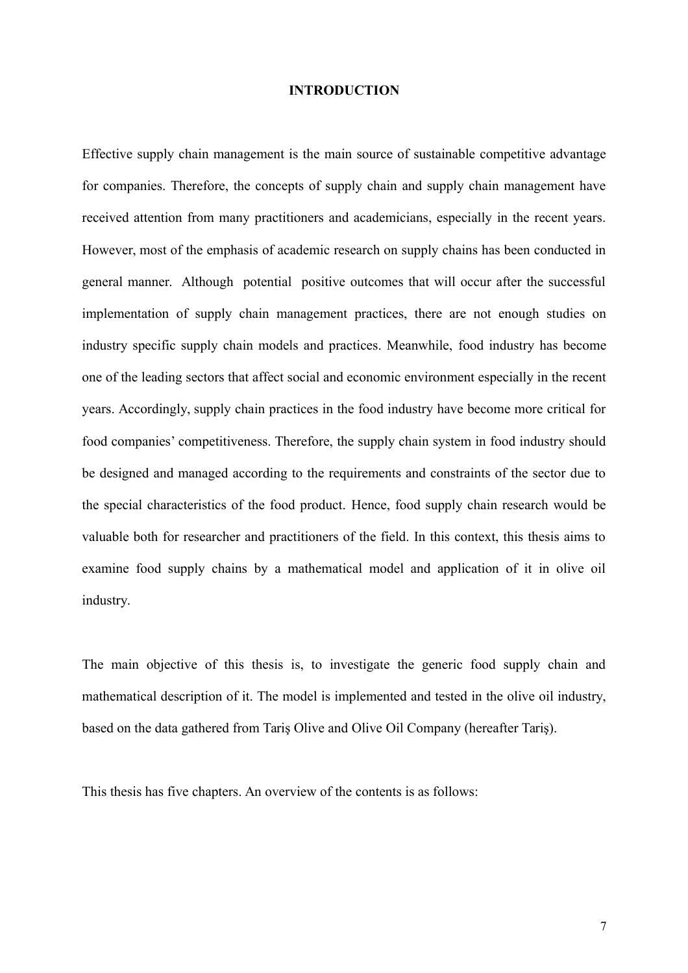#### <span id="page-6-0"></span>**INTRODUCTION**

Effective supply chain management is the main source of sustainable competitive advantage for companies. Therefore, the concepts of supply chain and supply chain management have received attention from many practitioners and academicians, especially in the recent years. However, most of the emphasis of academic research on supply chains has been conducted in general manner. Although potential positive outcomes that will occur after the successful implementation of supply chain management practices, there are not enough studies on industry specific supply chain models and practices. Meanwhile, food industry has become one of the leading sectors that affect social and economic environment especially in the recent years. Accordingly, supply chain practices in the food industry have become more critical for food companies' competitiveness. Therefore, the supply chain system in food industry should be designed and managed according to the requirements and constraints of the sector due to the special characteristics of the food product. Hence, food supply chain research would be valuable both for researcher and practitioners of the field. In this context, this thesis aims to examine food supply chains by a mathematical model and application of it in olive oil industry.

The main objective of this thesis is, to investigate the generic food supply chain and mathematical description of it. The model is implemented and tested in the olive oil industry, based on the data gathered from Tariş Olive and Olive Oil Company (hereafter Tariş).

This thesis has five chapters. An overview of the contents is as follows: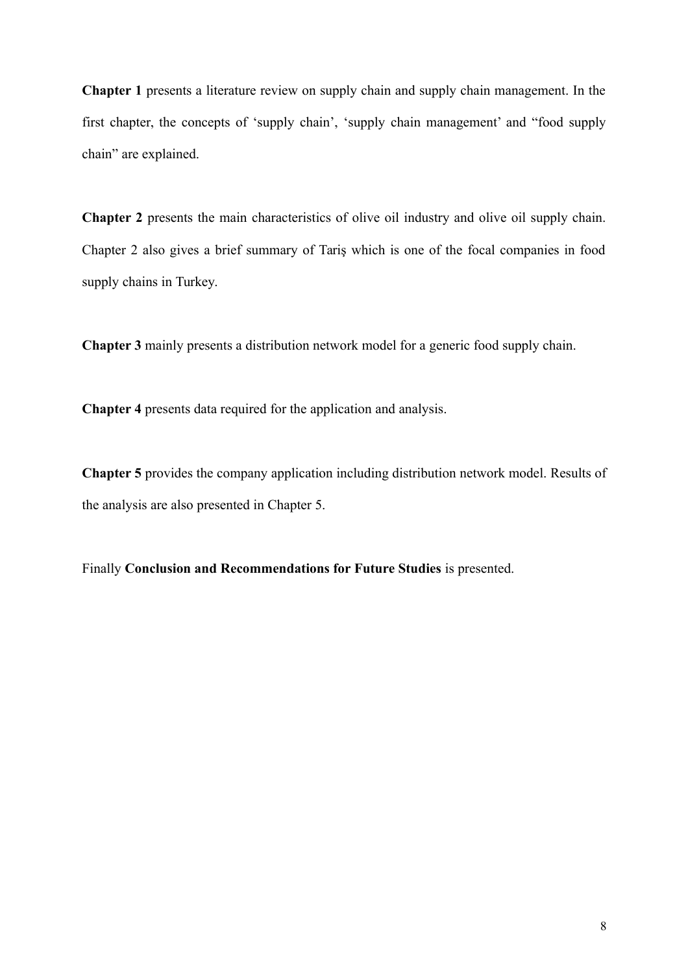**Chapter 1** presents a literature review on supply chain and supply chain management. In the first chapter, the concepts of 'supply chain', 'supply chain management' and "food supply chain" are explained.

**Chapter 2** presents the main characteristics of olive oil industry and olive oil supply chain. Chapter 2 also gives a brief summary of Tariş which is one of the focal companies in food supply chains in Turkey.

**Chapter 3** mainly presents a distribution network model for a generic food supply chain.

**Chapter 4** presents data required for the application and analysis.

**Chapter 5** provides the company application including distribution network model. Results of the analysis are also presented in Chapter 5.

Finally **Conclusion and Recommendations for Future Studies** is presented.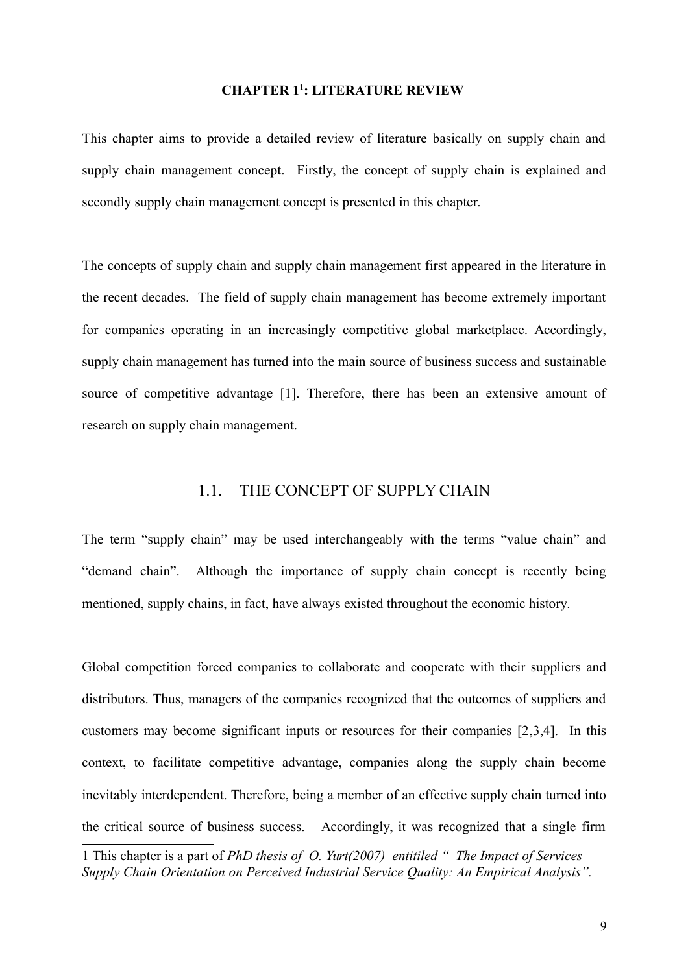#### <span id="page-8-0"></span>**CHAPTER 1[1](#page-8-2) : LITERATURE REVIEW**

This chapter aims to provide a detailed review of literature basically on supply chain and supply chain management concept. Firstly, the concept of supply chain is explained and secondly supply chain management concept is presented in this chapter.

The concepts of supply chain and supply chain management first appeared in the literature in the recent decades. The field of supply chain management has become extremely important for companies operating in an increasingly competitive global marketplace. Accordingly, supply chain management has turned into the main source of business success and sustainable source of competitive advantage [1]. Therefore, there has been an extensive amount of research on supply chain management.

#### <span id="page-8-1"></span>1.1. THE CONCEPT OF SUPPLY CHAIN

The term "supply chain" may be used interchangeably with the terms "value chain" and "demand chain". Although the importance of supply chain concept is recently being mentioned, supply chains, in fact, have always existed throughout the economic history.

Global competition forced companies to collaborate and cooperate with their suppliers and distributors. Thus, managers of the companies recognized that the outcomes of suppliers and customers may become significant inputs or resources for their companies [2,3,4]. In this context, to facilitate competitive advantage, companies along the supply chain become inevitably interdependent. Therefore, being a member of an effective supply chain turned into the critical source of business success. Accordingly, it was recognized that a single firm

<span id="page-8-2"></span><sup>1</sup> This chapter is a part of *PhD thesis of O. Yurt(2007) entitiled " The Impact of Services Supply Chain Orientation on Perceived Industrial Service Quality: An Empirical Analysis".*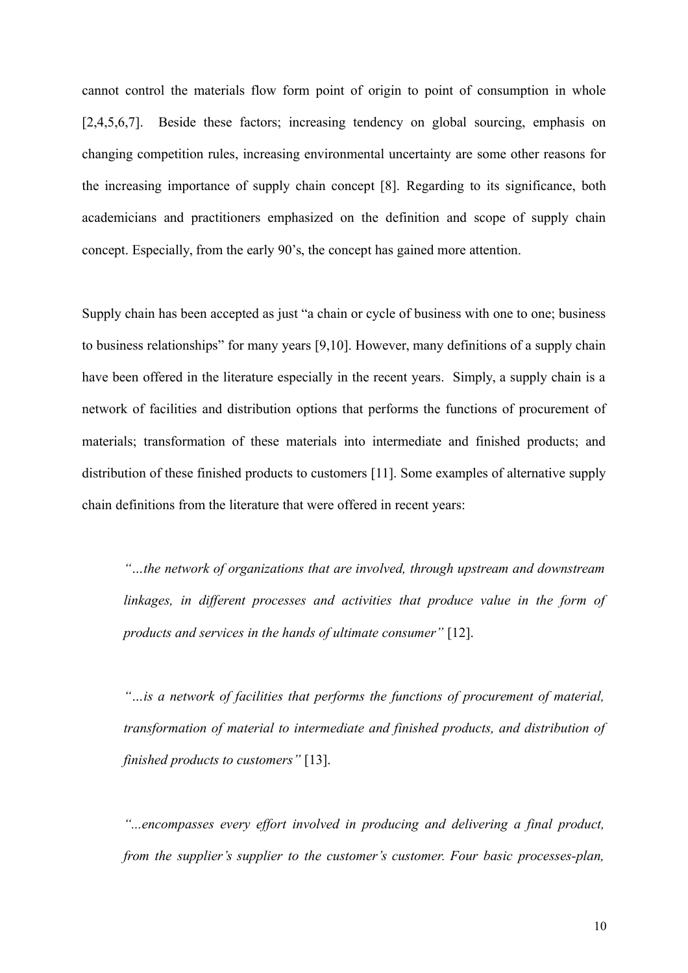cannot control the materials flow form point of origin to point of consumption in whole [2,4,5,6,7]. Beside these factors; increasing tendency on global sourcing, emphasis on changing competition rules, increasing environmental uncertainty are some other reasons for the increasing importance of supply chain concept [8]. Regarding to its significance, both academicians and practitioners emphasized on the definition and scope of supply chain concept. Especially, from the early 90's, the concept has gained more attention.

Supply chain has been accepted as just "a chain or cycle of business with one to one; business to business relationships" for many years [9,10]. However, many definitions of a supply chain have been offered in the literature especially in the recent years. Simply, a supply chain is a network of facilities and distribution options that performs the functions of procurement of materials; transformation of these materials into intermediate and finished products; and distribution of these finished products to customers [11]. Some examples of alternative supply chain definitions from the literature that were offered in recent years:

*"…the network of organizations that are involved, through upstream and downstream linkages, in different processes and activities that produce value in the form of products and services in the hands of ultimate consumer"* [12].

*"…is a network of facilities that performs the functions of procurement of material, transformation of material to intermediate and finished products, and distribution of finished products to customers"* [13].

*"...encompasses every effort involved in producing and delivering a final product, from the supplier's supplier to the customer's customer. Four basic processes-plan,*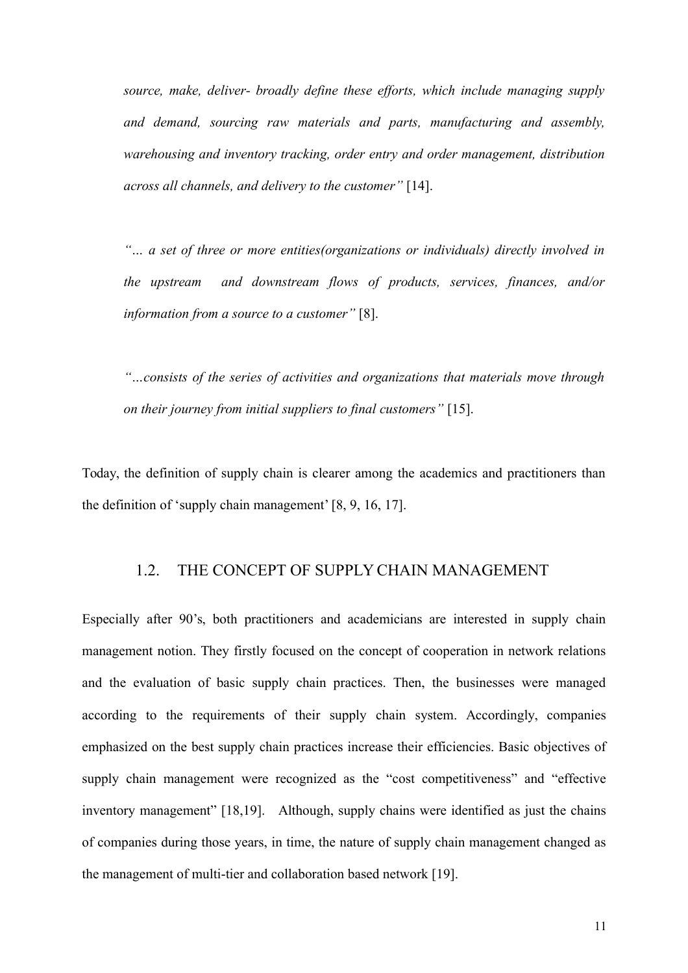*source, make, deliver- broadly define these efforts, which include managing supply and demand, sourcing raw materials and parts, manufacturing and assembly, warehousing and inventory tracking, order entry and order management, distribution across all channels, and delivery to the customer"* [14].

*"… a set of three or more entities(organizations or individuals) directly involved in the upstream and downstream flows of products, services, finances, and/or information from a source to a customer"* [8].

*"…consists of the series of activities and organizations that materials move through on their journey from initial suppliers to final customers"* [15].

Today, the definition of supply chain is clearer among the academics and practitioners than the definition of 'supply chain management' [8, 9, 16, 17].

#### <span id="page-10-0"></span>1.2. THE CONCEPT OF SUPPLY CHAIN MANAGEMENT

Especially after 90's, both practitioners and academicians are interested in supply chain management notion. They firstly focused on the concept of cooperation in network relations and the evaluation of basic supply chain practices. Then, the businesses were managed according to the requirements of their supply chain system. Accordingly, companies emphasized on the best supply chain practices increase their efficiencies. Basic objectives of supply chain management were recognized as the "cost competitiveness" and "effective inventory management" [18,19]. Although, supply chains were identified as just the chains of companies during those years, in time, the nature of supply chain management changed as the management of multi-tier and collaboration based network [19].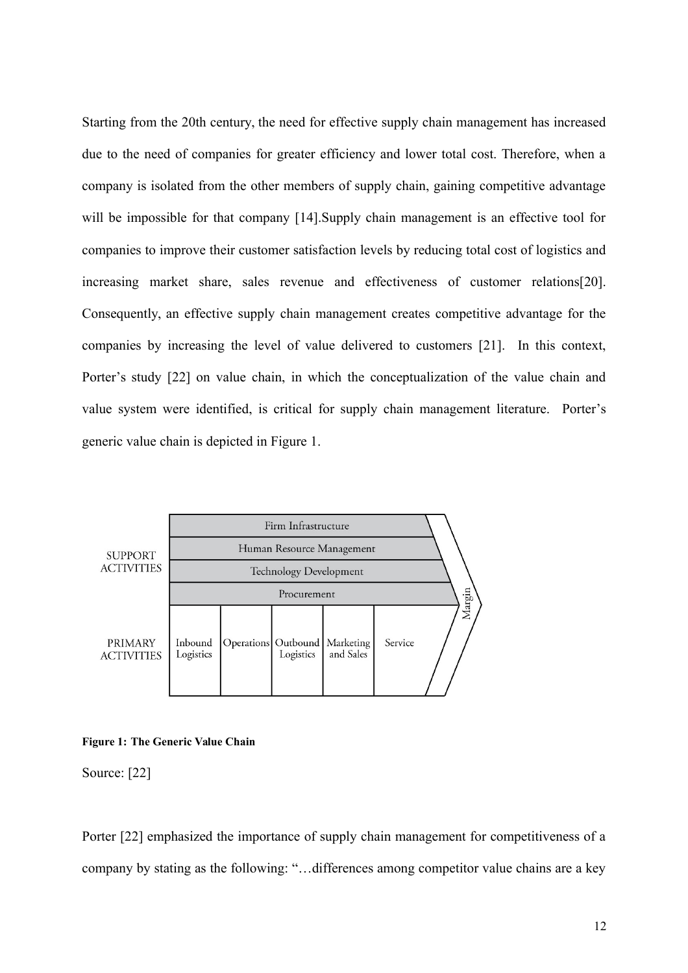Starting from the 20th century, the need for effective supply chain management has increased due to the need of companies for greater efficiency and lower total cost. Therefore, when a company is isolated from the other members of supply chain, gaining competitive advantage will be impossible for that company [14].Supply chain management is an effective tool for companies to improve their customer satisfaction levels by reducing total cost of logistics and increasing market share, sales revenue and effectiveness of customer relations[20]. Consequently, an effective supply chain management creates competitive advantage for the companies by increasing the level of value delivered to customers [21]. In this context, Porter's study [22] on value chain, in which the conceptualization of the value chain and value system were identified, is critical for supply chain management literature. Porter's generic value chain is depicted in Figure 1.



#### <span id="page-11-0"></span>**Figure 1: The Generic Value Chain**

Source: [22]

Porter [22] emphasized the importance of supply chain management for competitiveness of a company by stating as the following: "…differences among competitor value chains are a key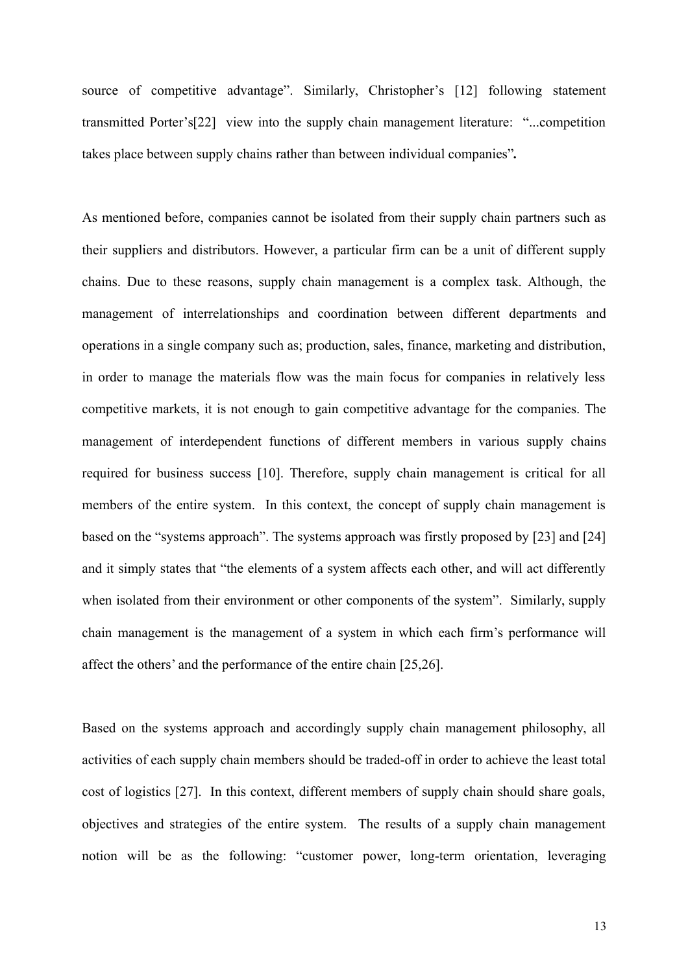source of competitive advantage". Similarly, Christopher's [12] following statement transmitted Porter's[22] view into the supply chain management literature: "...competition takes place between supply chains rather than between individual companies"*.* 

As mentioned before, companies cannot be isolated from their supply chain partners such as their suppliers and distributors. However, a particular firm can be a unit of different supply chains. Due to these reasons, supply chain management is a complex task. Although, the management of interrelationships and coordination between different departments and operations in a single company such as; production, sales, finance, marketing and distribution, in order to manage the materials flow was the main focus for companies in relatively less competitive markets, it is not enough to gain competitive advantage for the companies. The management of interdependent functions of different members in various supply chains required for business success [10]. Therefore, supply chain management is critical for all members of the entire system. In this context, the concept of supply chain management is based on the "systems approach". The systems approach was firstly proposed by [23] and [24] and it simply states that "the elements of a system affects each other, and will act differently when isolated from their environment or other components of the system". Similarly, supply chain management is the management of a system in which each firm's performance will affect the others' and the performance of the entire chain [25,26].

Based on the systems approach and accordingly supply chain management philosophy, all activities of each supply chain members should be traded-off in order to achieve the least total cost of logistics [27]. In this context, different members of supply chain should share goals, objectives and strategies of the entire system. The results of a supply chain management notion will be as the following: "customer power, long-term orientation, leveraging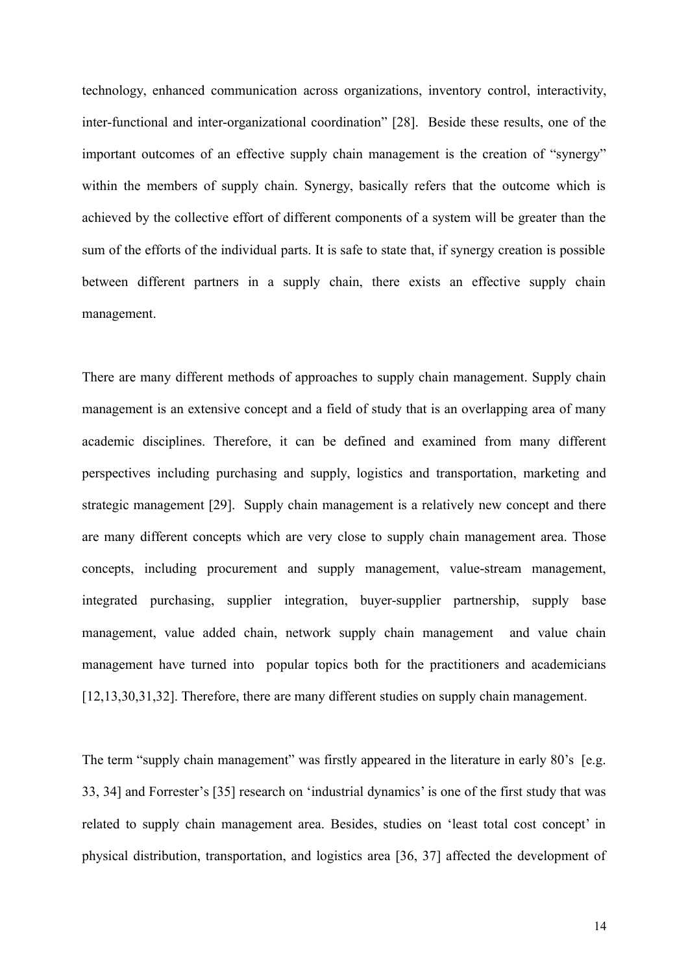technology, enhanced communication across organizations, inventory control, interactivity, inter-functional and inter-organizational coordination" [28]. Beside these results, one of the important outcomes of an effective supply chain management is the creation of "synergy" within the members of supply chain. Synergy, basically refers that the outcome which is achieved by the collective effort of different components of a system will be greater than the sum of the efforts of the individual parts. It is safe to state that, if synergy creation is possible between different partners in a supply chain, there exists an effective supply chain management.

There are many different methods of approaches to supply chain management. Supply chain management is an extensive concept and a field of study that is an overlapping area of many academic disciplines. Therefore, it can be defined and examined from many different perspectives including purchasing and supply, logistics and transportation, marketing and strategic management [29]. Supply chain management is a relatively new concept and there are many different concepts which are very close to supply chain management area. Those concepts, including procurement and supply management, value-stream management, integrated purchasing, supplier integration, buyer-supplier partnership, supply base management, value added chain, network supply chain management and value chain management have turned into popular topics both for the practitioners and academicians [12,13,30,31,32]. Therefore, there are many different studies on supply chain management.

The term "supply chain management" was firstly appeared in the literature in early 80's [e.g. 33, 34] and Forrester's [35] research on 'industrial dynamics' is one of the first study that was related to supply chain management area. Besides, studies on 'least total cost concept' in physical distribution, transportation, and logistics area [36, 37] affected the development of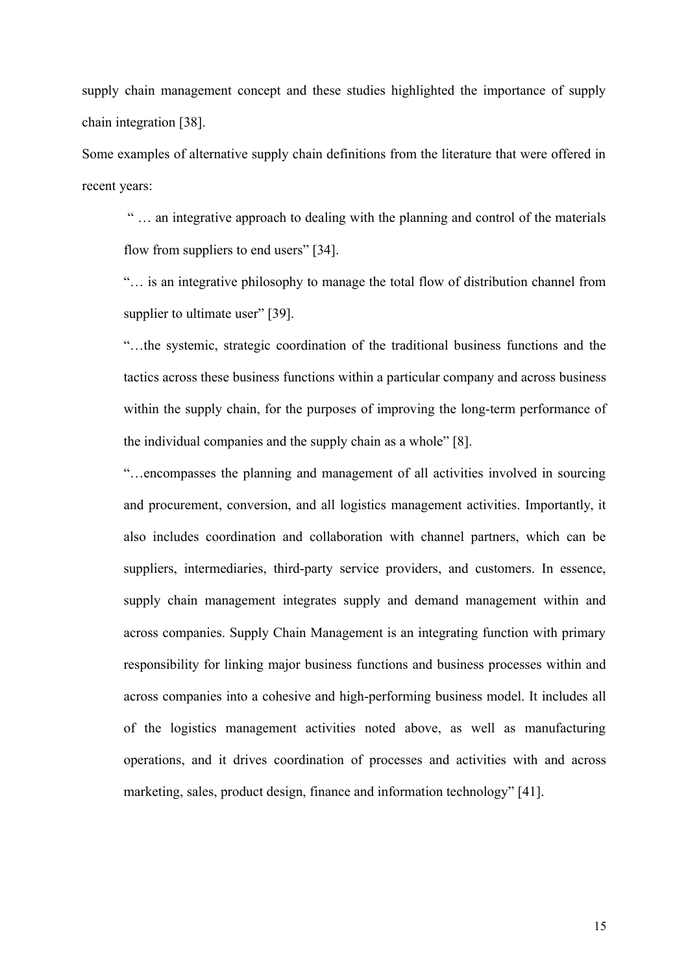supply chain management concept and these studies highlighted the importance of supply chain integration [38].

Some examples of alternative supply chain definitions from the literature that were offered in recent years:

 " … an integrative approach to dealing with the planning and control of the materials flow from suppliers to end users" [34].

"… is an integrative philosophy to manage the total flow of distribution channel from supplier to ultimate user" [39].

"…the systemic, strategic coordination of the traditional business functions and the tactics across these business functions within a particular company and across business within the supply chain, for the purposes of improving the long-term performance of the individual companies and the supply chain as a whole" [8].

"…encompasses the planning and management of all activities involved in sourcing and procurement, conversion, and all logistics management activities. Importantly, it also includes coordination and collaboration with channel partners, which can be suppliers, intermediaries, third-party service providers, and customers. In essence, supply chain management integrates supply and demand management within and across companies. Supply Chain Management is an integrating function with primary responsibility for linking major business functions and business processes within and across companies into a cohesive and high-performing business model. It includes all of the logistics management activities noted above, as well as manufacturing operations, and it drives coordination of processes and activities with and across marketing, sales, product design, finance and information technology" [41].

15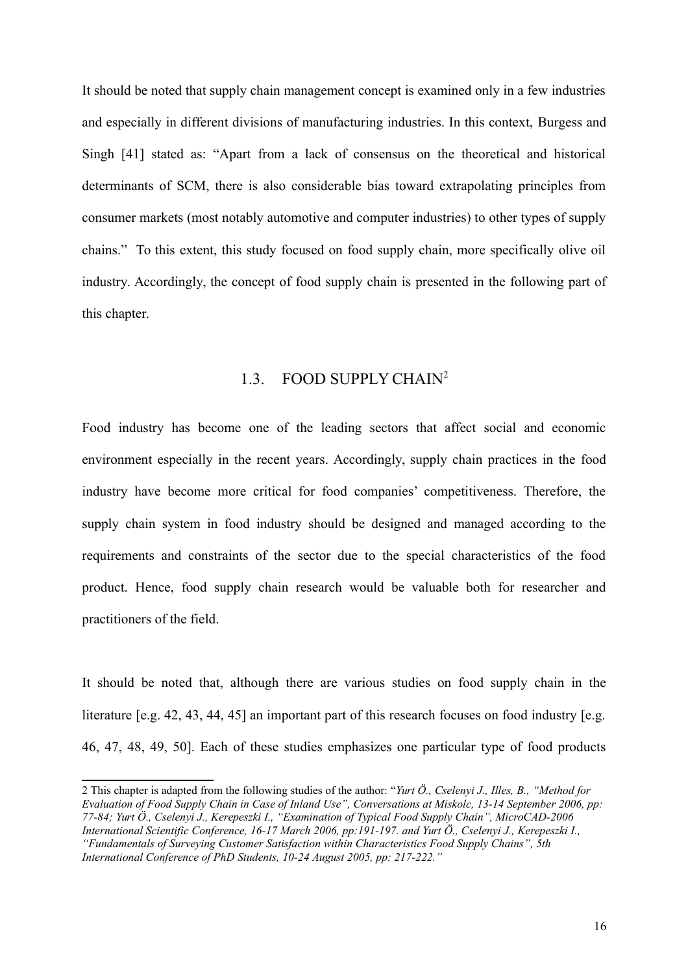It should be noted that supply chain management concept is examined only in a few industries and especially in different divisions of manufacturing industries. In this context, Burgess and Singh [41] stated as: "Apart from a lack of consensus on the theoretical and historical determinants of SCM, there is also considerable bias toward extrapolating principles from consumer markets (most notably automotive and computer industries) to other types of supply chains." To this extent, this study focused on food supply chain, more specifically olive oil industry. Accordingly, the concept of food supply chain is presented in the following part of this chapter.

#### <span id="page-15-0"></span>1.3. FOOD SUPPLY CHAIN[2](#page-15-1)

Food industry has become one of the leading sectors that affect social and economic environment especially in the recent years. Accordingly, supply chain practices in the food industry have become more critical for food companies' competitiveness. Therefore, the supply chain system in food industry should be designed and managed according to the requirements and constraints of the sector due to the special characteristics of the food product. Hence, food supply chain research would be valuable both for researcher and practitioners of the field.

It should be noted that, although there are various studies on food supply chain in the literature [e.g. 42, 43, 44, 45] an important part of this research focuses on food industry [e.g. 46, 47, 48, 49, 50]. Each of these studies emphasizes one particular type of food products

<span id="page-15-1"></span><sup>2</sup> This chapter is adapted from the following studies of the author: "*Yurt Ö., Cselenyi J., Illes, B., "Method for Evaluation of Food Supply Chain in Case of Inland Use", Conversations at Miskolc, 13-14 September 2006, pp: 77-84; Yurt Ö., Cselenyi J., Kerepeszki I., "Examination of Typical Food Supply Chain", MicroCAD-2006 International Scientific Conference, 16-17 March 2006, pp:191-197. and Yurt Ö., Cselenyi J., Kerepeszki I., "Fundamentals of Surveying Customer Satisfaction within Characteristics Food Supply Chains", 5th International Conference of PhD Students, 10-24 August 2005, pp: 217-222."*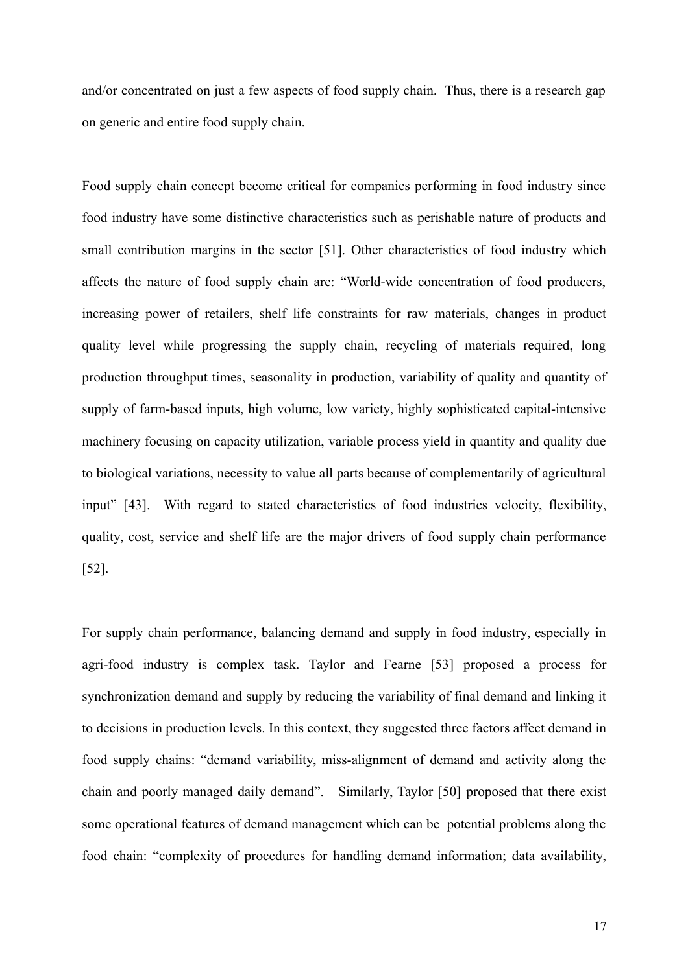and/or concentrated on just a few aspects of food supply chain. Thus, there is a research gap on generic and entire food supply chain.

Food supply chain concept become critical for companies performing in food industry since food industry have some distinctive characteristics such as perishable nature of products and small contribution margins in the sector [51]. Other characteristics of food industry which affects the nature of food supply chain are: "World-wide concentration of food producers, increasing power of retailers, shelf life constraints for raw materials, changes in product quality level while progressing the supply chain, recycling of materials required, long production throughput times, seasonality in production, variability of quality and quantity of supply of farm-based inputs, high volume, low variety, highly sophisticated capital-intensive machinery focusing on capacity utilization, variable process yield in quantity and quality due to biological variations, necessity to value all parts because of complementarily of agricultural input" [43]. With regard to stated characteristics of food industries velocity, flexibility, quality, cost, service and shelf life are the major drivers of food supply chain performance [52].

For supply chain performance, balancing demand and supply in food industry, especially in agri-food industry is complex task. Taylor and Fearne [53] proposed a process for synchronization demand and supply by reducing the variability of final demand and linking it to decisions in production levels. In this context, they suggested three factors affect demand in food supply chains: "demand variability, miss-alignment of demand and activity along the chain and poorly managed daily demand". Similarly, Taylor [50] proposed that there exist some operational features of demand management which can be potential problems along the food chain: "complexity of procedures for handling demand information; data availability,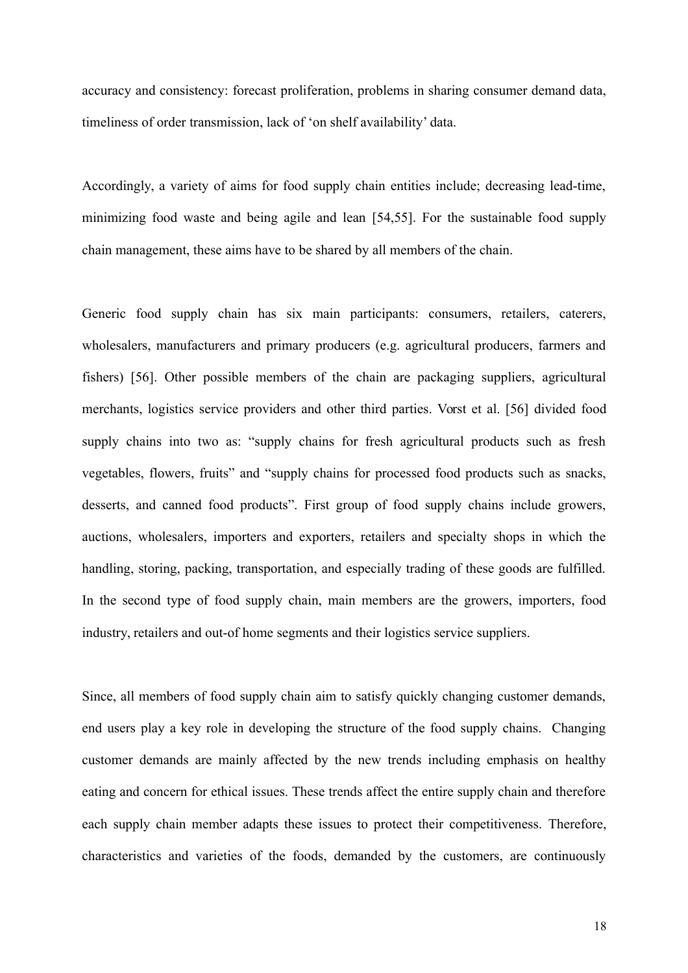accuracy and consistency: forecast proliferation, problems in sharing consumer demand data, timeliness of order transmission, lack of 'on shelf availability' data.

Accordingly, a variety of aims for food supply chain entities include; decreasing lead-time, minimizing food waste and being agile and lean [54,55]. For the sustainable food supply chain management, these aims have to be shared by all members of the chain.

Generic food supply chain has six main participants: consumers, retailers, caterers, wholesalers, manufacturers and primary producers (e.g. agricultural producers, farmers and fishers) [56]. Other possible members of the chain are packaging suppliers, agricultural merchants, logistics service providers and other third parties. Vorst et al. [56] divided food supply chains into two as: "supply chains for fresh agricultural products such as fresh vegetables, flowers, fruits" and "supply chains for processed food products such as snacks, desserts, and canned food products". First group of food supply chains include growers, auctions, wholesalers, importers and exporters, retailers and specialty shops in which the handling, storing, packing, transportation, and especially trading of these goods are fulfilled. In the second type of food supply chain, main members are the growers, importers, food industry, retailers and out-of home segments and their logistics service suppliers.

Since, all members of food supply chain aim to satisfy quickly changing customer demands, end users play a key role in developing the structure of the food supply chains. Changing customer demands are mainly affected by the new trends including emphasis on healthy eating and concern for ethical issues. These trends affect the entire supply chain and therefore each supply chain member adapts these issues to protect their competitiveness. Therefore, characteristics and varieties of the foods, demanded by the customers, are continuously

18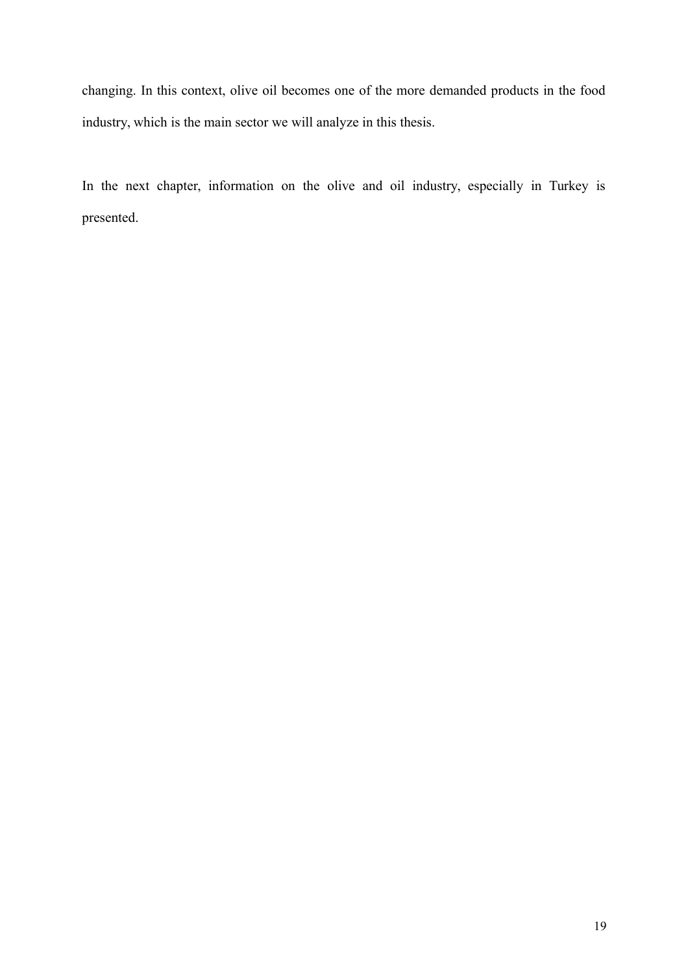changing. In this context, olive oil becomes one of the more demanded products in the food industry, which is the main sector we will analyze in this thesis.

In the next chapter, information on the olive and oil industry, especially in Turkey is presented.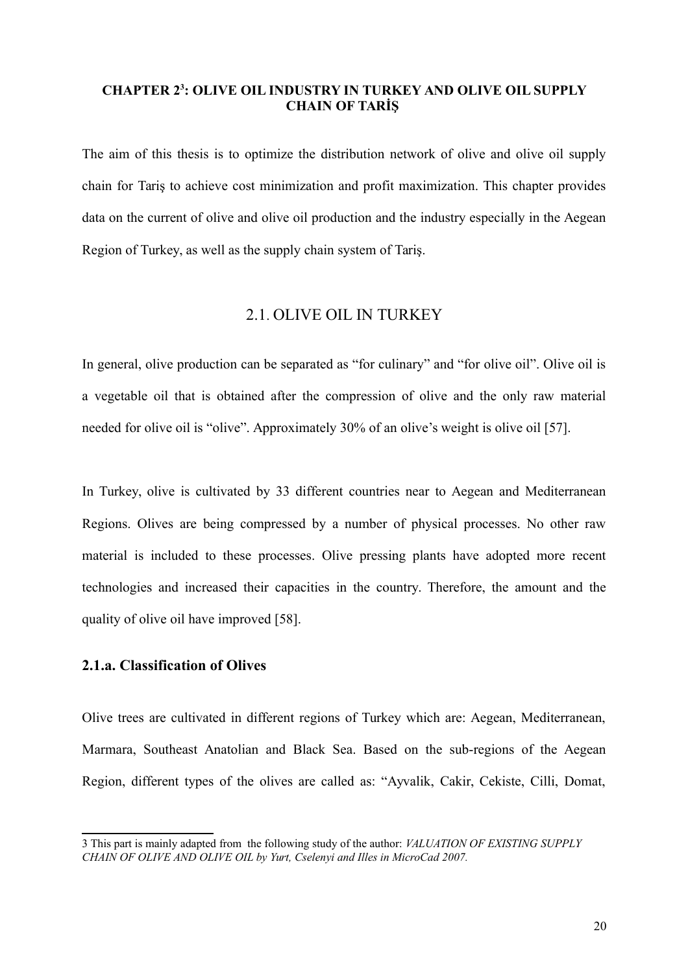#### <span id="page-19-0"></span>**CHAPTER 2[3](#page-19-3) : OLIVE OIL INDUSTRY IN TURKEY AND OLIVE OIL SUPPLY CHAIN OF TARİŞ**

The aim of this thesis is to optimize the distribution network of olive and olive oil supply chain for Tariş to achieve cost minimization and profit maximization. This chapter provides data on the current of olive and olive oil production and the industry especially in the Aegean Region of Turkey, as well as the supply chain system of Tariş.

#### <span id="page-19-1"></span>2.1. OLIVE OIL IN TURKEY

In general, olive production can be separated as "for culinary" and "for olive oil". Olive oil is a vegetable oil that is obtained after the compression of olive and the only raw material needed for olive oil is "olive". Approximately 30% of an olive's weight is olive oil [57].

In Turkey, olive is cultivated by 33 different countries near to Aegean and Mediterranean Regions. Olives are being compressed by a number of physical processes. No other raw material is included to these processes. Olive pressing plants have adopted more recent technologies and increased their capacities in the country. Therefore, the amount and the quality of olive oil have improved [58].

#### <span id="page-19-2"></span>**2.1.a. Classification of Olives**

Olive trees are cultivated in different regions of Turkey which are: Aegean, Mediterranean, Marmara, Southeast Anatolian and Black Sea. Based on the sub-regions of the Aegean Region, different types of the olives are called as: "Ayvalik, Cakir, Cekiste, Cilli, Domat,

<span id="page-19-3"></span><sup>3</sup> This part is mainly adapted from the following study of the author: *VALUATION OF EXISTING SUPPLY CHAIN OF OLIVE AND OLIVE OIL by Yurt, Cselenyi and Illes in MicroCad 2007.*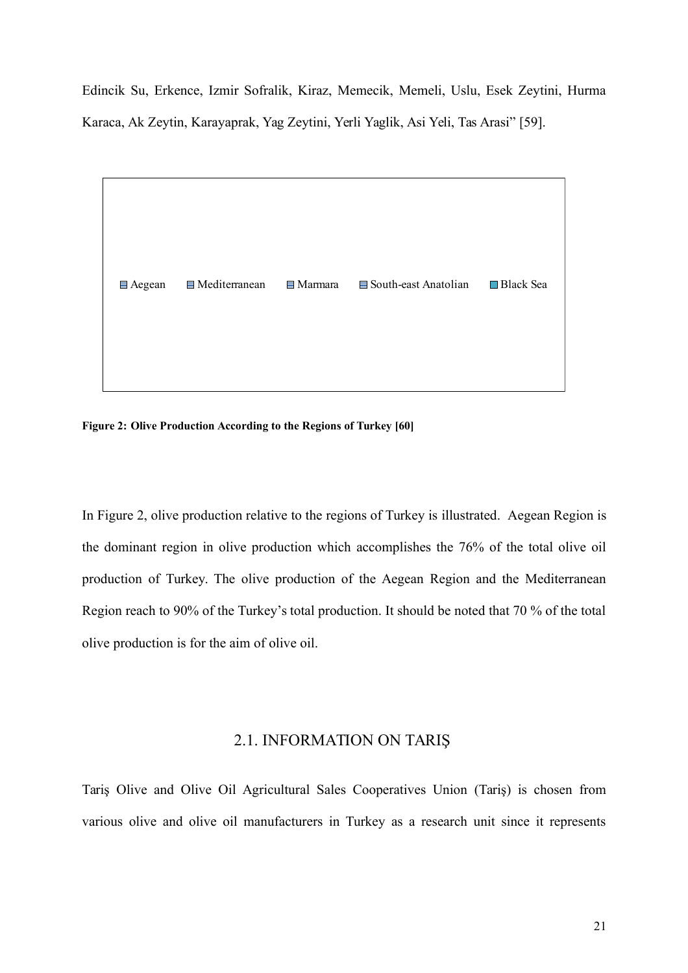Edincik Su, Erkence, Izmir Sofralik, Kiraz, Memecik, Memeli, Uslu, Esek Zeytini, Hurma Karaca, Ak Zeytin, Karayaprak, Yag Zeytini, Yerli Yaglik, Asi Yeli, Tas Arasi" [59].



<span id="page-20-1"></span>**Figure 2: Olive Production According to the Regions of Turkey [60]**

In Figure 2, olive production relative to the regions of Turkey is illustrated.Aegean Region is the dominant region in olive production which accomplishes the 76% of the total olive oil production of Turkey. The olive production of the Aegean Region and the Mediterranean Region reach to 90% of the Turkey's total production. It should be noted that 70 % of the total olive production is for the aim of olive oil.

#### <span id="page-20-0"></span>2.1. INFORMATION ON TARIŞ

Tariş Olive and Olive Oil Agricultural Sales Cooperatives Union (Tariş) is chosen from various olive and olive oil manufacturers in Turkey as a research unit since it represents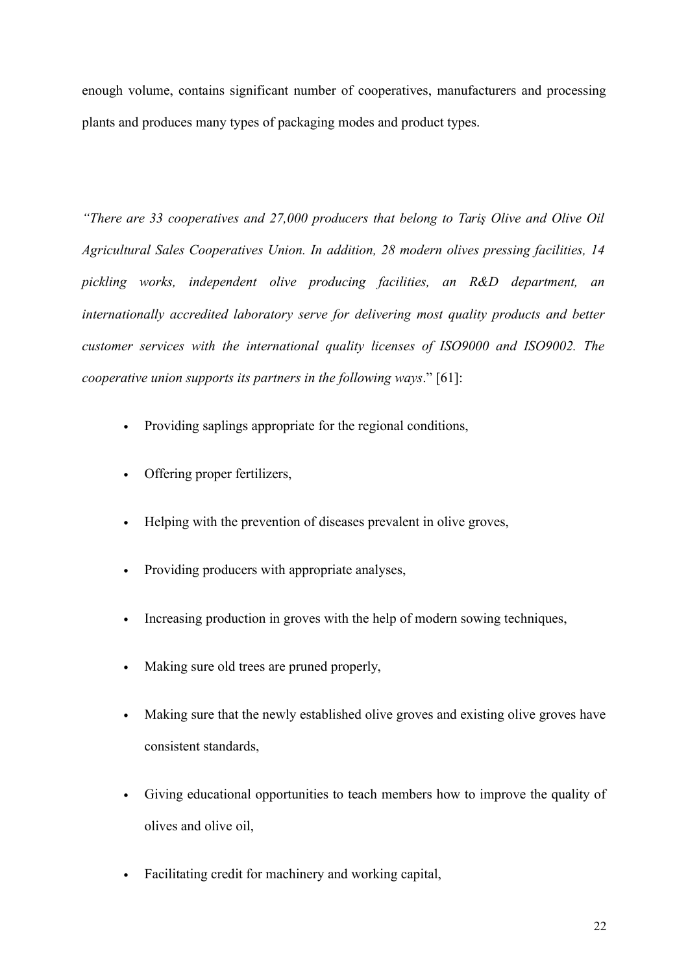enough volume, contains significant number of cooperatives, manufacturers and processing plants and produces many types of packaging modes and product types.

*"There are 33 cooperatives and 27,000 producers that belong to Tariş Olive and Olive Oil Agricultural Sales Cooperatives Union. In addition, 28 modern olives pressing facilities, 14 pickling works, independent olive producing facilities, an R&D department, an internationally accredited laboratory serve for delivering most quality products and better customer services with the international quality licenses of ISO9000 and ISO9002. The cooperative union supports its partners in the following ways*." [61]:

- Providing saplings appropriate for the regional conditions,
- Offering proper fertilizers,
- Helping with the prevention of diseases prevalent in olive groves,
- Providing producers with appropriate analyses,
- Increasing production in groves with the help of modern sowing techniques,
- Making sure old trees are pruned properly,
- Making sure that the newly established olive groves and existing olive groves have consistent standards,
- Giving educational opportunities to teach members how to improve the quality of olives and olive oil,
- Facilitating credit for machinery and working capital,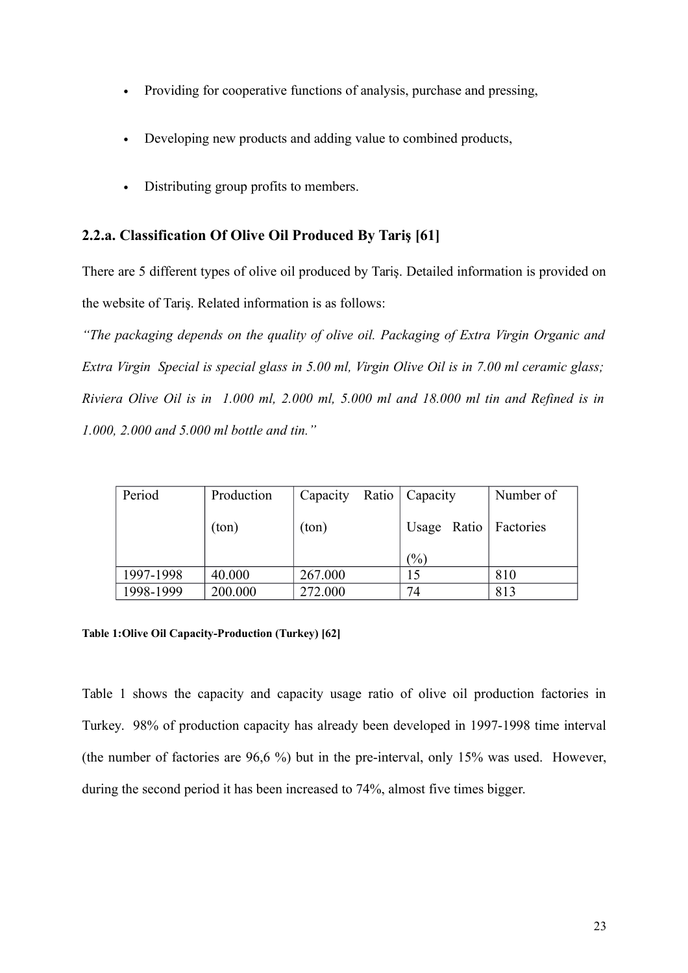- Providing for cooperative functions of analysis, purchase and pressing,
- Developing new products and adding value to combined products,
- Distributing group profits to members.

### <span id="page-22-0"></span>**2.2.a. Classification Of Olive Oil Produced By Tariş [61]**

There are 5 different types of olive oil produced by Tariş. Detailed information is provided on the website of Tariş. Related information is as follows:

*"The packaging depends on the quality of olive oil. Packaging of Extra Virgin Organic and Extra Virgin Special is special glass in 5.00 ml, Virgin Olive Oil is in 7.00 ml ceramic glass; Riviera Olive Oil is in 1.000 ml, 2.000 ml, 5.000 ml and 18.000 ml tin and Refined is in 1.000, 2.000 and 5.000 ml bottle and tin."*

| Period    | Production | Capacity | Ratio | Capacity        | Number of               |
|-----------|------------|----------|-------|-----------------|-------------------------|
|           | (ton)      | (ton)    |       |                 | Usage Ratio   Factories |
|           |            |          |       | $\frac{(0)}{0}$ |                         |
| 1997-1998 | 40.000     | 267.000  |       | 15              | 810                     |
| 1998-1999 | 200.000    | 272.000  |       | 74              | 813                     |

#### <span id="page-22-1"></span>**Table 1:Olive Oil Capacity-Production (Turkey) [62]**

Table 1 shows the capacity and capacity usage ratio of olive oil production factories in Turkey. 98% of production capacity has already been developed in 1997-1998 time interval (the number of factories are 96,6 %) but in the pre-interval, only 15% was used. However, during the second period it has been increased to 74%, almost five times bigger.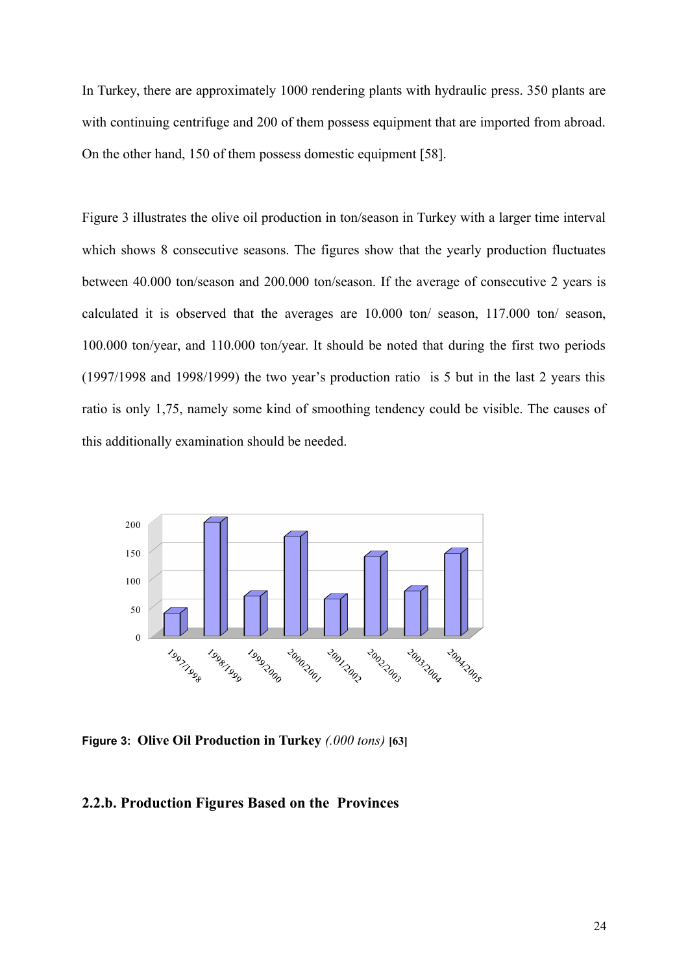In Turkey, there are approximately 1000 rendering plants with hydraulic press. 350 plants are with continuing centrifuge and 200 of them possess equipment that are imported from abroad. On the other hand, 150 of them possess domestic equipment [58].

Figure 3 illustrates the olive oil production in ton/season in Turkey with a larger time interval which shows 8 consecutive seasons. The figures show that the yearly production fluctuates between 40.000 ton/season and 200.000 ton/season. If the average of consecutive 2 years is calculated it is observed that the averages are 10.000 ton/ season, 117.000 ton/ season, 100.000 ton/year, and 110.000 ton/year. It should be noted that during the first two periods (1997/1998 and 1998/1999) the two year's production ratio is 5 but in the last 2 years this ratio is only 1,75, namely some kind of smoothing tendency could be visible. The causes of this additionally examination should be needed.



<span id="page-23-1"></span>**Figure 3: Olive Oil Production in Turkey** *(.000 tons)* **[63]**

#### <span id="page-23-0"></span>**2.2.b. Production Figures Based on the Provinces**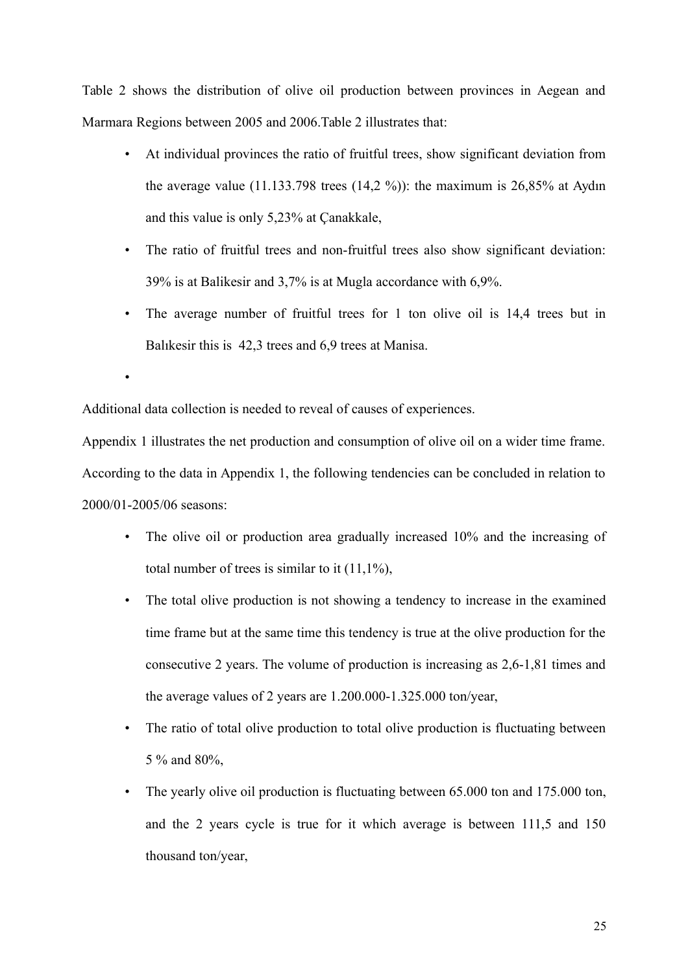Table 2 shows the distribution of olive oil production between provinces in Aegean and Marmara Regions between 2005 and 2006.Table 2 illustrates that:

- At individual provinces the ratio of fruitful trees, show significant deviation from the average value  $(11.133.798$  trees  $(14.2 \%)$ : the maximum is 26,85% at Aydın and this value is only 5,23% at Çanakkale,
- The ratio of fruitful trees and non-fruitful trees also show significant deviation: 39% is at Balikesir and 3,7% is at Mugla accordance with 6,9%.
- The average number of fruitful trees for 1 ton olive oil is 14,4 trees but in Balıkesir this is 42,3 trees and 6,9 trees at Manisa.

•

Additional data collection is needed to reveal of causes of experiences.

Appendix 1 illustrates the net production and consumption of olive oil on a wider time frame. According to the data in Appendix 1, the following tendencies can be concluded in relation to 2000/01-2005/06 seasons:

- The olive oil or production area gradually increased 10% and the increasing of total number of trees is similar to it  $(11,1\%)$ ,
- The total olive production is not showing a tendency to increase in the examined time frame but at the same time this tendency is true at the olive production for the consecutive 2 years. The volume of production is increasing as 2,6-1,81 times and the average values of 2 years are 1.200.000-1.325.000 ton/year,
- The ratio of total olive production to total olive production is fluctuating between 5 % and 80%,
- The yearly olive oil production is fluctuating between 65,000 ton and 175,000 ton. and the 2 years cycle is true for it which average is between 111,5 and 150 thousand ton/year,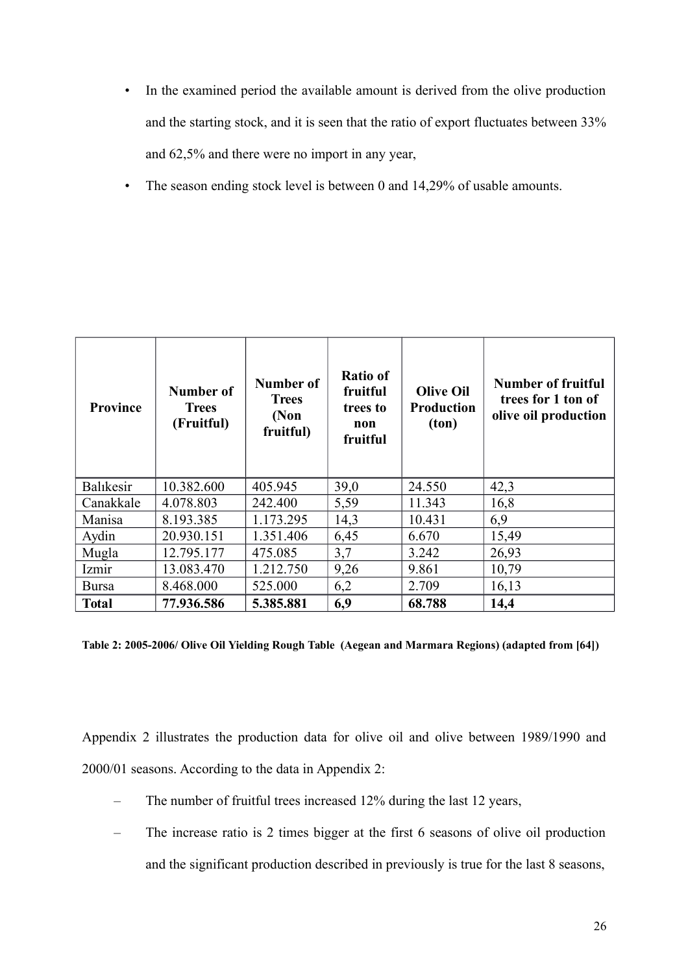- In the examined period the available amount is derived from the olive production and the starting stock, and it is seen that the ratio of export fluctuates between 33% and 62,5% and there were no import in any year,
- The season ending stock level is between 0 and 14,29% of usable amounts.

| <b>Province</b> | Number of<br><b>Trees</b><br>(Fruitful) | Number of<br><b>Trees</b><br>(Non<br>fruitful) | <b>Ratio of</b><br>fruitful<br>trees to<br>non<br>fruitful | <b>Olive Oil</b><br><b>Production</b><br>ton) | <b>Number of fruitful</b><br>trees for 1 ton of<br>olive oil production |
|-----------------|-----------------------------------------|------------------------------------------------|------------------------------------------------------------|-----------------------------------------------|-------------------------------------------------------------------------|
| Balıkesir       | 10.382.600                              | 405.945                                        | 39,0                                                       | 24.550                                        | 42,3                                                                    |
| Canakkale       | 4.078.803                               | 242.400                                        | 5,59                                                       | 11.343                                        | 16,8                                                                    |
| Manisa          | 8.193.385                               | 1.173.295                                      | 14,3                                                       | 10.431                                        | 6,9                                                                     |
| Aydin           | 20.930.151                              | 1.351.406                                      | 6,45                                                       | 6.670                                         | 15,49                                                                   |
| Mugla           | 12.795.177                              | 475.085                                        | 3,7                                                        | 3.242                                         | 26,93                                                                   |
| Izmir           | 13.083.470                              | 1.212.750                                      | 9,26                                                       | 9.861                                         | 10,79                                                                   |
| Bursa           | 8.468.000                               | 525.000                                        | 6,2                                                        | 2.709                                         | 16,13                                                                   |
| <b>Total</b>    | 77.936.586                              | 5.385.881                                      | 6,9                                                        | 68.788                                        | 14,4                                                                    |

<span id="page-25-0"></span>**Table 2: 2005-2006/ Olive Oil Yielding Rough Table (Aegean and Marmara Regions) (adapted from [64])**

Appendix 2 illustrates the production data for olive oil and olive between 1989/1990 and 2000/01 seasons. According to the data in Appendix 2:

- The number of fruitful trees increased 12% during the last 12 years,
- The increase ratio is 2 times bigger at the first 6 seasons of olive oil production and the significant production described in previously is true for the last 8 seasons,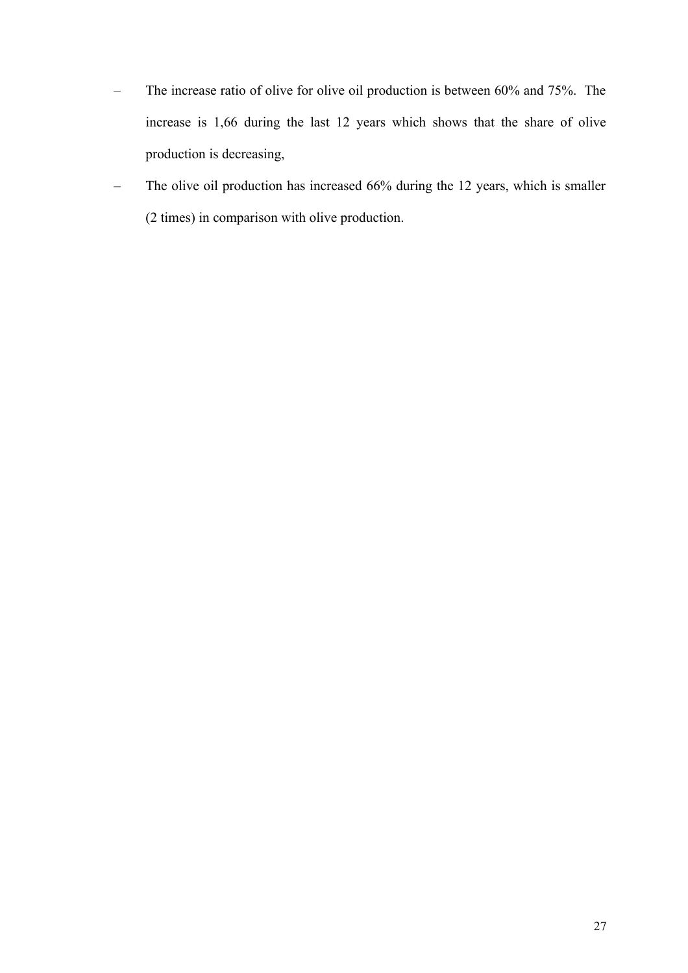- The increase ratio of olive for olive oil production is between 60% and 75%. The increase is 1,66 during the last 12 years which shows that the share of olive production is decreasing,
- The olive oil production has increased 66% during the 12 years, which is smaller (2 times) in comparison with olive production.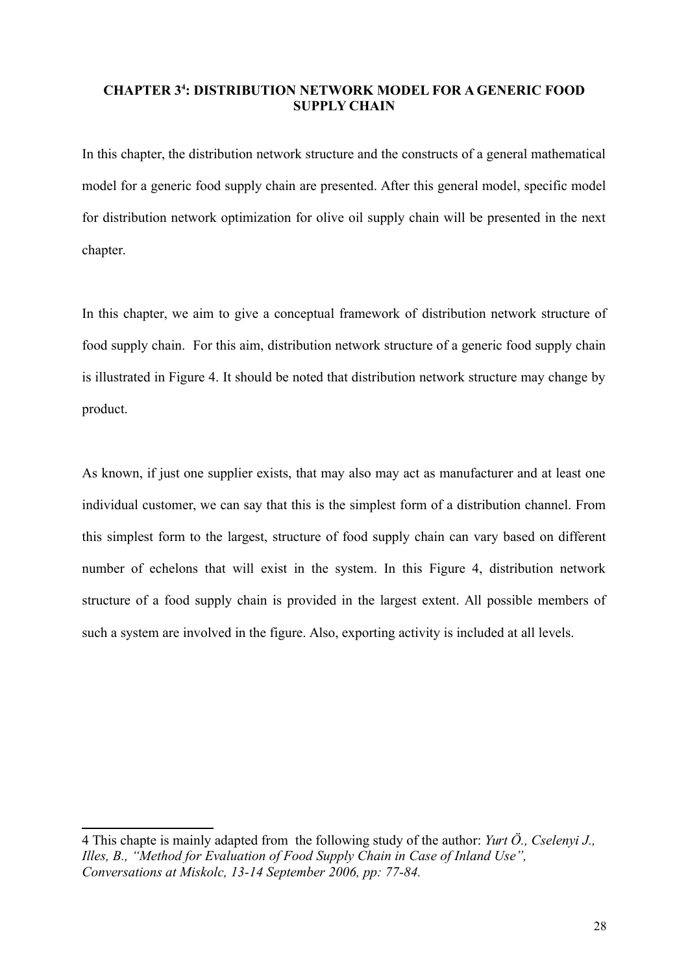#### <span id="page-27-0"></span>**CHAPTER 3[4](#page-27-1) : DISTRIBUTION NETWORK MODEL FOR A GENERIC FOOD SUPPLY CHAIN**

In this chapter, the distribution network structure and the constructs of a general mathematical model for a generic food supply chain are presented. After this general model, specific model for distribution network optimization for olive oil supply chain will be presented in the next chapter.

In this chapter, we aim to give a conceptual framework of distribution network structure of food supply chain.For this aim, distribution network structure of a generic food supply chain is illustrated in Figure 4. It should be noted that distribution network structure may change by product.

As known, if just one supplier exists, that may also may act as manufacturer and at least one individual customer, we can say that this is the simplest form of a distribution channel. From this simplest form to the largest, structure of food supply chain can vary based on different number of echelons that will exist in the system. In this Figure 4, distribution network structure of a food supply chain is provided in the largest extent. All possible members of such a system are involved in the figure. Also, exporting activity is included at all levels.

<span id="page-27-1"></span><sup>4</sup> This chapte is mainly adapted from the following study of the author: *Yurt Ö., Cselenyi J., Illes, B., "Method for Evaluation of Food Supply Chain in Case of Inland Use", Conversations at Miskolc, 13-14 September 2006, pp: 77-84.*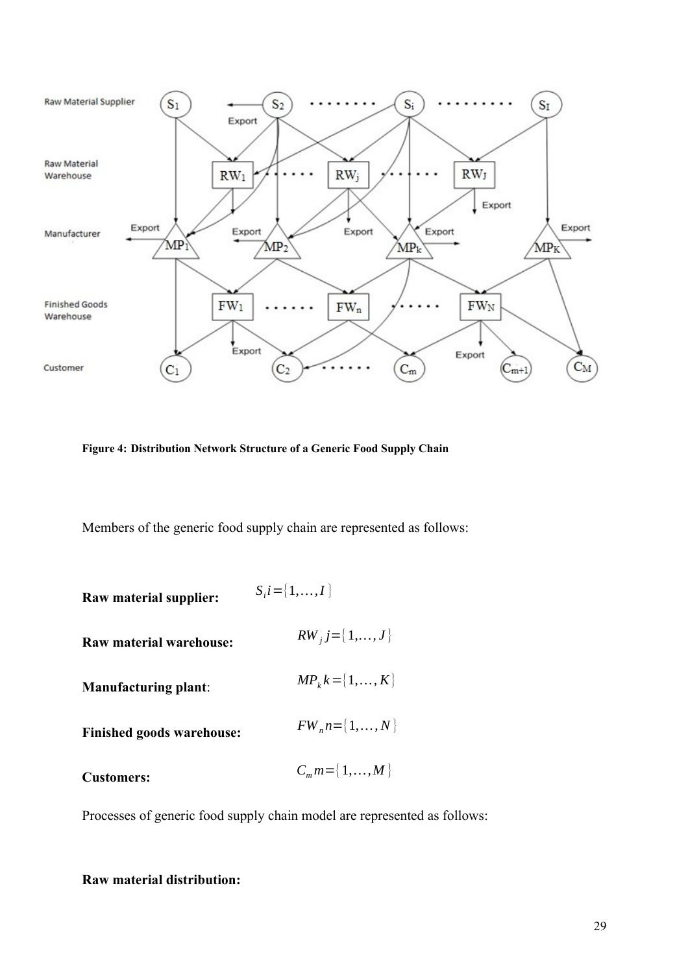

<span id="page-28-0"></span>**Figure 4: Distribution Network Structure of a Generic Food Supply Chain**

Members of the generic food supply chain are represented as follows:

| Raw material supplier:           | $S_i = \{1, , I\}$    |
|----------------------------------|-----------------------|
| Raw material warehouse:          | $RW_j = \{1, , J\}$   |
| <b>Manufacturing plant:</b>      | $MP_k k = \{1, , K\}$ |
| <b>Finished goods warehouse:</b> | $FW_n n = \{1, , N\}$ |
| <b>Customers:</b>                | $C_m m = \{1, , M\}$  |

Processes of generic food supply chain model are represented as follows:

#### **Raw material distribution:**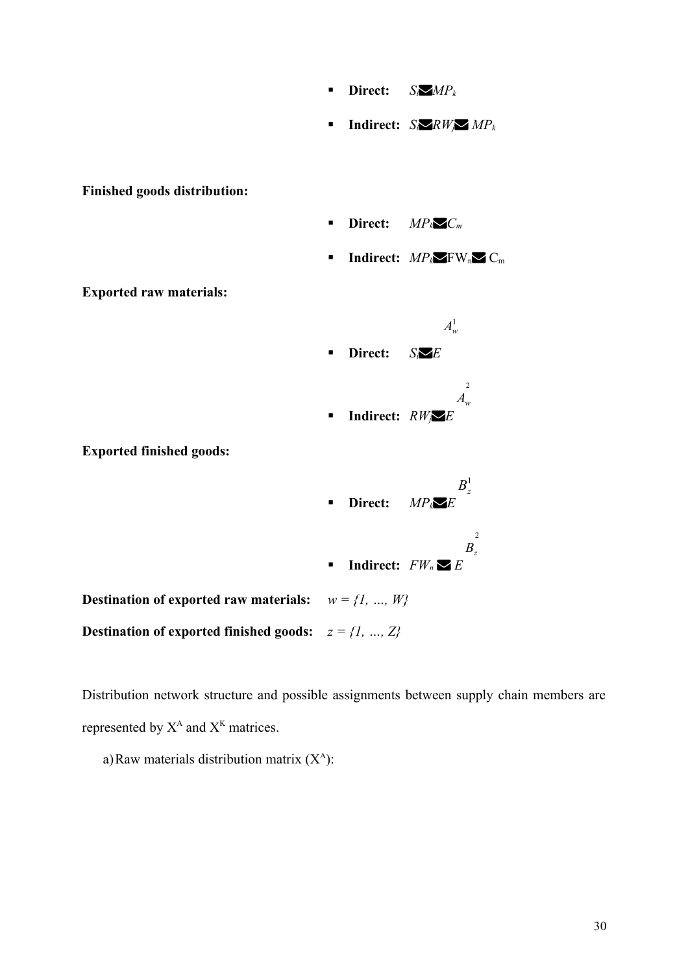- **Direct:**  $S_i$ *MP<sub>k</sub>*
- **Indirect:**  $S_i \times R W_i \times MP_k$

**Finished goods distribution:**

- **Direct:**  $MP_k \nightharpoonup C_m$
- **Indirect:**  $MP_k \times FW_n \times C_m$

**Exported raw materials:**

**Exported finished goods:**



**Indirect:**  $FW<sub>n</sub> \blacktriangleright F$ 

**Destination of exported raw materials:**  $w = \{1, ..., W\}$ **Destination of exported finished goods:**  $z = \{1, ..., Z\}$ 

Distribution network structure and possible assignments between supply chain members are represented by  $X^A$  and  $X^K$  matrices.

a) Raw materials distribution matrix  $(X^A)$ :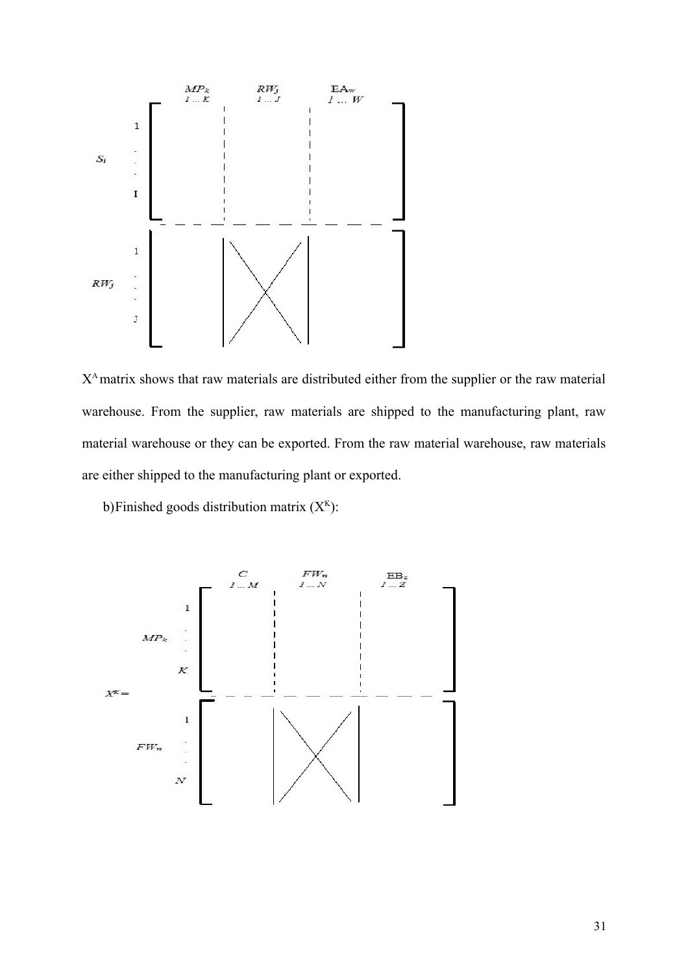

X<sup>A</sup> matrix shows that raw materials are distributed either from the supplier or the raw material warehouse. From the supplier, raw materials are shipped to the manufacturing plant, raw material warehouse or they can be exported. From the raw material warehouse, raw materials are either shipped to the manufacturing plant or exported.

b) Finished goods distribution matrix  $(X<sup>K</sup>)$ :

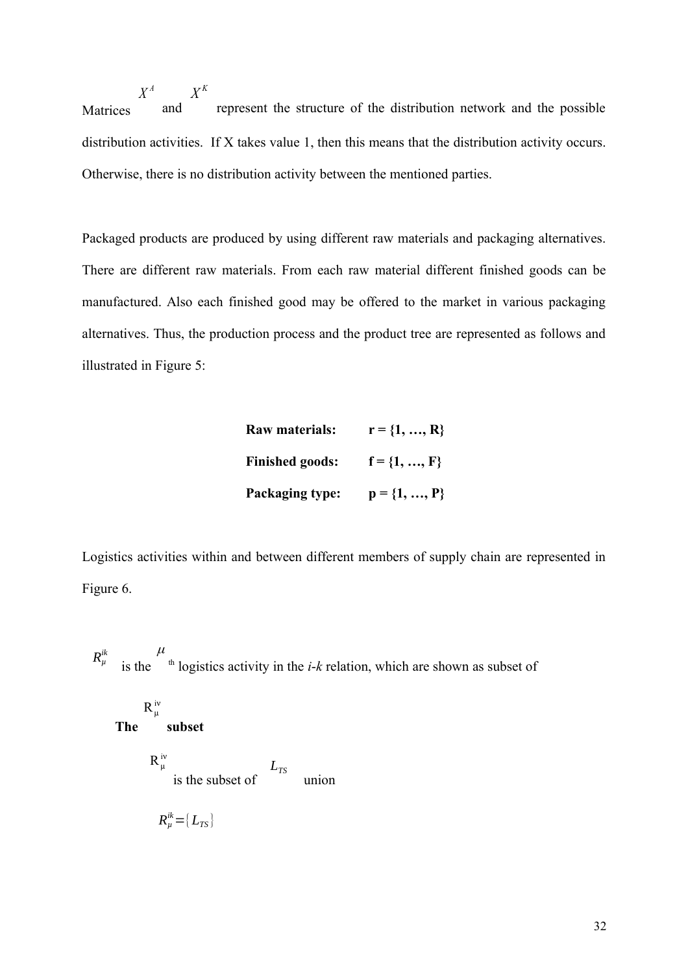**Matrices**  $X^A$  *X*<sup>*K*</sup> and represent the structure of the distribution network and the possible distribution activities. If X takes value 1, then this means that the distribution activity occurs. Otherwise, there is no distribution activity between the mentioned parties.

Packaged products are produced by using different raw materials and packaging alternatives. There are different raw materials. From each raw material different finished goods can be manufactured. Also each finished good may be offered to the market in various packaging alternatives. Thus, the production process and the product tree are represented as follows and illustrated in Figure 5:

| Raw materials:         | $r = \{1, , R\}$ |
|------------------------|------------------|
| <b>Finished goods:</b> | $f = \{1, , F\}$ |
| Packaging type:        | $p = \{1, , P\}$ |

Logistics activities within and between different members of supply chain are represented in Figure 6.

 $R_\mu^{ik}$  is the *μ*  $t<sup>th</sup>$  logistics activity in the *i-k* relation, which are shown as subset of

**The**   $\mathsf{v}$  $R_\mu^{\,i}$  **subset**  $\mathsf{v}$  $R^{\text{iv}}_{\mu}$  is the subset of  $L_{TS}$  union  $R_{\mu}^{ik}$ ={*L*<sub>*TS*</sub>}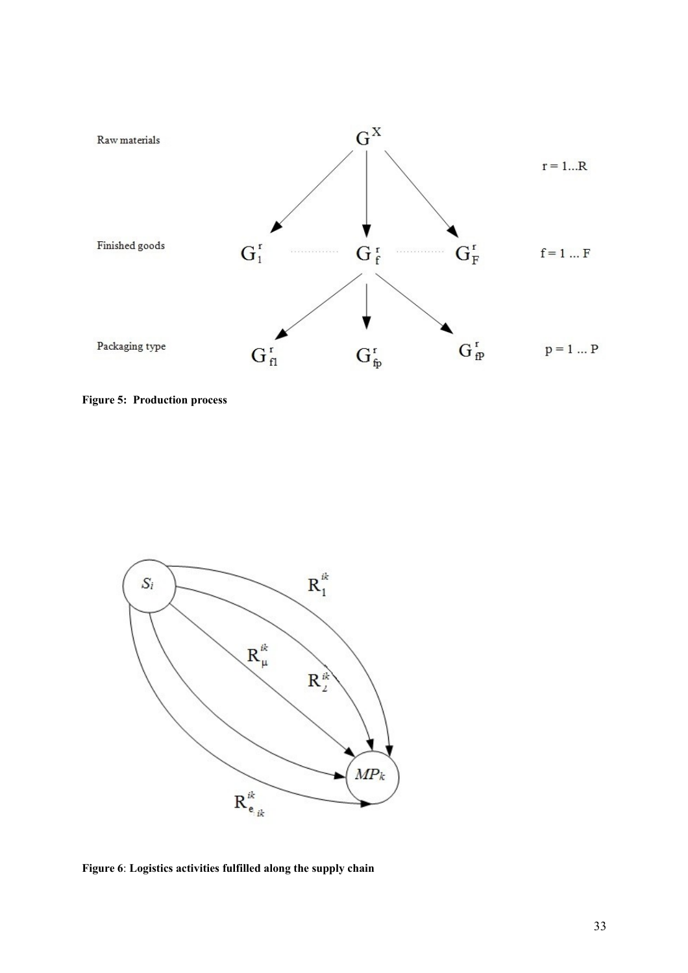

<span id="page-32-0"></span>**Figure 5: Production process**



<span id="page-32-1"></span>**Figure 6**: **Logistics activities fulfilled along the supply chain**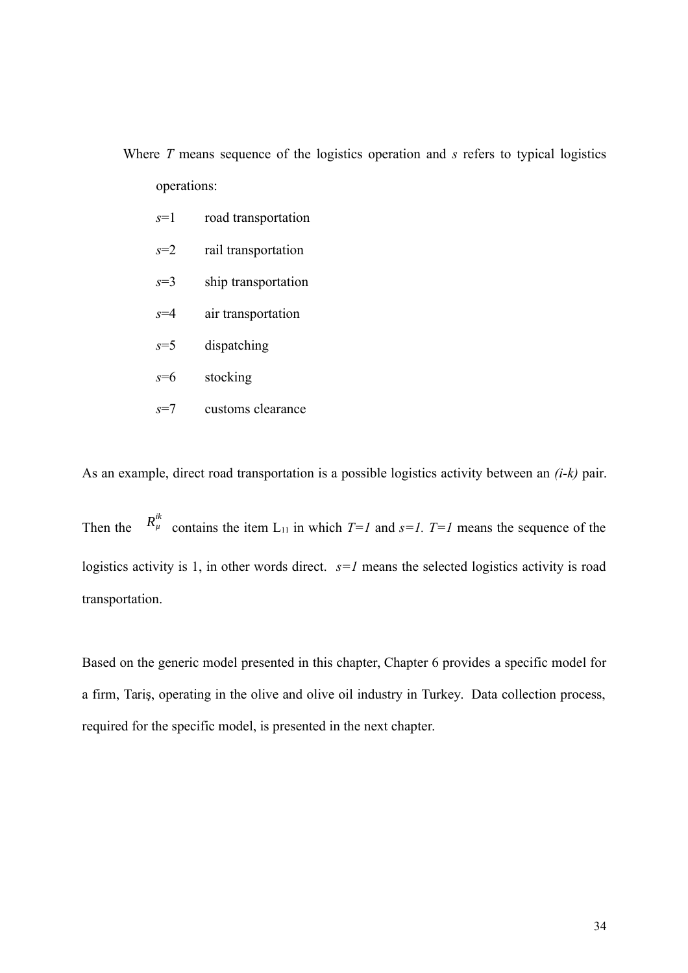Where *T* means sequence of the logistics operation and *s* refers to typical logistics operations:

- *s*=1 road transportation
- *s*=2 rail transportation
- *s*=3 ship transportation
- *s*=4 air transportation
- *s*=5 dispatching
- *s*=6 stocking
- *s*=7 customs clearance

As an example, direct road transportation is a possible logistics activity between an *(i-k)* pair.

Then the <sup>ik</sup> contains the item  $L_{11}$  in which *T*=*I* and *s*=*I*. *T*=*I* means the sequence of the logistics activity is 1, in other words direct.  $s=1$  means the selected logistics activity is road transportation.

Based on the generic model presented in this chapter, Chapter 6 provides a specific model for a firm, Tariş, operating in the olive and olive oil industry in Turkey. Data collection process, required for the specific model, is presented in the next chapter.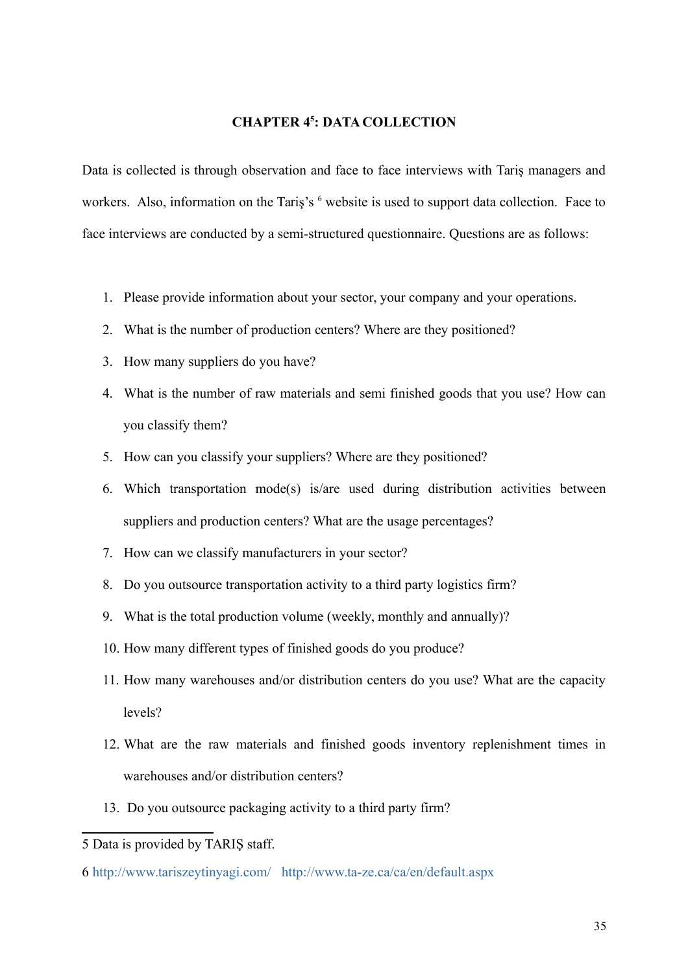#### <span id="page-34-0"></span>**CHAPTER 4[5](#page-34-1) : DATA COLLECTION**

Data is collected is through observation and face to face interviews with Tariş managers and workers. Also, information on the Tariş's <sup>[6](#page-34-2)</sup> website is used to support data collection. Face to face interviews are conducted by a semi-structured questionnaire. Questions are as follows:

- 1. Please provide information about your sector, your company and your operations.
- 2. What is the number of production centers? Where are they positioned?
- 3. How many suppliers do you have?
- 4. What is the number of raw materials and semi finished goods that you use? How can you classify them?
- 5. How can you classify your suppliers? Where are they positioned?
- 6. Which transportation mode(s) is/are used during distribution activities between suppliers and production centers? What are the usage percentages?
- 7. How can we classify manufacturers in your sector?
- 8. Do you outsource transportation activity to a third party logistics firm?
- 9. What is the total production volume (weekly, monthly and annually)?
- 10. How many different types of finished goods do you produce?
- 11. How many warehouses and/or distribution centers do you use? What are the capacity levels?
- 12. What are the raw materials and finished goods inventory replenishment times in warehouses and/or distribution centers?
- 13. Do you outsource packaging activity to a third party firm?

<span id="page-34-1"></span><sup>5</sup> Data is provided by TARIŞ staff.

<span id="page-34-2"></span><sup>6</sup> <http://www.tariszeytinyagi.com/><http://www.ta-ze.ca/ca/en/default.aspx>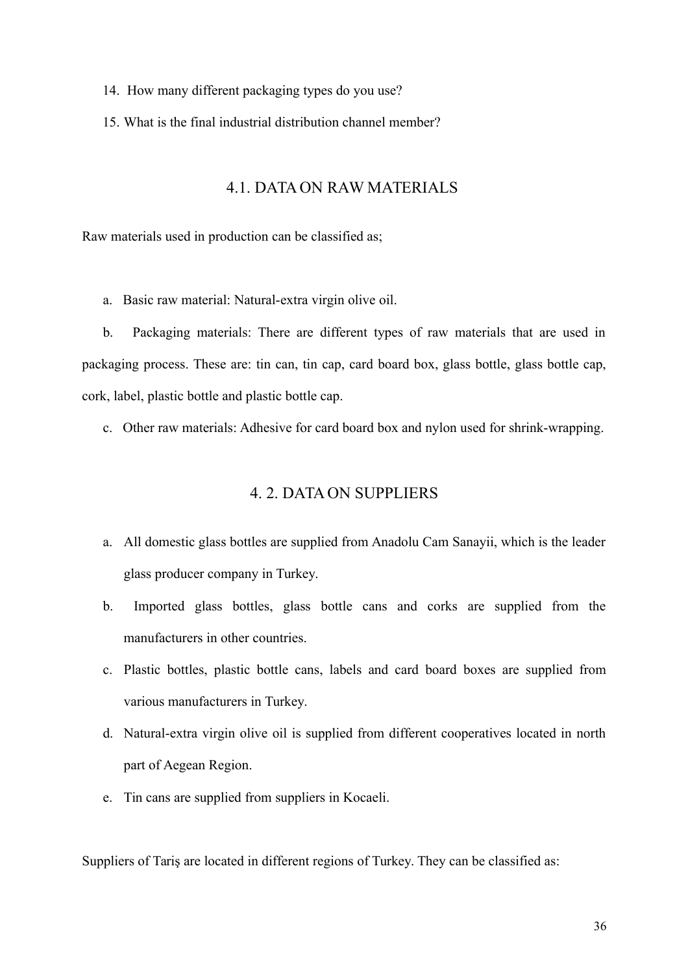- 14. How many different packaging types do you use?
- 15. What is the final industrial distribution channel member?

## <span id="page-35-0"></span>4.1. DATA ON RAW MATERIALS

Raw materials used in production can be classified as;

a. Basic raw material: Natural-extra virgin olive oil.

b. Packaging materials: There are different types of raw materials that are used in packaging process. These are: tin can, tin cap, card board box, glass bottle, glass bottle cap, cork, label, plastic bottle and plastic bottle cap.

c. Other raw materials: Adhesive for card board box and nylon used for shrink-wrapping.

#### <span id="page-35-1"></span>4. 2. DATA ON SUPPLIERS

- a. All domestic glass bottles are supplied from Anadolu Cam Sanayii, which is the leader glass producer company in Turkey.
- b. Imported glass bottles, glass bottle cans and corks are supplied from the manufacturers in other countries.
- c. Plastic bottles, plastic bottle cans, labels and card board boxes are supplied from various manufacturers in Turkey.
- d. Natural-extra virgin olive oil is supplied from different cooperatives located in north part of Aegean Region.
- e. Tin cans are supplied from suppliers in Kocaeli.

Suppliers of Tariş are located in different regions of Turkey. They can be classified as: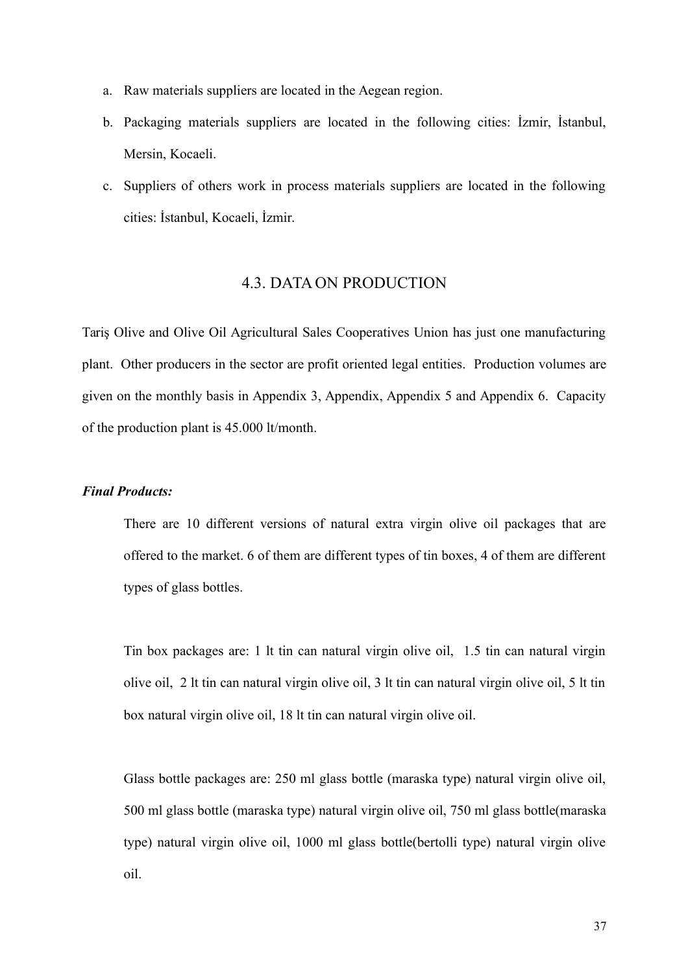- a. Raw materials suppliers are located in the Aegean region.
- b. Packaging materials suppliers are located in the following cities: İzmir, İstanbul, Mersin, Kocaeli.
- c. Suppliers of others work in process materials suppliers are located in the following cities: İstanbul, Kocaeli, İzmir.

#### 4.3. DATA ON PRODUCTION

Tariş Olive and Olive Oil Agricultural Sales Cooperatives Union has just one manufacturing plant. Other producers in the sector are profit oriented legal entities. Production volumes are given on the monthly basis in Appendix 3, Appendix, Appendix 5 and Appendix 6. Capacity of the production plant is 45.000 lt/month.

#### *Final Products:*

There are 10 different versions of natural extra virgin olive oil packages that are offered to the market. 6 of them are different types of tin boxes, 4 of them are different types of glass bottles.

Tin box packages are: 1 lt tin can natural virgin olive oil, 1.5 tin can natural virgin olive oil, 2 lt tin can natural virgin olive oil, 3 lt tin can natural virgin olive oil, 5 lt tin box natural virgin olive oil, 18 lt tin can natural virgin olive oil.

Glass bottle packages are: 250 ml glass bottle (maraska type) natural virgin olive oil, 500 ml glass bottle (maraska type) natural virgin olive oil, 750 ml glass bottle(maraska type) natural virgin olive oil, 1000 ml glass bottle(bertolli type) natural virgin olive oil.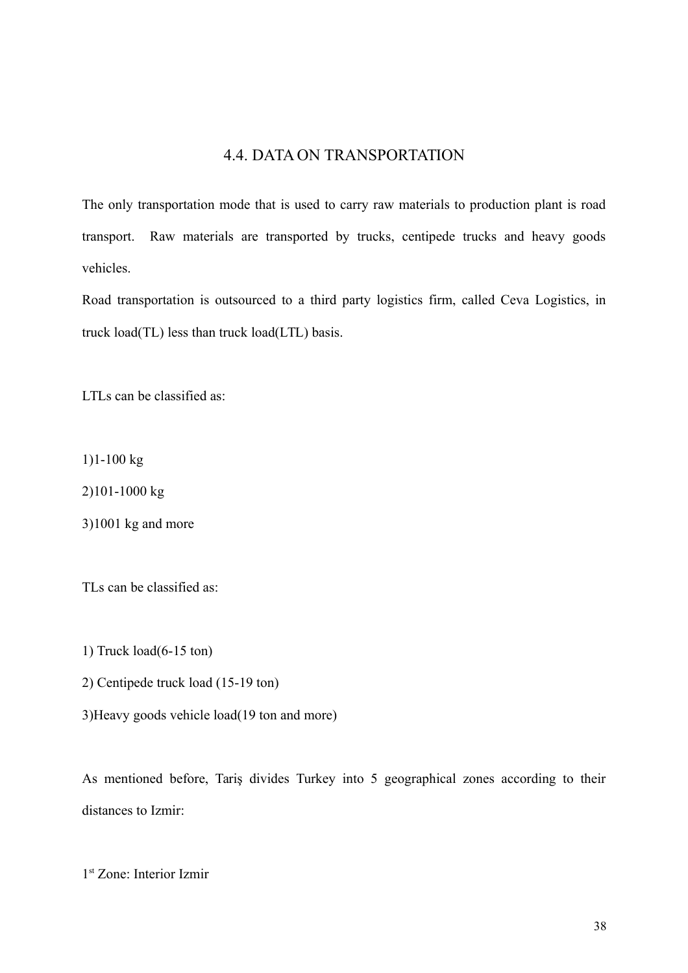### 4.4. DATA ON TRANSPORTATION

The only transportation mode that is used to carry raw materials to production plant is road transport. Raw materials are transported by trucks, centipede trucks and heavy goods vehicles.

Road transportation is outsourced to a third party logistics firm, called Ceva Logistics, in truck load(TL) less than truck load(LTL) basis.

LTLs can be classified as:

1)1-100 kg

2)101-1000 kg

3)1001 kg and more

TLs can be classified as:

1) Truck load(6-15 ton)

2) Centipede truck load (15-19 ton)

3)Heavy goods vehicle load(19 ton and more)

As mentioned before, Tariş divides Turkey into 5 geographical zones according to their distances to Izmir:

1 st Zone: Interior Izmir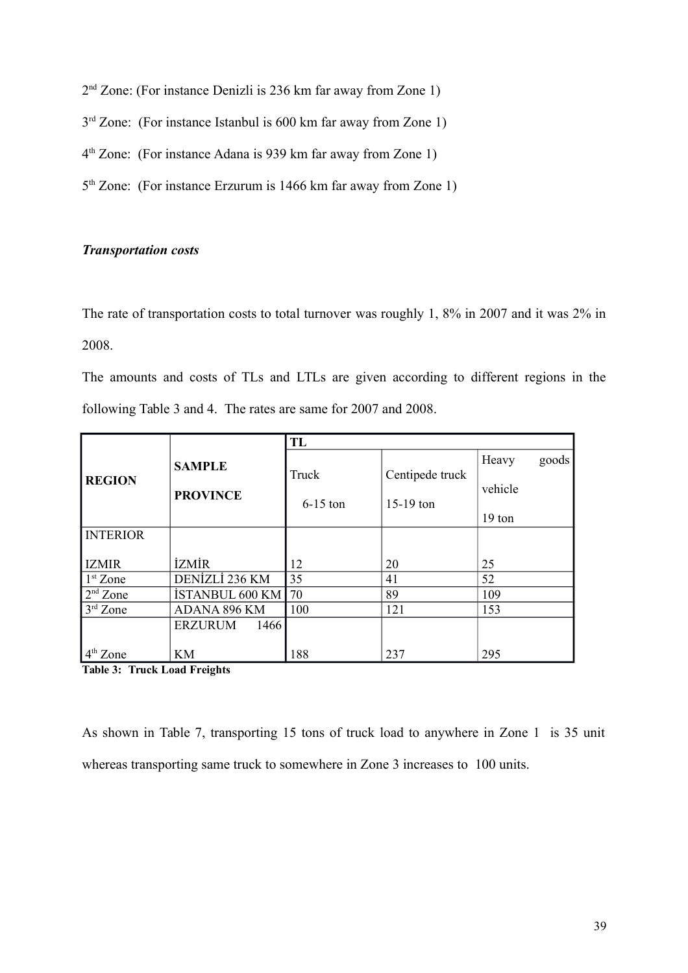- 2<sup>nd</sup> Zone: (For instance Denizli is 236 km far away from Zone 1)
- $3<sup>rd</sup>$  Zone: (For instance Istanbul is 600 km far away from Zone 1)
- 4 th Zone: (For instance Adana is 939 km far away from Zone 1)
- 5<sup>th</sup> Zone: (For instance Erzurum is 1466 km far away from Zone 1)

#### *Transportation costs*

The rate of transportation costs to total turnover was roughly 1, 8% in 2007 and it was 2% in 2008.

The amounts and costs of TLs and LTLs are given according to different regions in the following Table 3 and 4. The rates are same for 2007 and 2008.

|                 |                        | TL         |                 |         |       |  |  |  |  |
|-----------------|------------------------|------------|-----------------|---------|-------|--|--|--|--|
|                 | <b>SAMPLE</b>          |            |                 | Heavy   | goods |  |  |  |  |
| <b>REGION</b>   |                        | Truck      | Centipede truck |         |       |  |  |  |  |
|                 | <b>PROVINCE</b>        |            |                 | vehicle |       |  |  |  |  |
|                 |                        | $6-15$ ton | $15-19$ ton     |         |       |  |  |  |  |
|                 |                        |            |                 | 19 ton  |       |  |  |  |  |
| <b>INTERIOR</b> |                        |            |                 |         |       |  |  |  |  |
|                 |                        |            |                 |         |       |  |  |  |  |
| <b>IZMIR</b>    | <b>İZMİR</b>           | 12         | 20              | 25      |       |  |  |  |  |
| $1st$ Zone      | DENİZLİ 236 KM         | 35         | 41              | 52      |       |  |  |  |  |
| $2nd$ Zone      | İSTANBUL 600 KM        | 70         | 89              | 109     |       |  |  |  |  |
| $3rd$ Zone      | <b>ADANA 896 KM</b>    | 100        | 121             | 153     |       |  |  |  |  |
|                 | <b>ERZURUM</b><br>1466 |            |                 |         |       |  |  |  |  |
|                 |                        |            |                 |         |       |  |  |  |  |
| $4th$ Zone      | KM                     | 188        | 237             | 295     |       |  |  |  |  |

**Table 3: Truck Load Freights**

As shown in Table 7, transporting 15 tons of truck load to anywhere in Zone 1 is 35 unit whereas transporting same truck to somewhere in Zone 3 increases to 100 units.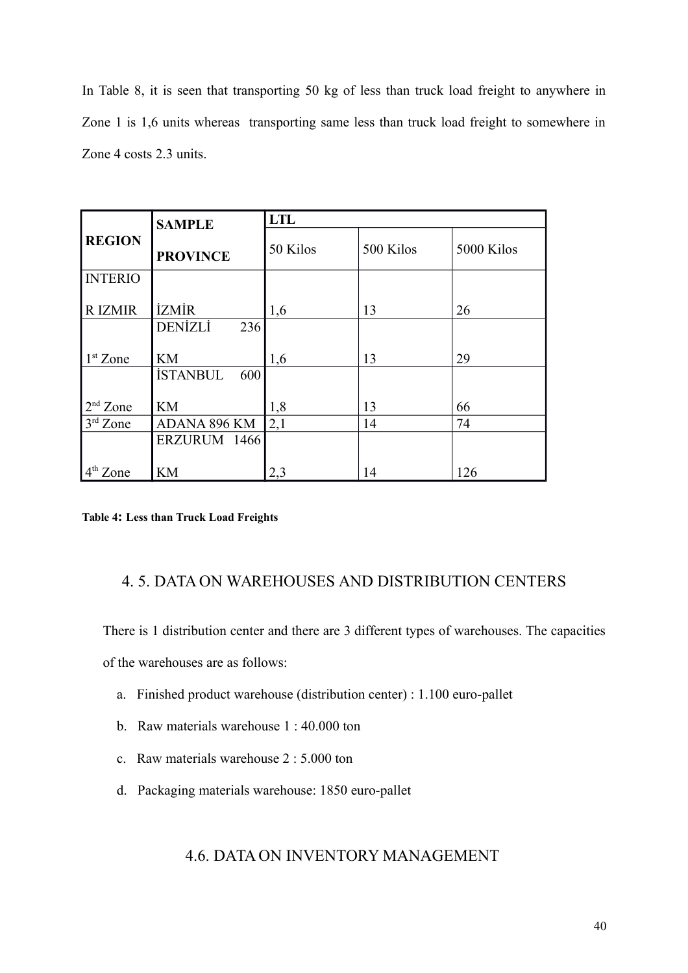In Table 8, it is seen that transporting 50 kg of less than truck load freight to anywhere in Zone 1 is 1,6 units whereas transporting same less than truck load freight to somewhere in Zone 4 costs 2.3 units.

|                | <b>SAMPLE</b>          | <b>LTL</b> |           |            |  |  |  |  |
|----------------|------------------------|------------|-----------|------------|--|--|--|--|
| <b>REGION</b>  | <b>PROVINCE</b>        | 50 Kilos   | 500 Kilos | 5000 Kilos |  |  |  |  |
| <b>INTERIO</b> |                        |            |           |            |  |  |  |  |
| <b>RIZMIR</b>  | <b>İZMİR</b>           | 1,6        | 13        | 26         |  |  |  |  |
|                | <b>DENİZLİ</b><br>236  |            |           |            |  |  |  |  |
|                |                        |            |           |            |  |  |  |  |
| $1st$ Zone     | <b>KM</b>              | 1,6        | 13        | 29         |  |  |  |  |
|                | <b>İSTANBUL</b><br>600 |            |           |            |  |  |  |  |
| $2nd$ Zone     | <b>KM</b>              | 1,8        | 13        | 66         |  |  |  |  |
| $3rd$ Zone     | ADANA 896 KM           | 2,1        | 14        | 74         |  |  |  |  |
|                | ERZURUM 1466           |            |           |            |  |  |  |  |
| $4th$ Zone     | <b>KM</b>              | 2,3        | 14        | 126        |  |  |  |  |

**Table 4: Less than Truck Load Freights**

# 4. 5. DATA ON WAREHOUSES AND DISTRIBUTION CENTERS

There is 1 distribution center and there are 3 different types of warehouses. The capacities of the warehouses are as follows:

- a. Finished product warehouse (distribution center) : 1.100 euro-pallet
- b. Raw materials warehouse 1 : 40.000 ton
- c. Raw materials warehouse 2 : 5.000 ton
- d. Packaging materials warehouse: 1850 euro-pallet

# 4.6. DATA ON INVENTORY MANAGEMENT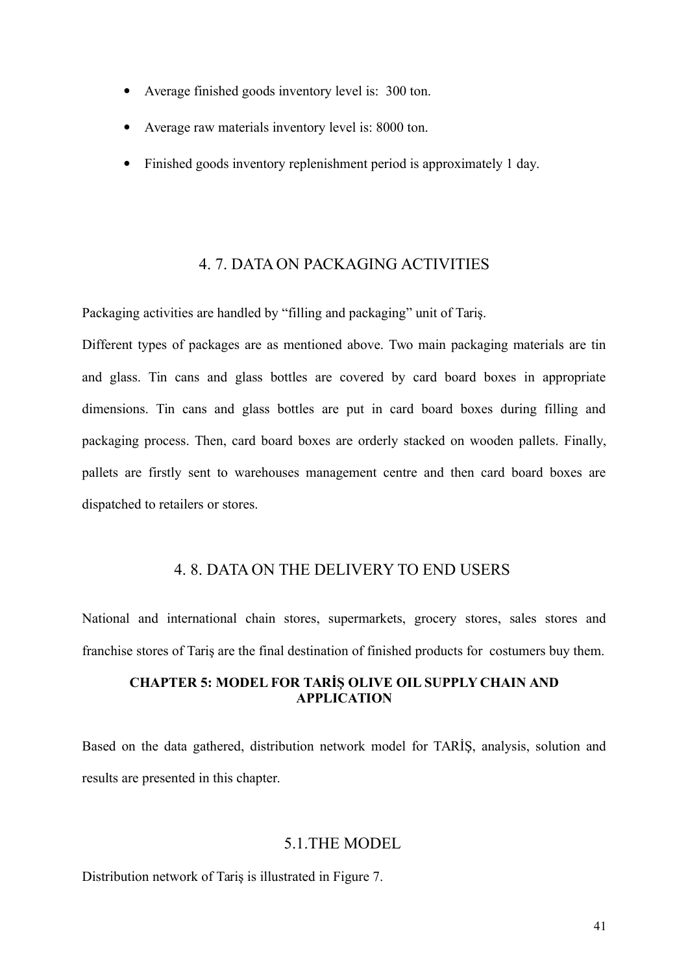- Average finished goods inventory level is: 300 ton.
- Average raw materials inventory level is: 8000 ton.
- Finished goods inventory replenishment period is approximately 1 day.

# 4. 7. DATA ON PACKAGING ACTIVITIES

Packaging activities are handled by "filling and packaging" unit of Tariş.

Different types of packages are as mentioned above. Two main packaging materials are tin and glass. Tin cans and glass bottles are covered by card board boxes in appropriate dimensions. Tin cans and glass bottles are put in card board boxes during filling and packaging process. Then, card board boxes are orderly stacked on wooden pallets. Finally, pallets are firstly sent to warehouses management centre and then card board boxes are dispatched to retailers or stores.

# 4. 8. DATA ON THE DELIVERY TO END USERS

National and international chain stores, supermarkets, grocery stores, sales stores and franchise stores of Tariş are the final destination of finished products for costumers buy them.

#### **CHAPTER 5: MODEL FOR TARİŞ OLIVE OIL SUPPLY CHAIN AND APPLICATION**

Based on the data gathered, distribution network model for TARİŞ, analysis, solution and results are presented in this chapter.

#### 5.1.THE MODEL

Distribution network of Tariş is illustrated in Figure 7.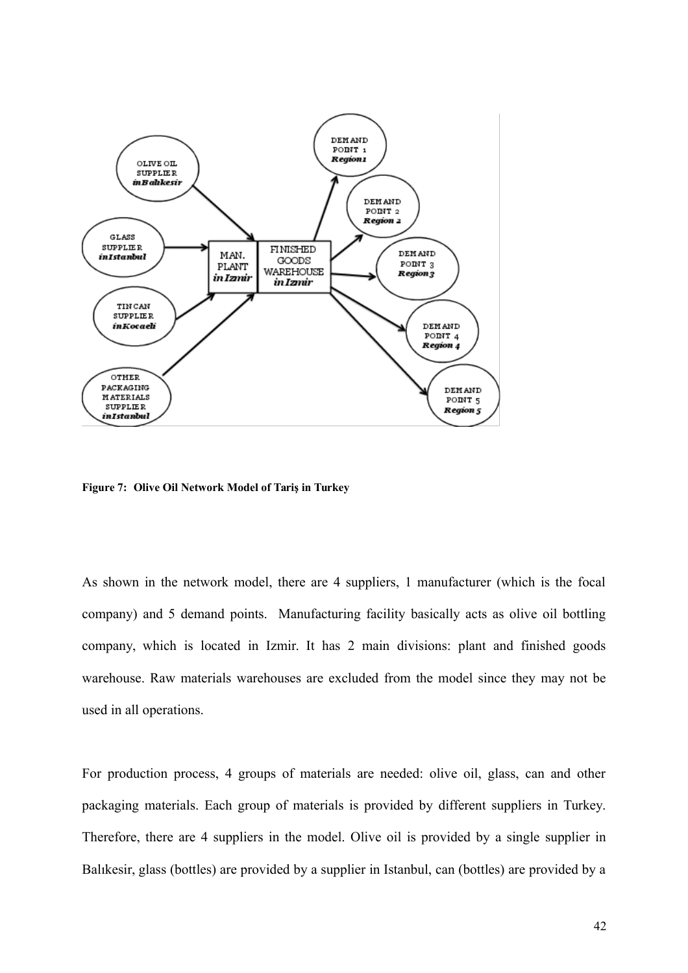

**Figure 7: Olive Oil Network Model of Tariş in Turkey**

As shown in the network model, there are 4 suppliers, 1 manufacturer (which is the focal company) and 5 demand points. Manufacturing facility basically acts as olive oil bottling company, which is located in Izmir. It has 2 main divisions: plant and finished goods warehouse. Raw materials warehouses are excluded from the model since they may not be used in all operations.

For production process, 4 groups of materials are needed: olive oil, glass, can and other packaging materials. Each group of materials is provided by different suppliers in Turkey. Therefore, there are 4 suppliers in the model. Olive oil is provided by a single supplier in Balıkesir, glass (bottles) are provided by a supplier in Istanbul, can (bottles) are provided by a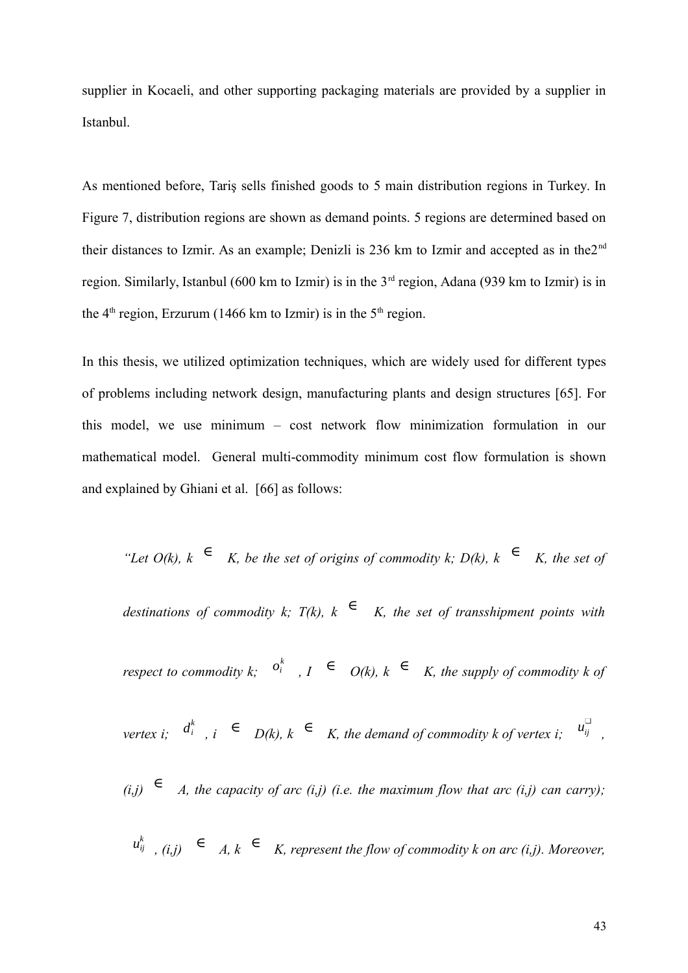supplier in Kocaeli, and other supporting packaging materials are provided by a supplier in Istanbul.

As mentioned before, Tariş sells finished goods to 5 main distribution regions in Turkey. In Figure 7, distribution regions are shown as demand points. 5 regions are determined based on their distances to Izmir. As an example: Denizli is 236 km to Izmir and accepted as in the $2<sup>nd</sup>$ region. Similarly, Istanbul (600 km to Izmir) is in the  $3<sup>rd</sup>$  region, Adana (939 km to Izmir) is in the  $4<sup>th</sup>$  region, Erzurum (1466 km to Izmir) is in the  $5<sup>th</sup>$  region.

In this thesis, we utilized optimization techniques, which are widely used for different types of problems including network design, manufacturing plants and design structures [65]. For this model, we use minimum – cost network flow minimization formulation in our mathematical model. General multi-commodity minimum cost flow formulation is shown and explained by Ghiani et al. [66] as follows:

*"Let O(k), k*  $∈$  *K, be the set of origins of commodity k; D(k), k*  $∈$  *K, the set of* 

*destinations of commodity k;*  $T(k)$ ,  $k \in K$ , the set of transshipment points with

*respect to commodity k*;  $o_i^k$ ,  $I \in O(k)$ ,  $k \in K$ , the supply of commodity k of

*vertex i;*  $d_i^k$ ,  $i \in D(k)$ ,  $k \in K$ , the demand of commodity k of vertex i;  $u_{ij}^{\square}$ *,*

 $(i,j)$   $\in$  A, the capacity of arc  $(i,j)$  (i.e. the maximum flow that arc  $(i,j)$  can carry);

$$
u_{ij}^k
$$
,  $(i,j)$   $\in$  A,  $k \in K$ , represent the flow of commodity  $k$  on arc  $(i,j)$ . Moreover,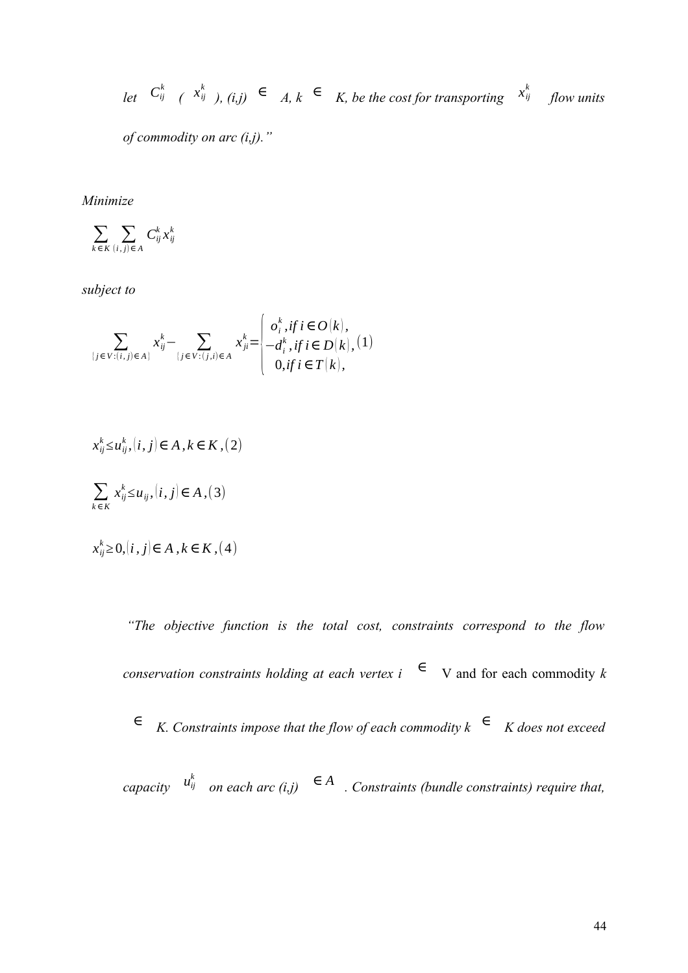*let*  $C_{ij}^k$  ( $x_{ij}^k$ ), (*i,j*) ∈ A,  $k$  ∈ K, be the cost for transporting  $x_{ij}^k$  flow units

*of commodity on arc (i,j)."*

*Minimize*

$$
\sum_{k\in K}\sum_{(i,j)\in A}C_{ij}^{k}x_{ij}^{k}
$$

*subject to*

$$
\sum_{\{j \in V : (i,j) \in A\}} x_{ij}^k - \sum_{\{j \in V : (j,i) \in A\}} x_{ji}^k = \begin{cases} o_i^k, & \text{if } i \in O(k), \\ -d_i^k, & \text{if } i \in D(k), \\ 0, & \text{if } i \in T(k), \end{cases}
$$

$$
x_{ij}^k \le u_{ij}^k, (i, j) \in A, k \in K, (2)
$$
  

$$
\sum_{k \in K} x_{ij}^k \le u_{ij}, (i, j) \in A, (3)
$$

$$
x_{ij}^k \geq 0, (i,j) \in A, k \in K, (4)
$$

*"The objective function is the total cost, constraints correspond to the flow conservation constraints holding at each vertex i*  $\epsilon$  V and for each commodity *k <sup>∈</sup> K. Constraints impose that the flow of each commodity k <sup>∈</sup> K does not exceed capacity*  $u_{ij}^k$  on each arc (i,j)  $∈ A$  *. Constraints (bundle constraints) require that,*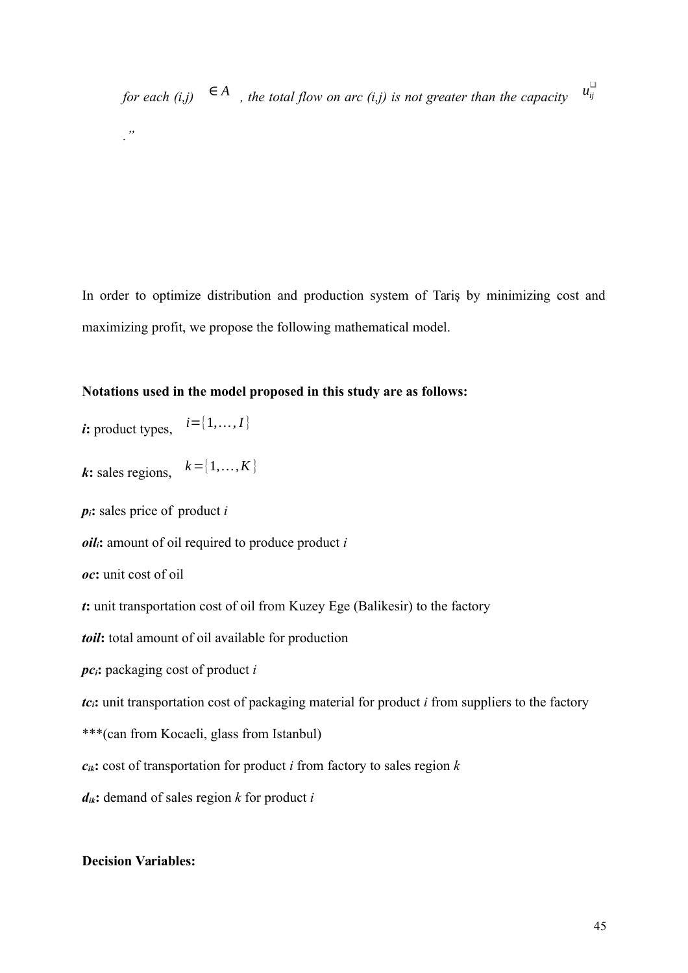*for each*  $(i,j) \in A$ , the total flow on arc  $(i,j)$  is not greater than the capacity *."*

In order to optimize distribution and production system of Tariş by minimizing cost and maximizing profit, we propose the following mathematical model.

#### **Notations used in the model proposed in this study are as follows:**

*i***:** product types,  $i=[1,..., I]$ 

*k***:** sales regions,  $k = \{1, ..., K\}$ 

*pi***:** sales price of product *i*

*oili***:** amount of oil required to produce product *i*

```
oc: unit cost of oil
```
*t***:** unit transportation cost of oil from Kuzey Ege (Balikesir) to the factory

*toil***:** total amount of oil available for production

*pci***:** packaging cost of product *i*

*tc<sub>i</sub>*: unit transportation cost of packaging material for product *i* from suppliers to the factory

\*\*\*(can from Kocaeli, glass from Istanbul)

 $c_{ik}$ **:** cost of transportation for product *i* from factory to sales region *k* 

*dik***:** demand of sales region *k* for product *i*

#### **Decision Variables:**

 $u_{ij}^{\Box}$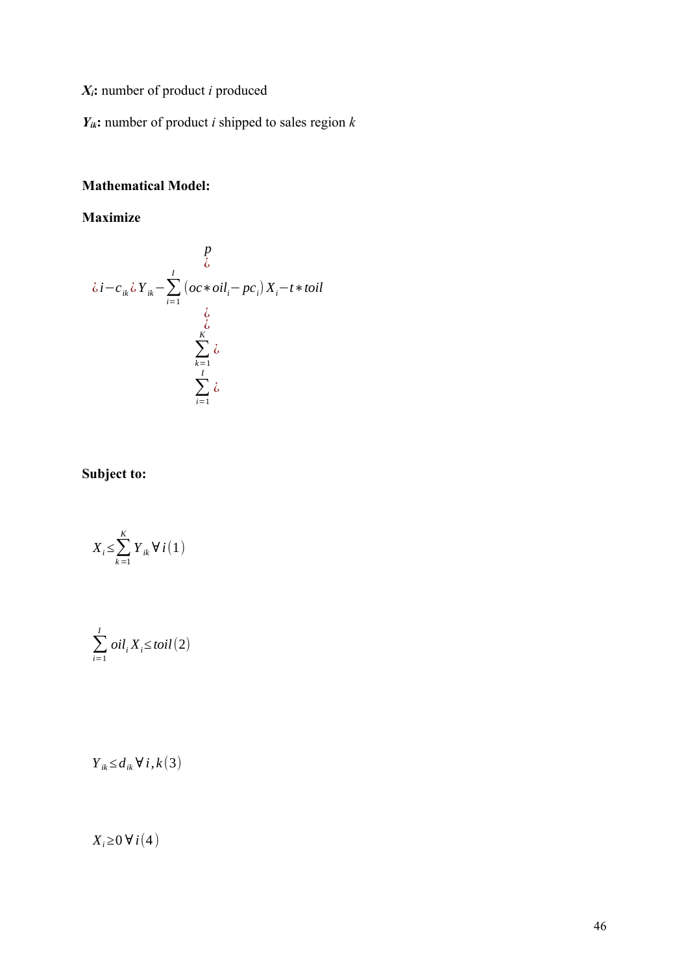*Xi***:** number of product *i* produced

*Yik***:** number of product *i* shipped to sales region *k*

# **Mathematical Model:**

# **Maximize**

$$
\iota_{i} - c_{ik}\iota Y_{ik} - \sum_{i=1}^{I} (oc*oil_{i} - pc_{i})X_{i} - t*tol
$$
  

$$
\iota_{i} \atop \sum_{k=1}^{K} \iota_{i}
$$
  

$$
\sum_{i=1}^{I} \iota_{i}
$$

# **Subject to:**

$$
X_i \leq \sum_{k=1}^{K} Y_{ik} \forall i (1)
$$

$$
\sum_{i=1}^{I} oil_i X_i \leq \text{toil} (2)
$$

*Yik ≤ dik ∀ i, k* (3)

# *X<sup>i</sup> ≥*0 *∀i*(4 )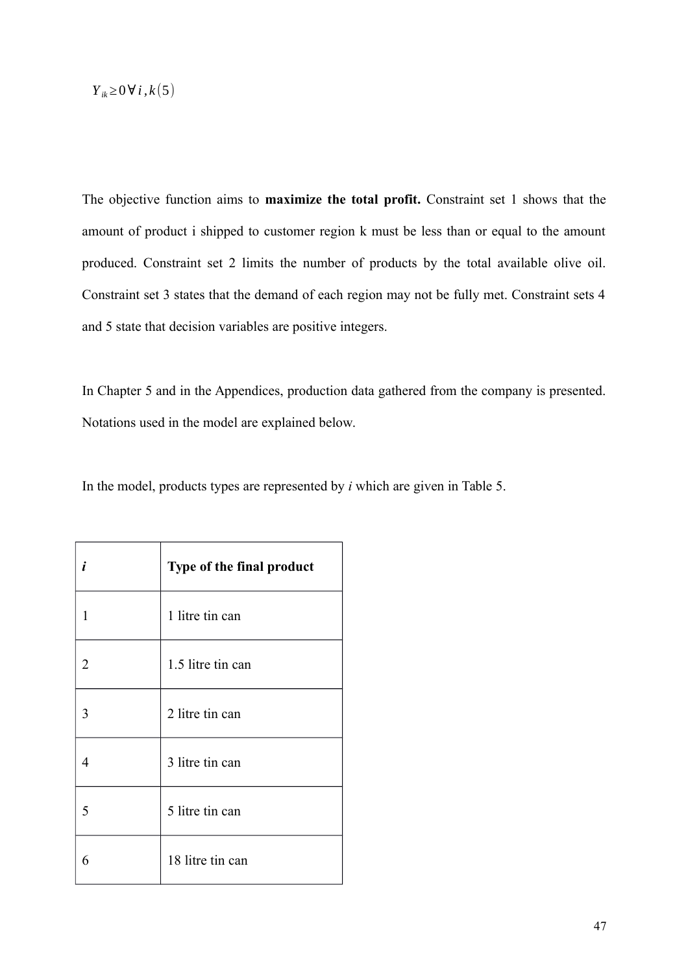# *Yik≥*0*∀i , k* (5)

The objective function aims to **maximize the total profit.** Constraint set 1 shows that the amount of product i shipped to customer region k must be less than or equal to the amount produced. Constraint set 2 limits the number of products by the total available olive oil. Constraint set 3 states that the demand of each region may not be fully met. Constraint sets 4 and 5 state that decision variables are positive integers.

In Chapter 5 and in the Appendices, production data gathered from the company is presented. Notations used in the model are explained below.

In the model, products types are represented by *i* which are given in Table 5.

| i | Type of the final product |
|---|---------------------------|
| 1 | 1 litre tin can           |
| 2 | 1.5 litre tin can         |
| 3 | 2 litre tin can           |
| 4 | 3 litre tin can           |
| 5 | 5 litre tin can           |
| 6 | 18 litre tin can          |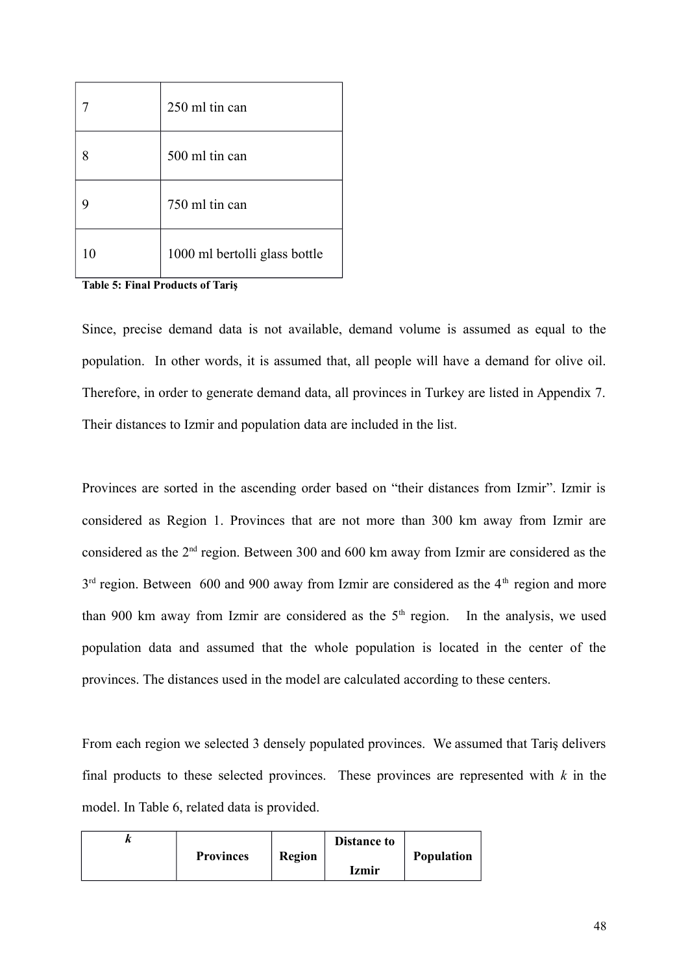|    | 250 ml tin can                |
|----|-------------------------------|
| 8  | 500 ml tin can                |
|    | 750 ml tin can                |
| 10 | 1000 ml bertolli glass bottle |

**Table 5: Final Products of Tariş**

Since, precise demand data is not available, demand volume is assumed as equal to the population. In other words, it is assumed that, all people will have a demand for olive oil. Therefore, in order to generate demand data, all provinces in Turkey are listed in Appendix 7. Their distances to Izmir and population data are included in the list.

Provinces are sorted in the ascending order based on "their distances from Izmir". Izmir is considered as Region 1. Provinces that are not more than 300 km away from Izmir are considered as the 2nd region. Between 300 and 600 km away from Izmir are considered as the  $3<sup>rd</sup>$  region. Between 600 and 900 away from Izmir are considered as the 4<sup>th</sup> region and more than 900 km away from Izmir are considered as the  $5<sup>th</sup>$  region. In the analysis, we used population data and assumed that the whole population is located in the center of the provinces. The distances used in the model are calculated according to these centers.

From each region we selected 3 densely populated provinces. We assumed that Tariş delivers final products to these selected provinces. These provinces are represented with *k* in the model. In Table 6, related data is provided.

| n |                  |               | <b>Distance to</b> |                   |
|---|------------------|---------------|--------------------|-------------------|
|   | <b>Provinces</b> | <b>Region</b> |                    | <b>Population</b> |
|   |                  |               | <b>Izmir</b>       |                   |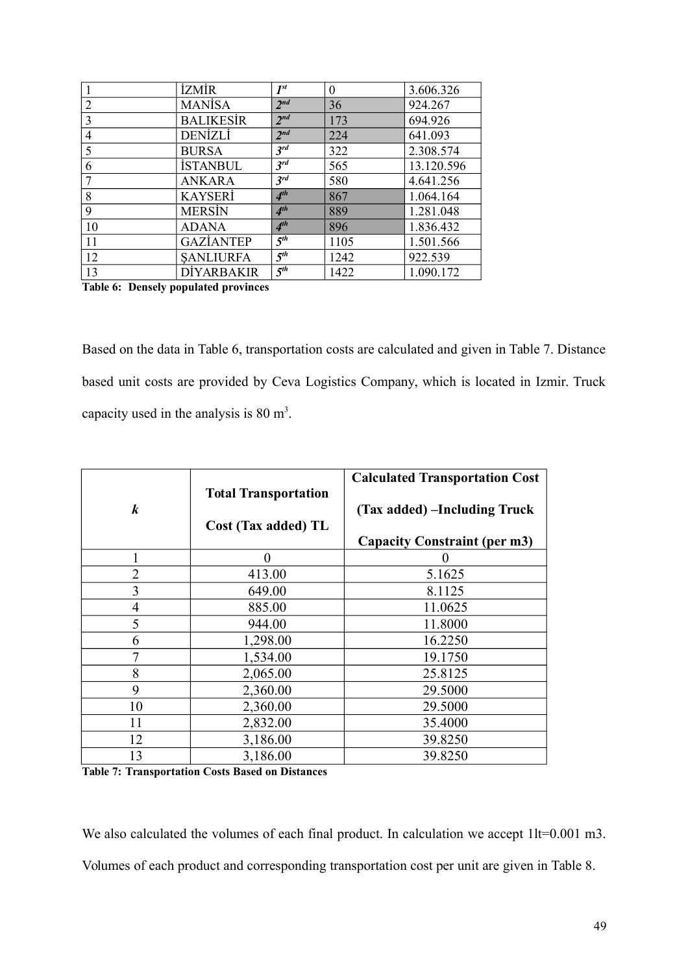|    | <b>İZMİR</b>      | $I^{st}$            | $\boldsymbol{0}$ | 3.606.326  |
|----|-------------------|---------------------|------------------|------------|
| 2  | <b>MANISA</b>     | $2^{nd}$            | 36               | 924.267    |
| 3  | <b>BALIKESIR</b>  | $2^{nd}$            | 173              | 694.926    |
| 4  | <b>DENİZLİ</b>    | 2 <sup>nd</sup>     | 224              | 641.093    |
| 5  | <b>BURSA</b>      | 3 <sup>rd</sup>     | 322              | 2.308.574  |
| 6  | <b>İSTANBUL</b>   | $3^{rd}$            | 565              | 13.120.596 |
|    | <b>ANKARA</b>     | $3^{rd}$            | 580              | 4.641.256  |
| 8  | <b>KAYSERI</b>    | 4 <sup>th</sup>     | 867              | 1.064.164  |
| 9  | <b>MERSIN</b>     | 4 <sup>th</sup>     | 889              | 1.281.048  |
| 10 | <b>ADANA</b>      | 4 <sup>th</sup>     | 896              | 1.836.432  |
| 11 | <b>GAZIANTEP</b>  | $\overline{5^{th}}$ | 1105             | 1.501.566  |
| 12 | <b>SANLIURFA</b>  | 5 <sup>th</sup>     | 1242             | 922.539    |
| 13 | <b>DIYARBAKIR</b> | 5 <sup>th</sup>     | 1422             | 1.090.172  |

**Table 6: Densely populated provinces**

Based on the data in Table 6, transportation costs are calculated and given in Table 7. Distance based unit costs are provided by Ceva Logistics Company, which is located in Izmir. Truck capacity used in the analysis is  $80 \text{ m}^3$ .

| $\boldsymbol{k}$ | <b>Total Transportation</b><br>Cost (Tax added) TL | <b>Calculated Transportation Cost</b><br>(Tax added) –Including Truck |
|------------------|----------------------------------------------------|-----------------------------------------------------------------------|
|                  |                                                    | <b>Capacity Constraint (per m3)</b>                                   |
| 1                | 0                                                  |                                                                       |
| $\overline{2}$   | 413.00                                             | 5.1625                                                                |
| 3                | 649.00                                             | 8.1125                                                                |
| $\overline{4}$   | 885.00                                             | 11.0625                                                               |
| 5                | 944.00                                             | 11.8000                                                               |
| 6                | 1,298.00                                           | 16.2250                                                               |
| 7                | 1,534.00                                           | 19.1750                                                               |
| 8                | 2,065.00                                           | 25.8125                                                               |
| 9                | 2,360.00                                           | 29.5000                                                               |
| 10               | 2,360.00                                           | 29.5000                                                               |
| 11               | 2,832.00                                           | 35.4000                                                               |
| 12               | 3,186.00                                           | 39.8250                                                               |
| 13               | 3,186.00                                           | 39.8250                                                               |

**Table 7: Transportation Costs Based on Distances**

We also calculated the volumes of each final product. In calculation we accept  $1lt=0.001$  m3. Volumes of each product and corresponding transportation cost per unit are given in Table 8.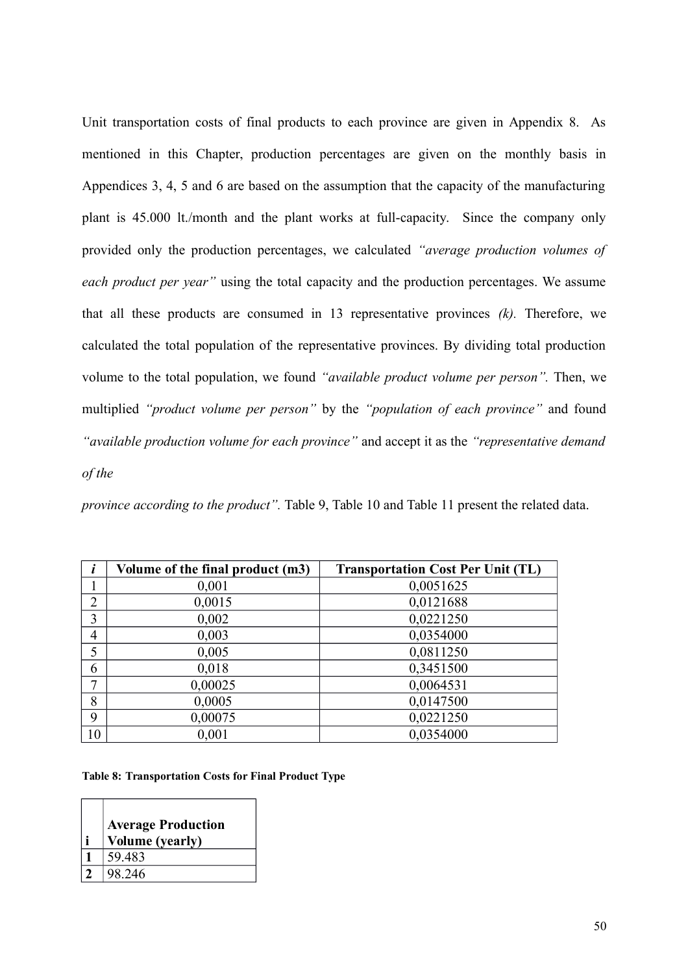Unit transportation costs of final products to each province are given in Appendix 8. As mentioned in this Chapter, production percentages are given on the monthly basis in Appendices 3, 4, 5 and 6 are based on the assumption that the capacity of the manufacturing plant is 45.000 lt./month and the plant works at full-capacity. Since the company only provided only the production percentages, we calculated *"average production volumes of each product per year"* using the total capacity and the production percentages. We assume that all these products are consumed in 13 representative provinces *(k).* Therefore, we calculated the total population of the representative provinces. By dividing total production volume to the total population, we found *"available product volume per person".* Then, we multiplied *"product volume per person"* by the *"population of each province"* and found *"available production volume for each province"* and accept it as the *"representative demand of the*

*province according to the product".* Table 9, Table 10 and Table 11 present the related data.

|                | Volume of the final product (m3) | <b>Transportation Cost Per Unit (TL)</b> |
|----------------|----------------------------------|------------------------------------------|
|                | 0,001                            | 0,0051625                                |
| $\overline{2}$ | 0,0015                           | 0,0121688                                |
| 3              | 0,002                            | 0,0221250                                |
| $\overline{4}$ | 0,003                            | 0,0354000                                |
| 5              | 0,005                            | 0,0811250                                |
| 6              | 0,018                            | 0,3451500                                |
| 7              | 0,00025                          | 0,0064531                                |
| 8              | 0,0005                           | 0,0147500                                |
| 9              | 0,00075                          | 0,0221250                                |
| 10             | 0,001                            | 0,0354000                                |

**Table 8: Transportation Costs for Final Product Type**

| <b>Average Production</b> |
|---------------------------|
| <b>Volume (yearly)</b>    |
| 59.483                    |
| 98.246                    |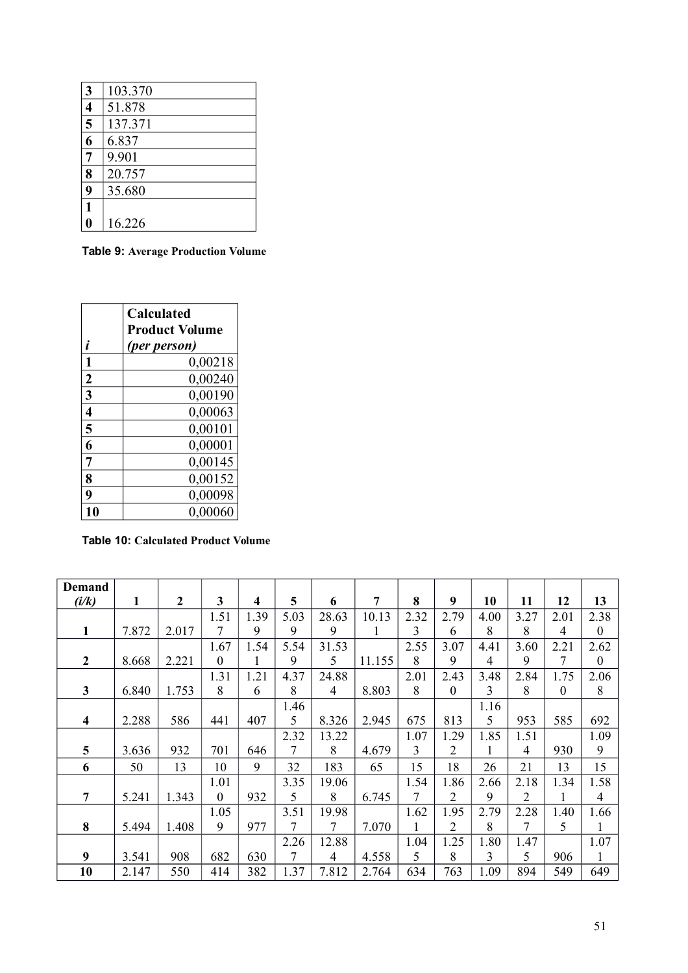| 3 | 103.370 |
|---|---------|
| 4 | 51.878  |
| 5 | 137.371 |
| 6 | 6.837   |
| 7 | 9.901   |
| 8 | 20.757  |
| 9 | 35.680  |
|   |         |
|   | 16.226  |

**Table 9: Average Production Volume**

|                         | <b>Calculated</b><br><b>Product Volume</b> |
|-------------------------|--------------------------------------------|
| İ.                      | (per person)                               |
| 1                       | 0,00218                                    |
| $\boldsymbol{2}$        | 0,00240                                    |
| 3                       | 0,00190                                    |
| $\overline{\mathbf{4}}$ | 0,00063                                    |
| 5                       | 0,00101                                    |
| 6                       | 0,00001                                    |
| 7                       | 0,00145                                    |
| 8                       | 0,00152                                    |
| 9                       | 0,00098                                    |
|                         | 0,00060                                    |

**Table 10: Calculated Product Volume**

| Demand         |       |                  |              |      |      |       |        |      |                |      |                |              |                  |
|----------------|-------|------------------|--------------|------|------|-------|--------|------|----------------|------|----------------|--------------|------------------|
| (i/k)          | 1     | $\boldsymbol{2}$ | 3            | 4    | 5    | 6     | 7      | 8    | 9              | 10   | 11             | 12           | 13               |
|                |       |                  | 1.51         | 1.39 | 5.03 | 28.63 | 10.13  | 2.32 | 2.79           | 4.00 | 3.27           | 2.01         | 2.38             |
| $\mathbf{1}$   | 7.872 | 2.017            | 7            | 9    | 9    | 9     | 1      | 3    | 6              | 8    | 8              | 4            | $\boldsymbol{0}$ |
|                |       |                  | 1.67         | 1.54 | 5.54 | 31.53 |        | 2.55 | 3.07           | 4.41 | 3.60           | 2.21         | 2.62             |
| $\overline{2}$ | 8.668 | 2.221            | $\theta$     |      | 9    | 5     | 11.155 | 8    | 9              | 4    | 9              | 7            | $\boldsymbol{0}$ |
|                |       |                  | 1.31         | 1.21 | 4.37 | 24.88 |        | 2.01 | 2.43           | 3.48 | 2.84           | 1.75         | 2.06             |
| $\mathbf{3}$   | 6.840 | 1.753            | 8            | 6    | 8    | 4     | 8.803  | 8    | $\overline{0}$ | 3    | 8              | $\mathbf{0}$ | 8                |
|                |       |                  |              |      | 1.46 |       |        |      |                | 1.16 |                |              |                  |
| 4              | 2.288 | 586              | 441          | 407  | 5    | 8.326 | 2.945  | 675  | 813            | 5    | 953            | 585          | 692              |
|                |       |                  |              |      | 2.32 | 13.22 |        | 1.07 | 1.29           | 1.85 | 1.51           |              | 1.09             |
| 5              | 3.636 | 932              | 701          | 646  | 7    | 8     | 4.679  | 3    | 2              | 1    | $\overline{4}$ | 930          | 9                |
| 6              | 50    | 13               | 10           | 9    | 32   | 183   | 65     | 15   | 18             | 26   | 21             | 13           | 15               |
|                |       |                  | 1.01         |      | 3.35 | 19.06 |        | 1.54 | 1.86           | 2.66 | 2.18           | 1.34         | 1.58             |
| $\overline{7}$ | 5.241 | 1.343            | $\mathbf{0}$ | 932  | 5    | 8     | 6.745  | 7    | 2              | 9    | $\overline{2}$ | 1            | $\overline{4}$   |
|                |       |                  | 1.05         |      | 3.51 | 19.98 |        | 1.62 | 1.95           | 2.79 | 2.28           | 1.40         | 1.66             |
| 8              | 5.494 | 1.408            | 9            | 977  | 7    | 7     | 7.070  | 1    | $\overline{2}$ | 8    | 7              | 5            | $\mathbf{1}$     |
|                |       |                  |              |      | 2.26 | 12.88 |        | 1.04 | 1.25           | 1.80 | 1.47           |              | 1.07             |
| 9              | 3.541 | 908              | 682          | 630  | 7    | 4     | 4.558  | 5    | 8              | 3    | 5              | 906          | $\mathbf{1}$     |
| 10             | 2.147 | 550              | 414          | 382  | 1.37 | 7.812 | 2.764  | 634  | 763            | 1.09 | 894            | 549          | 649              |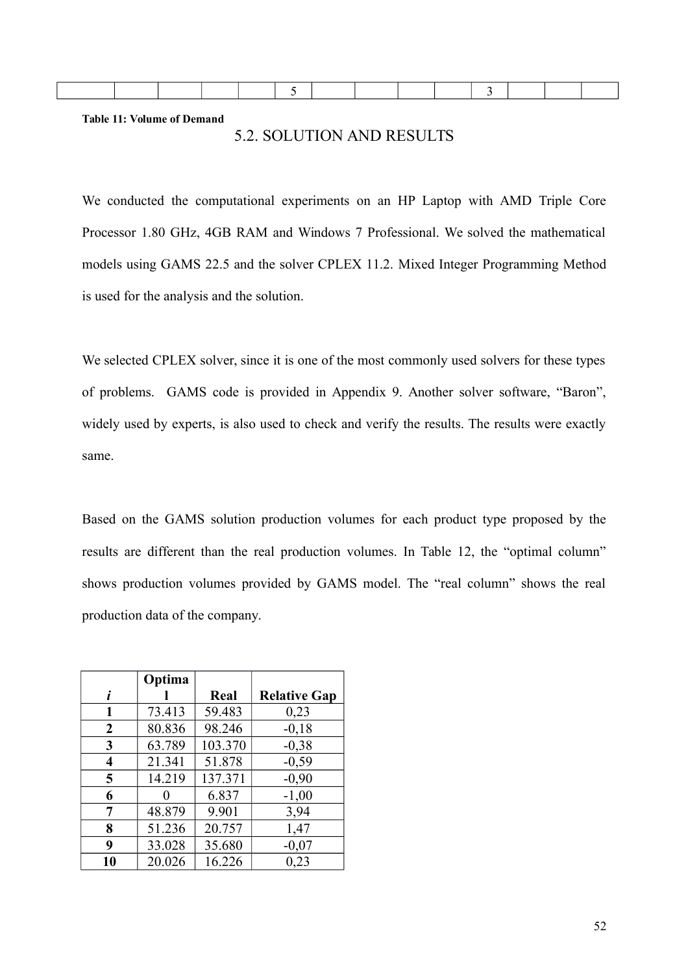**Table 11: Volume of Demand**

# 5.2. SOLUTION AND RESULTS

We conducted the computational experiments on an HP Laptop with AMD Triple Core Processor 1.80 GHz, 4GB RAM and Windows 7 Professional. We solved the mathematical models using GAMS 22.5 and the solver CPLEX 11.2. Mixed Integer Programming Method is used for the analysis and the solution.

We selected CPLEX solver, since it is one of the most commonly used solvers for these types of problems. GAMS code is provided in Appendix 9. Another solver software, "Baron", widely used by experts, is also used to check and verify the results. The results were exactly same.

Based on the GAMS solution production volumes for each product type proposed by the results are different than the real production volumes. In Table 12, the "optimal column" shows production volumes provided by GAMS model. The "real column" shows the real production data of the company.

|                  | Optima |         |                     |
|------------------|--------|---------|---------------------|
| i                |        | Real    | <b>Relative Gap</b> |
| 1                | 73.413 | 59.483  | 0,23                |
| $\boldsymbol{2}$ | 80.836 | 98.246  | $-0,18$             |
| 3                | 63.789 | 103.370 | $-0,38$             |
| 4                | 21.341 | 51.878  | $-0,59$             |
| 5                | 14.219 | 137.371 | $-0,90$             |
| 6                |        | 6.837   | $-1,00$             |
| 7                | 48.879 | 9.901   | 3,94                |
| 8                | 51.236 | 20.757  | 1,47                |
| 9                | 33.028 | 35.680  | $-0,07$             |
| 10               | 20.026 | 16.226  | 0,23                |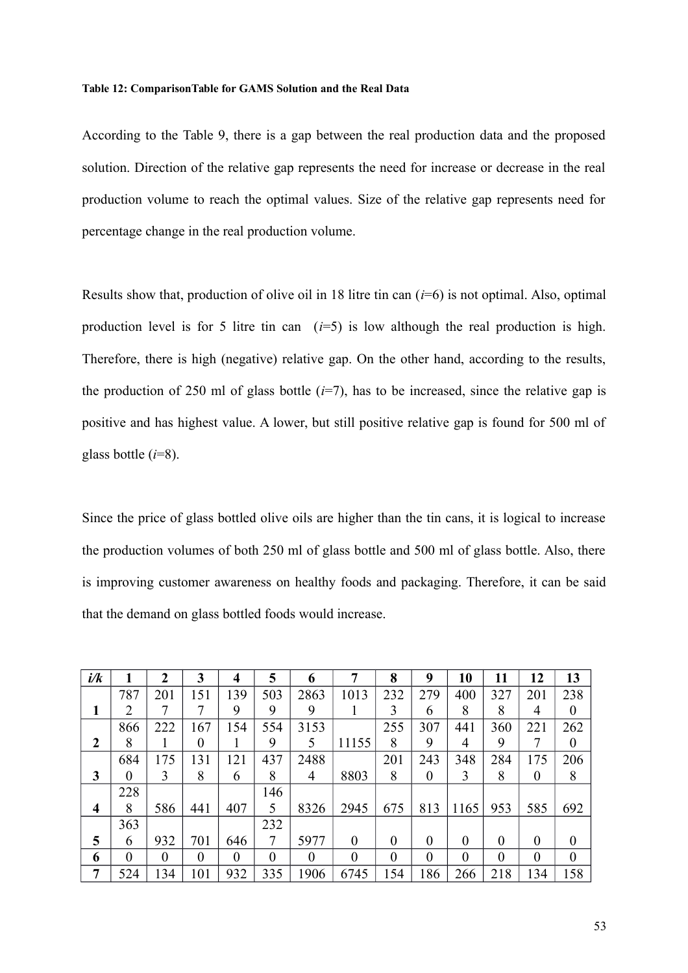#### **Table 12: ComparisonTable for GAMS Solution and the Real Data**

According to the Table 9, there is a gap between the real production data and the proposed solution. Direction of the relative gap represents the need for increase or decrease in the real production volume to reach the optimal values. Size of the relative gap represents need for percentage change in the real production volume.

Results show that, production of olive oil in 18 litre tin can (*i*=6) is not optimal. Also, optimal production level is for 5 litre tin can  $(i=5)$  is low although the real production is high. Therefore, there is high (negative) relative gap. On the other hand, according to the results, the production of 250 ml of glass bottle  $(i=7)$ , has to be increased, since the relative gap is positive and has highest value. A lower, but still positive relative gap is found for 500 ml of glass bottle (*i*=8).

Since the price of glass bottled olive oils are higher than the tin cans, it is logical to increase the production volumes of both 250 ml of glass bottle and 500 ml of glass bottle. Also, there is improving customer awareness on healthy foods and packaging. Therefore, it can be said that the demand on glass bottled foods would increase.

| i/k                     |                | $\mathbf 2$ | 3              | 4        | 5        | 6        | 7        | 8        | 9        | 10             | 11       | 12       | 13       |
|-------------------------|----------------|-------------|----------------|----------|----------|----------|----------|----------|----------|----------------|----------|----------|----------|
|                         | 787            | 201         | 151            | 139      | 503      | 2863     | 1013     | 232      | 279      | 400            | 327      | 201      | 238      |
|                         | 2              | 7           | 7              | 9        | 9        | 9        |          | 3        | 6        | 8              | 8        | 4        | $\theta$ |
|                         | 866            | 222         | 167            | 154      | 554      | 3153     |          | 255      | 307      | 441            | 360      | 221      | 262      |
| $\boldsymbol{2}$        | 8              | 1           | $\theta$       |          | 9        | 5        | 11155    | 8        | 9        | 4              | 9        |          | $\theta$ |
|                         | 684            | 175         | 131            | 121      | 437      | 2488     |          | 201      | 243      | 348            | 284      | 175      | 206      |
| 3                       | $\theta$       | 3           | 8              | 6        | 8        | 4        | 8803     | 8        | $\theta$ | 3              | 8        | $\Omega$ | 8        |
|                         | 228            |             |                |          | 146      |          |          |          |          |                |          |          |          |
| $\overline{\mathbf{4}}$ | 8              | 586         | 441            | 407      | 5        | 8326     | 2945     | 675      | 813      | 1165           | 953      | 585      | 692      |
|                         | 363            |             |                |          | 232      |          |          |          |          |                |          |          |          |
| 5                       | 6              | 932         | 701            | 646      | 7        | 5977     | $\theta$ | $\theta$ | $\Omega$ | $\theta$       | $\theta$ | $\theta$ | $\Omega$ |
| 6                       | $\overline{0}$ | $\theta$    | $\overline{0}$ | $\theta$ | $\theta$ | $\theta$ | 0        | $\theta$ | $\theta$ | $\overline{0}$ | $\theta$ | $\theta$ | $\theta$ |
| $\overline{7}$          | 524            | 134         | 101            | 932      | 335      | 1906     | 6745     | 154      | 186      | 266            | 218      | 134      | 158      |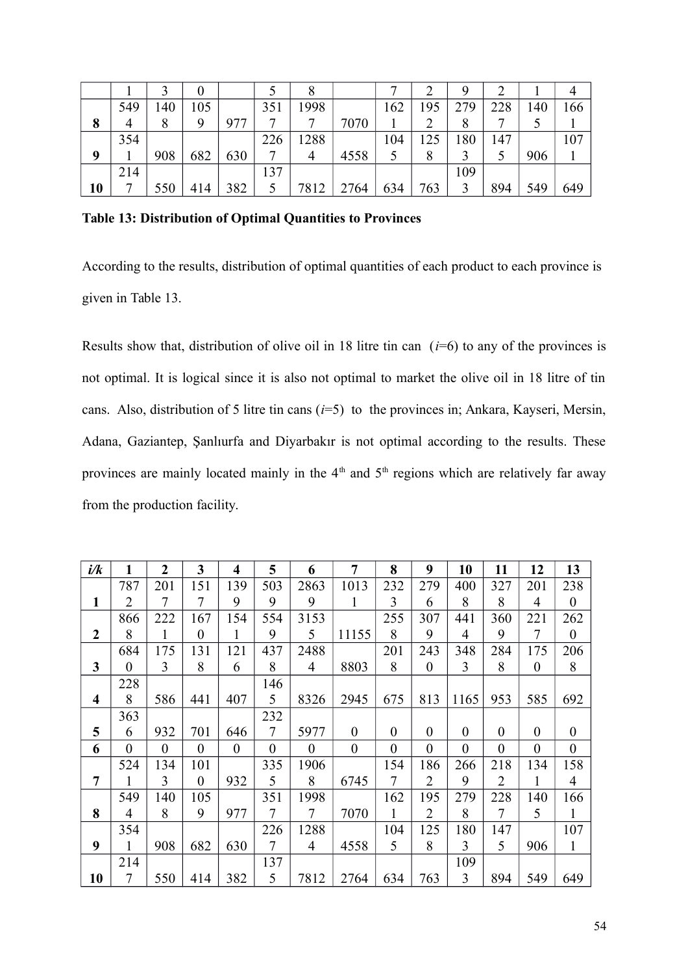|    |     |     |     |     |     |      |      |     |     | q   |     |     |     |
|----|-----|-----|-----|-----|-----|------|------|-----|-----|-----|-----|-----|-----|
|    | 549 | 40ء | 105 |     | 351 | 1998 |      | 162 | .95 | 279 | 228 | 140 | 166 |
| 8  | 4   | 8   | 9   | 977 |     |      | 7070 |     |     | 8   |     |     |     |
|    | 354 |     |     |     | 226 | 288  |      | 104 | 25  | 180 | 147 |     | 107 |
| Q  |     | 908 | 682 | 630 |     | 4    | 4558 |     | 8   |     |     | 906 |     |
|    | 214 |     |     |     | 137 |      |      |     |     | 109 |     |     |     |
| 10 | −   | 550 | 414 | 382 | 5   | 7812 | 2764 | 634 | 763 | 3   | 894 | 549 | 649 |

**Table 13: Distribution of Optimal Quantities to Provinces**

According to the results, distribution of optimal quantities of each product to each province is given in Table 13.

Results show that, distribution of olive oil in 18 litre tin can  $(i=6)$  to any of the provinces is not optimal. It is logical since it is also not optimal to market the olive oil in 18 litre of tin cans. Also, distribution of 5 litre tin cans (*i*=5) to the provinces in; Ankara, Kayseri, Mersin, Adana, Gaziantep, Şanlıurfa and Diyarbakır is not optimal according to the results. These provinces are mainly located mainly in the  $4<sup>th</sup>$  and  $5<sup>th</sup>$  regions which are relatively far away from the production facility.

| i/k                     | 1                        | $\overline{2}$ | 3            | $\overline{\mathbf{4}}$ | 5                | 6                | $\overline{7}$   | 8                | 9                | 10               | 11               | 12               | 13               |
|-------------------------|--------------------------|----------------|--------------|-------------------------|------------------|------------------|------------------|------------------|------------------|------------------|------------------|------------------|------------------|
|                         | 787                      | 201            | 151          | 139                     | 503              | 2863             | 1013             | 232              | 279              | 400              | 327              | 201              | 238              |
| 1                       | $\overline{2}$           | 7              | 7            | 9                       | 9                | 9                | $\mathbf{1}$     | 3                | 6                | 8                | 8                | $\overline{4}$   | $\boldsymbol{0}$ |
|                         | 866                      | 222            | 167          | 154                     | 554              | 3153             |                  | 255              | 307              | 441              | 360              | 221              | 262              |
| $\boldsymbol{2}$        | 8                        | $\mathbf{1}$   | $\theta$     | $\mathbf{1}$            | 9                | 5                | 11155            | 8                | 9                | $\overline{4}$   | 9                | $\overline{7}$   | $\mathbf{0}$     |
|                         | 684                      | 175            | 131          | 121                     | 437              | 2488             |                  | 201              | 243              | 348              | 284              | 175              | 206              |
| 3                       | $\overline{0}$           | 3              | 8            | 6                       | 8                | $\overline{4}$   | 8803             | 8                | $\theta$         | 3                | 8                | $\theta$         | 8                |
|                         | 228                      |                |              |                         | 146              |                  |                  |                  |                  |                  |                  |                  |                  |
| $\overline{\mathbf{4}}$ | 8                        | 586            | 441          | 407                     | 5 <sup>1</sup>   | 8326             | 2945             | 675              | 813              | 1165             | 953              | 585              | 692              |
|                         | 363                      |                |              |                         | 232              |                  |                  |                  |                  |                  |                  |                  |                  |
| 5                       | 6                        | 932            | 701          | 646                     | $\overline{7}$   | 5977             | $\boldsymbol{0}$ | $\theta$         | $\theta$         | $\boldsymbol{0}$ | $\boldsymbol{0}$ | $\theta$         | $\boldsymbol{0}$ |
| 6                       | $\theta$                 | $\overline{0}$ | $\mathbf{0}$ | $\theta$                | $\boldsymbol{0}$ | $\boldsymbol{0}$ | $\boldsymbol{0}$ | $\boldsymbol{0}$ | $\boldsymbol{0}$ | $\boldsymbol{0}$ | $\boldsymbol{0}$ | $\boldsymbol{0}$ | $\boldsymbol{0}$ |
|                         | 524                      | 134            | 101          |                         | 335              | 1906             |                  | 154              | 186              | 266              | 218              | 134              | 158              |
| $\overline{7}$          | 1                        | 3              | $\theta$     | 932                     | 5                | 8                | 6745             | $\overline{7}$   | $\overline{2}$   | 9                | $\overline{2}$   |                  | $\overline{4}$   |
|                         | 549                      | 140            | 105          |                         | 351              | 1998             |                  | 162              | 195              | 279              | 228              | 140              | 166              |
| 8                       | $\overline{4}$           | 8              | 9            | 977                     | $\tau$           | $7\overline{ }$  | 7070             | $\mathbf{1}$     | $\overline{2}$   | 8                | $\overline{7}$   | 5                | $\mathbf{1}$     |
|                         | 354                      |                |              |                         | 226              | 1288             |                  | 104              | 125              | 180              | 147              |                  | 107              |
| 9                       | $\mathbf{1}$             | 908            | 682          | 630                     | $7\overline{ }$  | $\overline{4}$   | 4558             | $5\overline{)}$  | 8                | 3                | 5                | 906              | $\mathbf{1}$     |
|                         | 214                      |                |              |                         | 137              |                  |                  |                  |                  | 109              |                  |                  |                  |
| 10                      | $\overline{\mathcal{L}}$ | 550            | 414          | 382                     | 5                | 7812             | 2764             | 634              | 763              | $\overline{3}$   | 894              | 549              | 649              |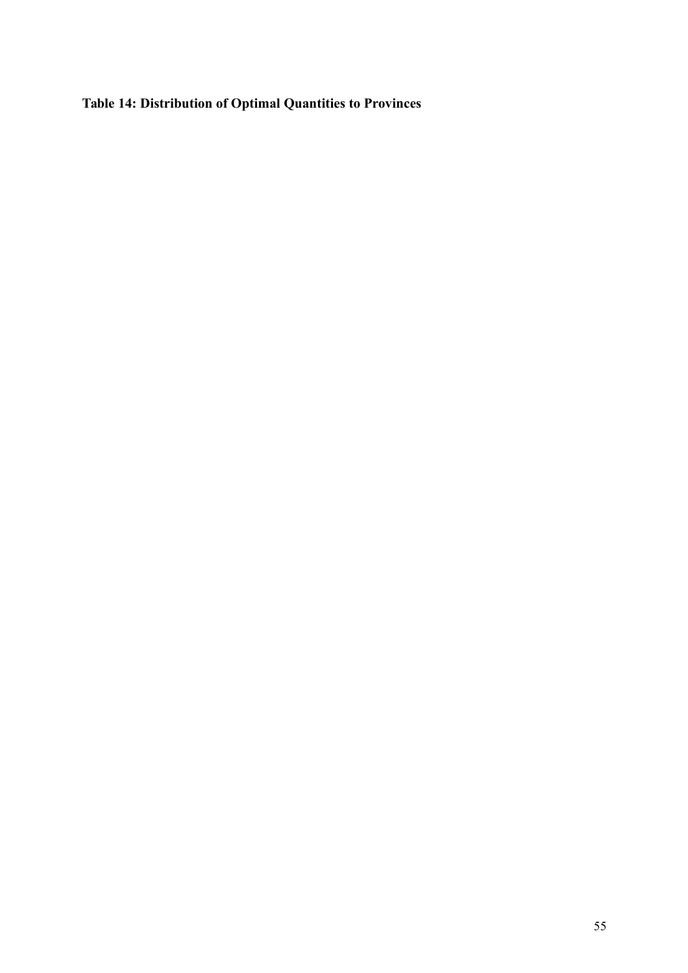# **Table 14: Distribution of Optimal Quantities to Provinces**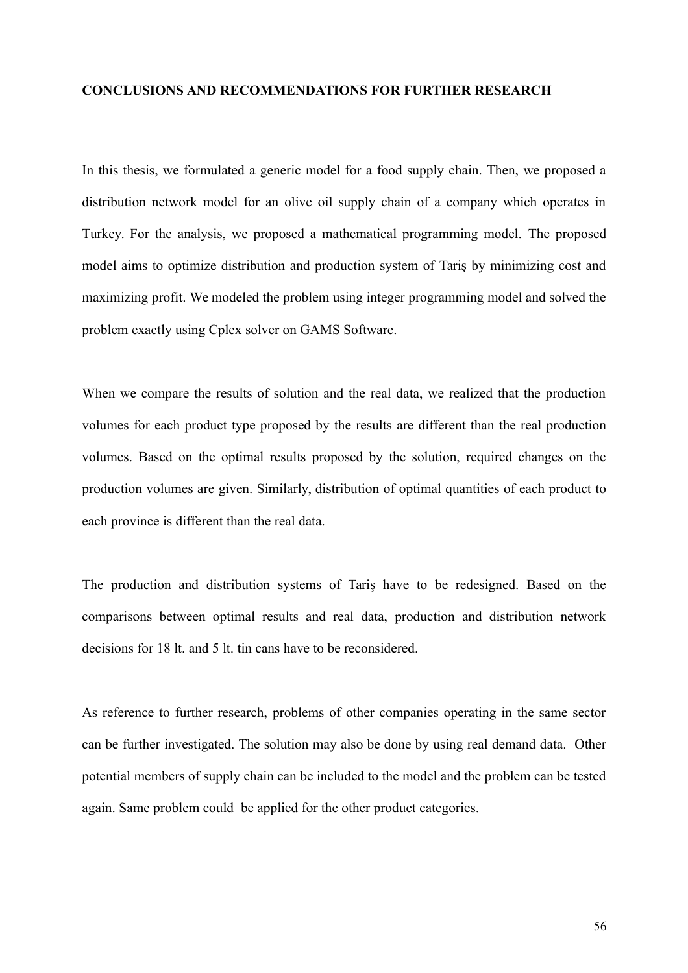#### **CONCLUSIONS AND RECOMMENDATIONS FOR FURTHER RESEARCH**

In this thesis, we formulated a generic model for a food supply chain. Then, we proposed a distribution network model for an olive oil supply chain of a company which operates in Turkey. For the analysis, we proposed a mathematical programming model. The proposed model aims to optimize distribution and production system of Tariş by minimizing cost and maximizing profit. We modeled the problem using integer programming model and solved the problem exactly using Cplex solver on GAMS Software.

When we compare the results of solution and the real data, we realized that the production volumes for each product type proposed by the results are different than the real production volumes. Based on the optimal results proposed by the solution, required changes on the production volumes are given. Similarly, distribution of optimal quantities of each product to each province is different than the real data.

The production and distribution systems of Tariş have to be redesigned. Based on the comparisons between optimal results and real data, production and distribution network decisions for 18 lt. and 5 lt. tin cans have to be reconsidered.

As reference to further research, problems of other companies operating in the same sector can be further investigated. The solution may also be done by using real demand data. Other potential members of supply chain can be included to the model and the problem can be tested again. Same problem could be applied for the other product categories.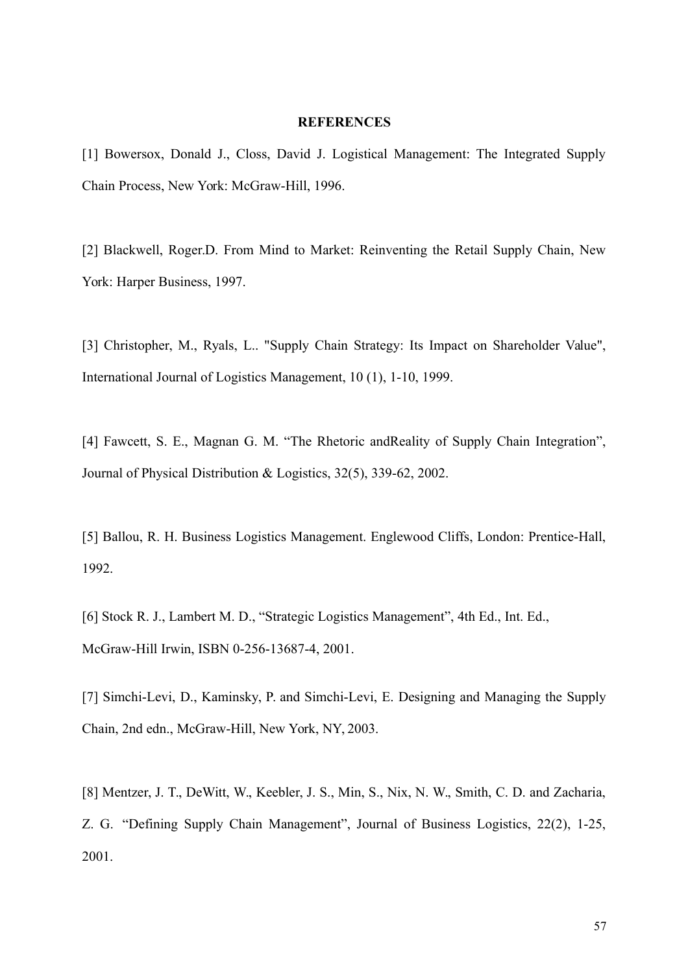#### **REFERENCES**

[1] Bowersox, Donald J., Closs, David J. Logistical Management: The Integrated Supply Chain Process, New York: McGraw-Hill, 1996.

[2] Blackwell, Roger.D. From Mind to Market: Reinventing the Retail Supply Chain, New York: Harper Business, 1997.

[3] Christopher, M., Ryals, L.. "Supply Chain Strategy: Its Impact on Shareholder Value", International Journal of Logistics Management, 10 (1), 1-10, 1999.

[4] Fawcett, S. E., Magnan G. M. "The Rhetoric andReality of Supply Chain Integration", Journal of Physical Distribution & Logistics, 32(5), 339-62, 2002.

[5] Ballou, R. H. Business Logistics Management. Englewood Cliffs, London: Prentice-Hall, 1992.

[6] Stock R. J., Lambert M. D., "Strategic Logistics Management", 4th Ed., Int. Ed., McGraw-Hill Irwin, ISBN 0-256-13687-4, 2001.

[7] Simchi-Levi, D., Kaminsky, P. and Simchi-Levi, E. Designing and Managing the Supply Chain, 2nd edn., McGraw-Hill, New York, NY, 2003.

[8] Mentzer, J. T., DeWitt, W., Keebler, J. S., Min, S., Nix, N. W., Smith, C. D. and Zacharia, Z. G. "Defining Supply Chain Management", Journal of Business Logistics, 22(2), 1-25, 2001.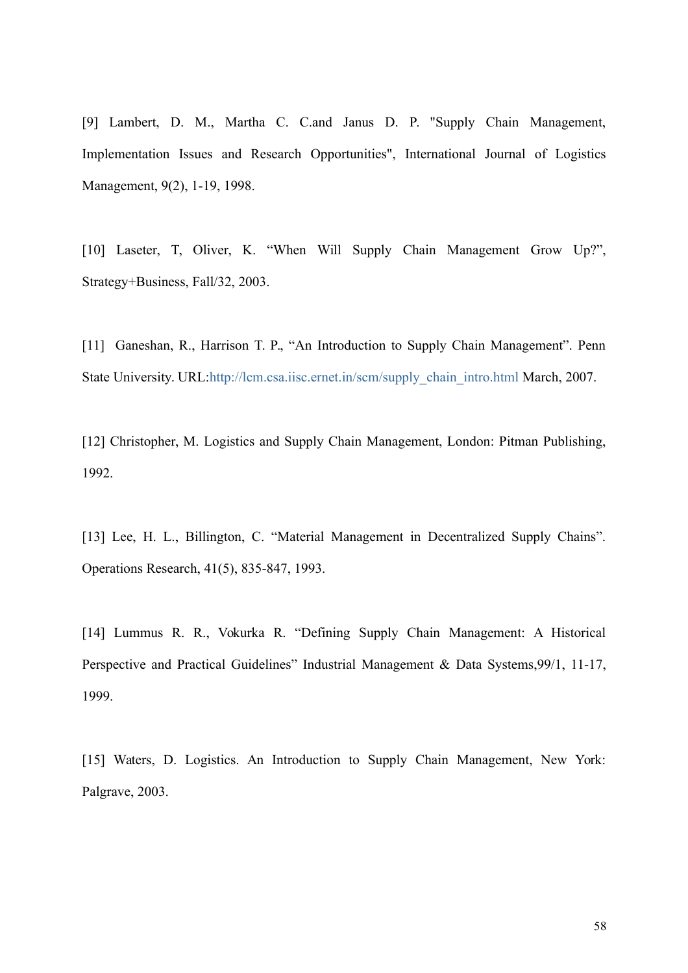[9] Lambert, D. M., Martha C. C.and Janus D. P. "Supply Chain Management, Implementation Issues and Research Opportunities", International Journal of Logistics Management, 9(2), 1-19, 1998.

[10] Laseter, T, Oliver, K. "When Will Supply Chain Management Grow Up?", Strategy+Business, Fall/32, 2003.

[11] Ganeshan, R., Harrison T. P., "An Introduction to Supply Chain Management". Penn State University. URL[:http://lcm.csa.iisc.ernet.in/scm/supply\\_chain\\_intro.html](http://lcm.csa.iisc.ernet.in/scm/supply_chain_intro.html) March, 2007.

[12] Christopher, M. Logistics and Supply Chain Management, London: Pitman Publishing, 1992.

[13] Lee, H. L., Billington, C. "Material Management in Decentralized Supply Chains". Operations Research, 41(5), 835-847, 1993.

[14] Lummus R. R., Vokurka R. "Defining Supply Chain Management: A Historical Perspective and Practical Guidelines" Industrial Management & Data Systems,99/1, 11-17, 1999.

[15] Waters, D. Logistics. An Introduction to Supply Chain Management, New York: Palgrave, 2003.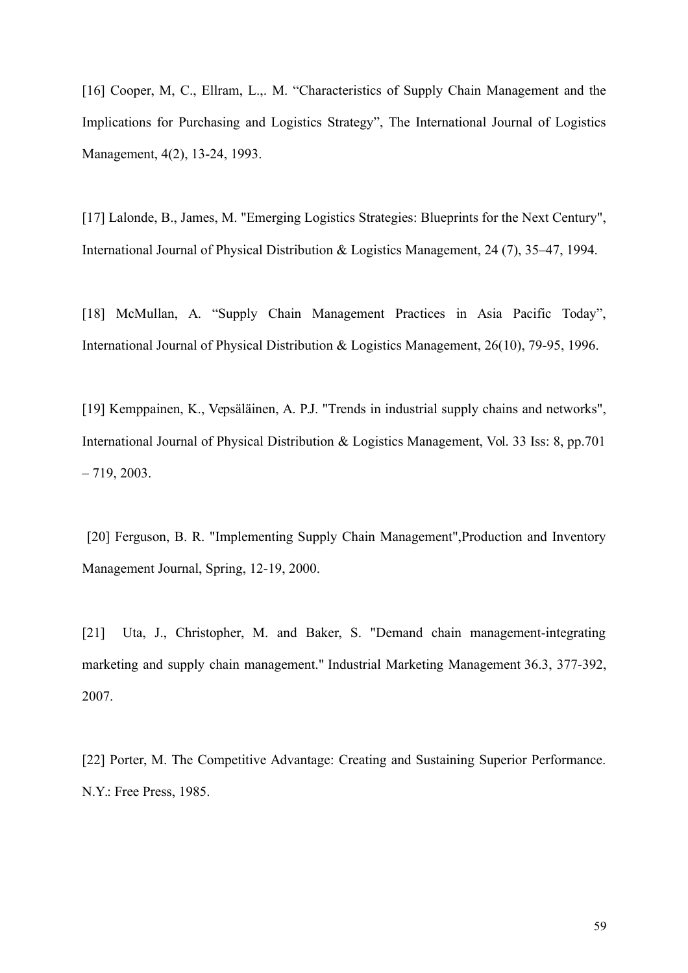[16] Cooper, M, C., Ellram, L.,. M. "Characteristics of Supply Chain Management and the Implications for Purchasing and Logistics Strategy", The International Journal of Logistics Management, 4(2), 13-24, 1993.

[17] Lalonde, B., James, M. "Emerging Logistics Strategies: Blueprints for the Next Century", International Journal of Physical Distribution & Logistics Management, 24 (7), 35–47, 1994.

[18] McMullan, A. "Supply Chain Management Practices in Asia Pacific Today", International Journal of Physical Distribution & Logistics Management, 26(10), 79-95, 1996.

[19] Kemppainen, K., Vepsäläinen, A. P.J. "Trends in industrial supply chains and networks", International Journal of Physical Distribution & Logistics Management, Vol. 33 Iss: 8, pp.701  $-719, 2003$ .

 [20] Ferguson, B. R. "Implementing Supply Chain Management",Production and Inventory Management Journal, Spring, 12-19, 2000.

[21] Uta, J., Christopher, M. and Baker, S. "Demand chain management-integrating marketing and supply chain management." Industrial Marketing Management 36.3, 377-392, 2007.

[22] Porter, M. The Competitive Advantage: Creating and Sustaining Superior Performance. N.Y.: Free Press, 1985.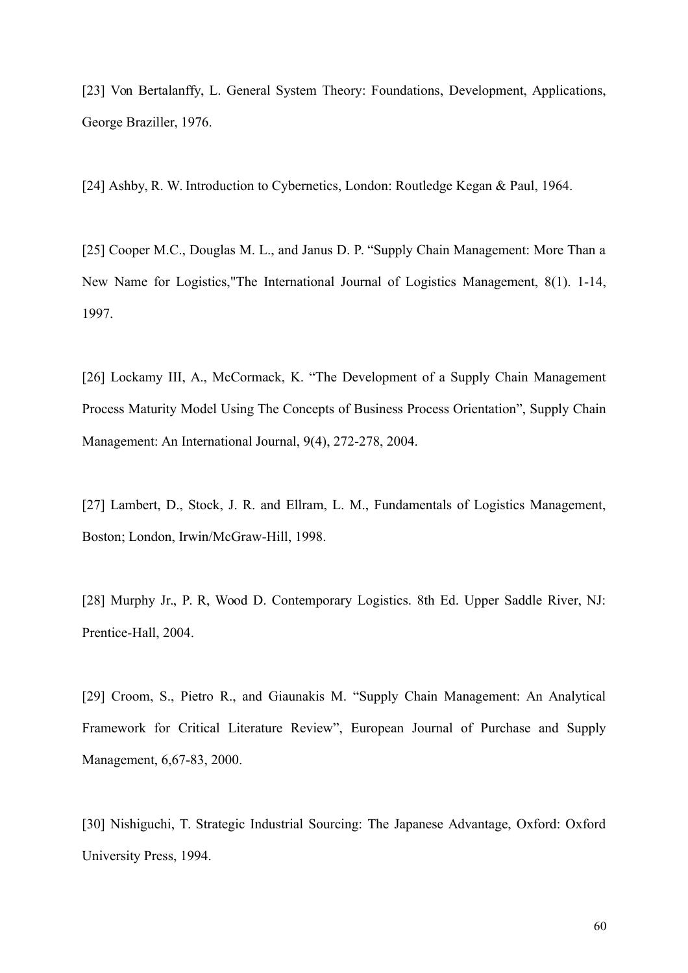[23] Von Bertalanffy, L. General System Theory: Foundations, Development, Applications, George Braziller, 1976.

[24] Ashby, R. W. Introduction to Cybernetics, London: Routledge Kegan & Paul, 1964.

[25] Cooper M.C., Douglas M. L., and Janus D. P. "Supply Chain Management: More Than a New Name for Logistics,"The International Journal of Logistics Management, 8(1). 1-14, 1997.

[26] Lockamy III, A., McCormack, K. "The Development of a Supply Chain Management Process Maturity Model Using The Concepts of Business Process Orientation", Supply Chain Management: An International Journal, 9(4), 272-278, 2004.

[27] Lambert, D., Stock, J. R. and Ellram, L. M., Fundamentals of Logistics Management, Boston; London, Irwin/McGraw-Hill, 1998.

[28] Murphy Jr., P. R, Wood D. Contemporary Logistics. 8th Ed. Upper Saddle River, NJ: Prentice-Hall, 2004.

[29] Croom, S., Pietro R., and Giaunakis M. "Supply Chain Management: An Analytical Framework for Critical Literature Review", European Journal of Purchase and Supply Management, 6,67-83, 2000.

[30] Nishiguchi, T. Strategic Industrial Sourcing: The Japanese Advantage, Oxford: Oxford University Press, 1994.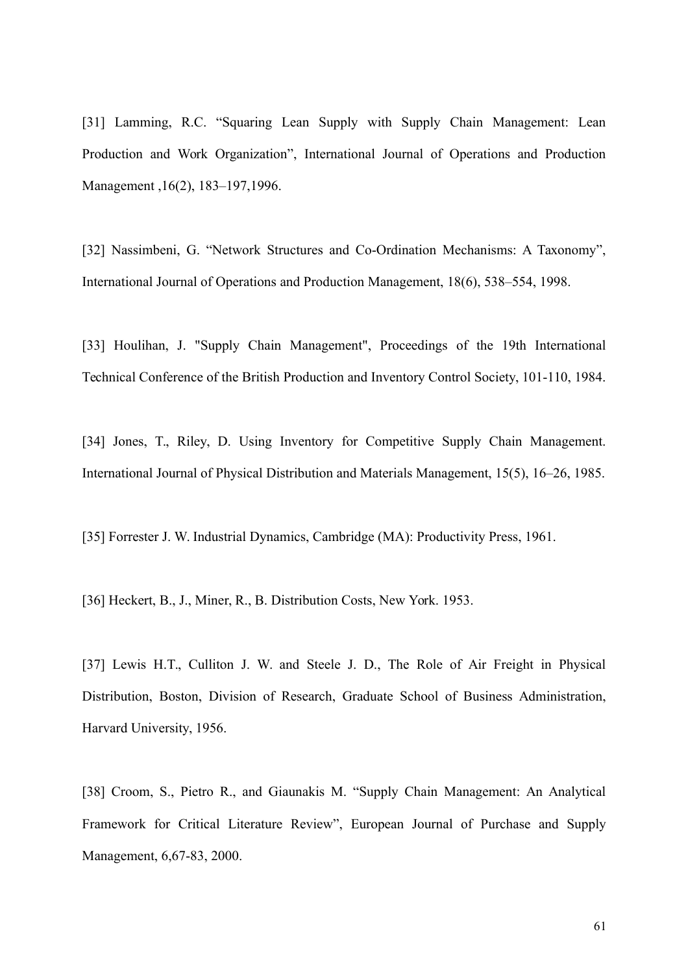[31] Lamming, R.C. "Squaring Lean Supply with Supply Chain Management: Lean Production and Work Organization", International Journal of Operations and Production Management ,16(2), 183–197,1996.

[32] Nassimbeni, G. "Network Structures and Co-Ordination Mechanisms: A Taxonomy", International Journal of Operations and Production Management, 18(6), 538–554, 1998.

[33] Houlihan, J. "Supply Chain Management", Proceedings of the 19th International Technical Conference of the British Production and Inventory Control Society, 101-110, 1984.

[34] Jones, T., Riley, D. Using Inventory for Competitive Supply Chain Management. International Journal of Physical Distribution and Materials Management, 15(5), 16–26, 1985.

[35] Forrester J. W. Industrial Dynamics, Cambridge (MA): Productivity Press, 1961.

[36] Heckert, B., J., Miner, R., B. Distribution Costs, New York. 1953.

[37] Lewis H.T., Culliton J. W. and Steele J. D., The Role of Air Freight in Physical Distribution, Boston, Division of Research, Graduate School of Business Administration, Harvard University, 1956.

[38] Croom, S., Pietro R., and Giaunakis M. "Supply Chain Management: An Analytical Framework for Critical Literature Review", European Journal of Purchase and Supply Management, 6,67-83, 2000.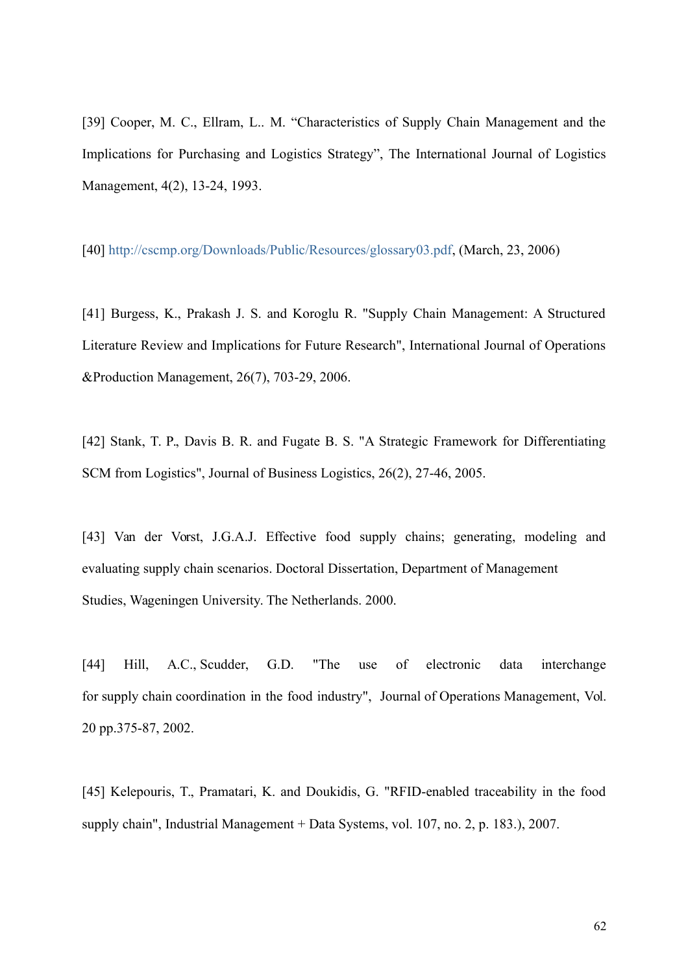[39] Cooper, M. C., Ellram, L.. M. "Characteristics of Supply Chain Management and the Implications for Purchasing and Logistics Strategy", The International Journal of Logistics Management, 4(2), 13-24, 1993.

[40] [http://cscmp.org/Downloads/Public/Resources/glossary03.pdf,](http://cscmp.org/Downloads/Public/Resources/glossary03.pdf) (March, 23, 2006)

[41] Burgess, K., Prakash J. S. and Koroglu R. "Supply Chain Management: A Structured Literature Review and Implications for Future Research", International Journal of Operations &Production Management, 26(7), 703-29, 2006.

[42] Stank, T. P., Davis B. R. and Fugate B. S. "A Strategic Framework for Differentiating SCM from Logistics", Journal of Business Logistics, 26(2), 27-46, 2005.

[43] Van der Vorst, J.G.A.J. Effective food supply chains; generating, modeling and evaluating supply chain scenarios. Doctoral Dissertation, Department of Management Studies, Wageningen University. The Netherlands. 2000.

[44] Hill, A.C., Scudder, G.D. "The use of electronic data interchange for supply chain coordination in the food industry", Journal of Operations Management, Vol. 20 pp.375-87, 2002.

[45] Kelepouris, T., Pramatari, K. and Doukidis, G. "RFID-enabled traceability in the food supply chain", Industrial Management + Data Systems, vol. 107, no. 2, p. 183.), 2007.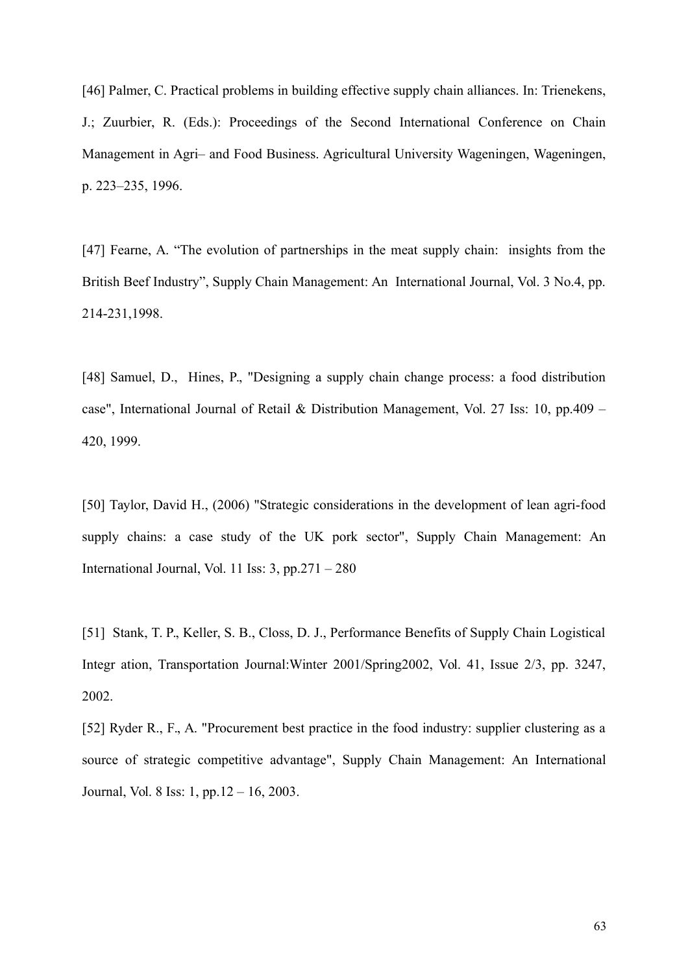[46] Palmer, C. Practical problems in building effective supply chain alliances. In: Trienekens, J.; Zuurbier, R. (Eds.): Proceedings of the Second International Conference on Chain Management in Agri– and Food Business. Agricultural University Wageningen, Wageningen, p. 223–235, 1996.

[47] Fearne, A. "The evolution of partnerships in the meat supply chain: insights from the British Beef Industry", Supply Chain Management: An International Journal, Vol. 3 No.4, pp. 214-231,1998.

[48] Samuel, D., Hines, P., "Designing a supply chain change process: a food distribution case", International Journal of Retail & Distribution Management, Vol. 27 Iss: 10, pp.409 – 420, 1999.

[50] Taylor, David H., (2006) "Strategic considerations in the development of lean agri-food supply chains: a case study of the UK pork sector", Supply Chain Management: An International Journal, Vol. 11 Iss: 3, pp.271 – 280

[51] Stank, T. P., Keller, S. B., Closs, D. J., Performance Benefits of Supply Chain Logistical Integr ation, Transportation Journal:Winter 2001/Spring2002, Vol. 41, Issue 2/3, pp. 3247, 2002.

[52] Ryder R., F., A. "Procurement best practice in the food industry: supplier clustering as a source of strategic competitive advantage", Supply Chain Management: An International Journal, Vol. 8 Iss: 1, pp.12 – 16, 2003.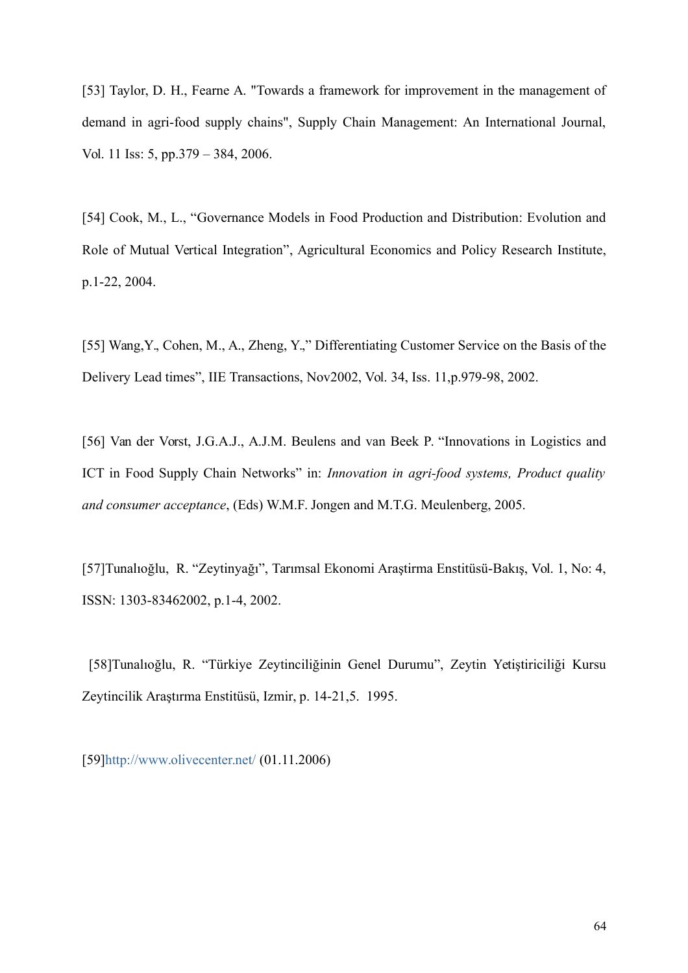[53] Taylor, D. H., Fearne A. "Towards a framework for improvement in the management of demand in agri-food supply chains", Supply Chain Management: An International Journal, Vol. 11 Iss: 5, pp.379 – 384, 2006.

[54] Cook, M., L., "Governance Models in Food Production and Distribution: Evolution and Role of Mutual Vertical Integration", Agricultural Economics and Policy Research Institute, p.1-22, 2004.

[55] Wang,Y., Cohen, M., A., Zheng, Y.," Differentiating Customer Service on the Basis of the Delivery Lead times", IIE Transactions, Nov2002, Vol. 34, Iss. 11,p.979-98, 2002.

[56] Van der Vorst, J.G.A.J., A.J.M. Beulens and van Beek P. "Innovations in Logistics and ICT in Food Supply Chain Networks" in: *Innovation in agri-food systems, Product quality and consumer acceptance*, (Eds) W.M.F. Jongen and M.T.G. Meulenberg, 2005.

[57]Tunalıoğlu, R. "Zeytinyağı", Tarımsal Ekonomi Araştirma Enstitüsü-Bakış, Vol. 1, No: 4, ISSN: 1303-83462002, p.1-4, 2002.

 [58]Tunalıoğlu, R. "Türkiye Zeytinciliğinin Genel Durumu", Zeytin Yetiştiriciliği Kursu Zeytincilik Araştırma Enstitüsü, Izmir, p. 14-21,5. 1995.

[59[\]http://www.olivecenter.net/](http://www.olivecenter.net/) (01.11.2006)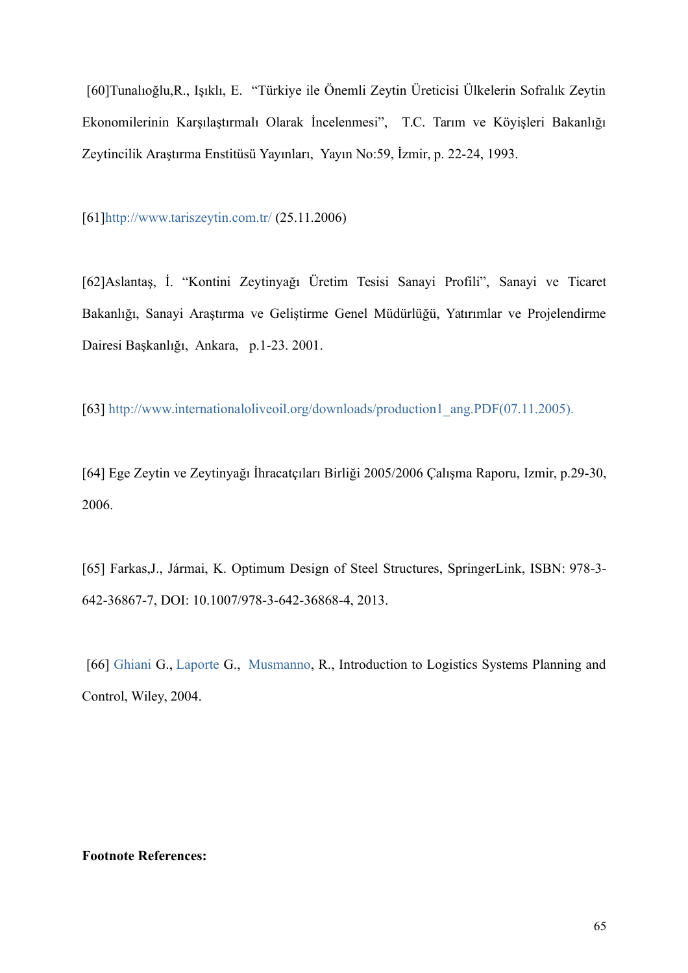[60]Tunalıoğlu,R., Işıklı, E. "Türkiye ile Önemli Zeytin Üreticisi Ülkelerin Sofralık Zeytin Ekonomilerinin Karşılaştırmalı Olarak İncelenmesi", T.C. Tarım ve Köyişleri Bakanlığı Zeytincilik Araştırma Enstitüsü Yayınları, Yayın No:59, İzmir, p. 22-24, 1993.

[61[\]http://www.tariszeytin.com.tr/](http://www.tariszeytin.com.tr/) (25.11.2006)

[62]Aslantaş, İ. "Kontini Zeytinyağı Üretim Tesisi Sanayi Profili", Sanayi ve Ticaret Bakanlığı, Sanayi Araştırma ve Geliştirme Genel Müdürlüğü, Yatırımlar ve Projelendirme Dairesi Başkanlığı, Ankara, p.1-23. 2001.

[63] [http://www.internationaloliveoil.org/downloads/production1\\_ang.PDF\(07.11.2005\).](http://www.internationaloliveoil.org/downloads/production1_ang.PDF(07.11.2005).196)

[64] Ege Zeytin ve Zeytinyağı İhracatçıları Birliği 2005/2006 Çalışma Raporu, Izmir, p.29-30, 2006.

[65] Farkas,J., Jármai, K. Optimum Design of Steel Structures, SpringerLink, ISBN: 978-3- 642-36867-7, DOI: 10.1007/978-3-642-36868-4, 2013.

 [66] [Ghiani](http://www.google.com.tr/search?tbo=p&tbm=bks&q=inauthor:%22Gianpaolo+Ghiani%22) G., [Laporte](http://www.google.com.tr/search?tbo=p&tbm=bks&q=inauthor:%22Gilbert+Laporte%22) G., [Musmanno,](http://www.google.com.tr/search?tbo=p&tbm=bks&q=inauthor:%22Roberto+Musmanno%22) R., Introduction to Logistics Systems Planning and Control, Wiley, 2004.

#### **Footnote References:**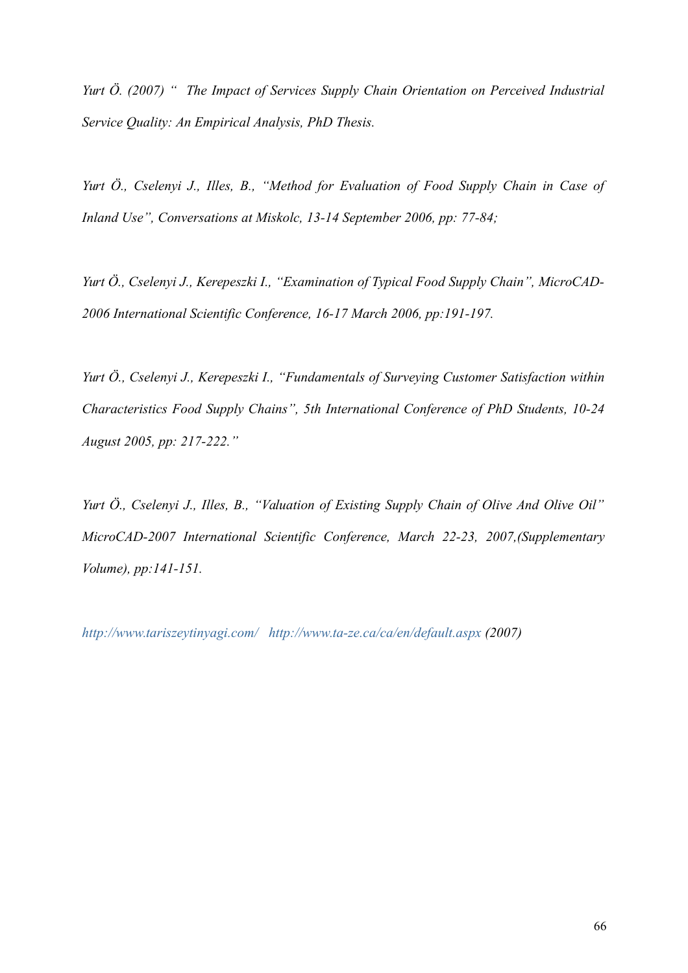*Yurt Ö. (2007) " The Impact of Services Supply Chain Orientation on Perceived Industrial Service Quality: An Empirical Analysis, PhD Thesis.* 

*Yurt Ö., Cselenyi J., Illes, B., "Method for Evaluation of Food Supply Chain in Case of Inland Use", Conversations at Miskolc, 13-14 September 2006, pp: 77-84;* 

*Yurt Ö., Cselenyi J., Kerepeszki I., "Examination of Typical Food Supply Chain", MicroCAD-2006 International Scientific Conference, 16-17 March 2006, pp:191-197.* 

*Yurt Ö., Cselenyi J., Kerepeszki I., "Fundamentals of Surveying Customer Satisfaction within Characteristics Food Supply Chains", 5th International Conference of PhD Students, 10-24 August 2005, pp: 217-222."*

*Yurt Ö., Cselenyi J., Illes, B., "Valuation of Existing Supply Chain of Olive And Olive Oil" MicroCAD-2007 International Scientific Conference, March 22-23, 2007,(Supplementary Volume), pp:141-151.*

*<http://www.tariszeytinyagi.com/><http://www.ta-ze.ca/ca/en/default.aspx>(2007)*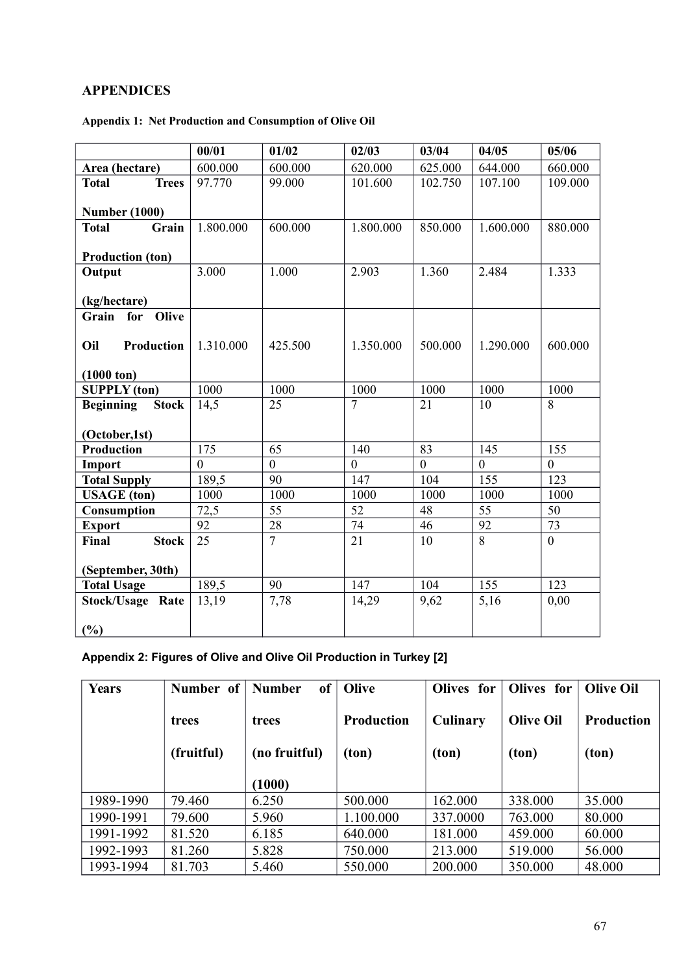# **APPENDICES**

# **Appendix 1: Net Production and Consumption of Olive Oil**

|                                  | 00/01     | 01/02          | 02/03                  | 03/04    | 04/05     | 05/06          |
|----------------------------------|-----------|----------------|------------------------|----------|-----------|----------------|
| Area (hectare)                   | 600.000   | 600.000        | 620.000                | 625.000  | 644.000   | 660.000        |
| <b>Total</b><br><b>Trees</b>     | 97.770    | 99.000         | 101.600                | 102.750  | 107.100   | 109.000        |
|                                  |           |                |                        |          |           |                |
| <b>Number (1000)</b>             |           |                |                        |          |           |                |
| <b>Total</b><br>Grain            | 1.800.000 | 600.000        | 1.800.000              | 850.000  | 1.600.000 | 880.000        |
|                                  |           |                |                        |          |           |                |
| <b>Production (ton)</b>          |           |                |                        |          |           |                |
| Output                           | 3.000     | 1.000          | 2.903                  | 1.360    | 2.484     | 1.333          |
|                                  |           |                |                        |          |           |                |
| (kg/hectare)                     |           |                |                        |          |           |                |
| Grain<br>for<br>Olive            |           |                |                        |          |           |                |
|                                  |           |                |                        |          |           |                |
| Oil<br><b>Production</b>         | 1.310.000 | 425.500        | 1.350.000              | 500.000  | 1.290.000 | 600.000        |
|                                  |           |                |                        |          |           |                |
| $(1000 \text{ ton})$             | 1000      |                |                        |          | 1000      |                |
| <b>SUPPLY</b> (ton)              |           | 1000           | 1000<br>$\overline{7}$ | 1000     |           | 1000           |
| <b>Beginning</b><br><b>Stock</b> | 14,5      | 25             |                        | 21       | 10        | 8              |
| (October,1st)                    |           |                |                        |          |           |                |
| <b>Production</b>                | 175       | 65             | 140                    | 83       | 145       | 155            |
| Import                           | $\theta$  | $\overline{0}$ | $\theta$               | $\theta$ | $\theta$  | $\theta$       |
| <b>Total Supply</b>              | 189,5     | 90             | 147                    | 104      | 155       | 123            |
| <b>USAGE</b> (ton)               | 1000      | 1000           | 1000                   | 1000     | 1000      | 1000           |
| Consumption                      | 72,5      | 55             | 52                     | 48       | 55        | 50             |
| <b>Export</b>                    | 92        | 28             | 74                     | 46       | 92        | 73             |
| Final<br><b>Stock</b>            | 25        | $\overline{7}$ | 21                     | 10       | 8         | $\overline{0}$ |
|                                  |           |                |                        |          |           |                |
| (September, 30th)                |           |                |                        |          |           |                |
| <b>Total Usage</b>               | 189,5     | 90             | 147                    | 104      | 155       | 123            |
| <b>Stock/Usage Rate</b>          | 13,19     | 7,78           | 14,29                  | 9,62     | 5,16      | 0,00           |
|                                  |           |                |                        |          |           |                |
| (%)                              |           |                |                        |          |           |                |

# **Appendix 2: Figures of Olive and Olive Oil Production in Turkey [2]**

| <b>Years</b> | Number of  | of<br><b>Number</b> | Olive             | Olives for      | Olives for       | <b>Olive Oil</b>  |
|--------------|------------|---------------------|-------------------|-----------------|------------------|-------------------|
|              | trees      | trees               | <b>Production</b> | <b>Culinary</b> | <b>Olive Oil</b> | <b>Production</b> |
|              | (fruitful) | (no fruitful)       | (ton)             | (ton)           | (ton)            | (ton)             |
|              |            | (1000)              |                   |                 |                  |                   |
| 1989-1990    | 79.460     | 6.250               | 500.000           | 162.000         | 338,000          | 35.000            |
| 1990-1991    | 79.600     | 5.960               | 1.100.000         | 337.0000        | 763.000          | 80.000            |
| 1991-1992    | 81.520     | 6.185               | 640.000           | 181.000         | 459.000          | 60.000            |
| 1992-1993    | 81.260     | 5.828               | 750.000           | 213.000         | 519.000          | 56.000            |
| 1993-1994    | 81.703     | 5.460               | 550.000           | 200.000         | 350.000          | 48.000            |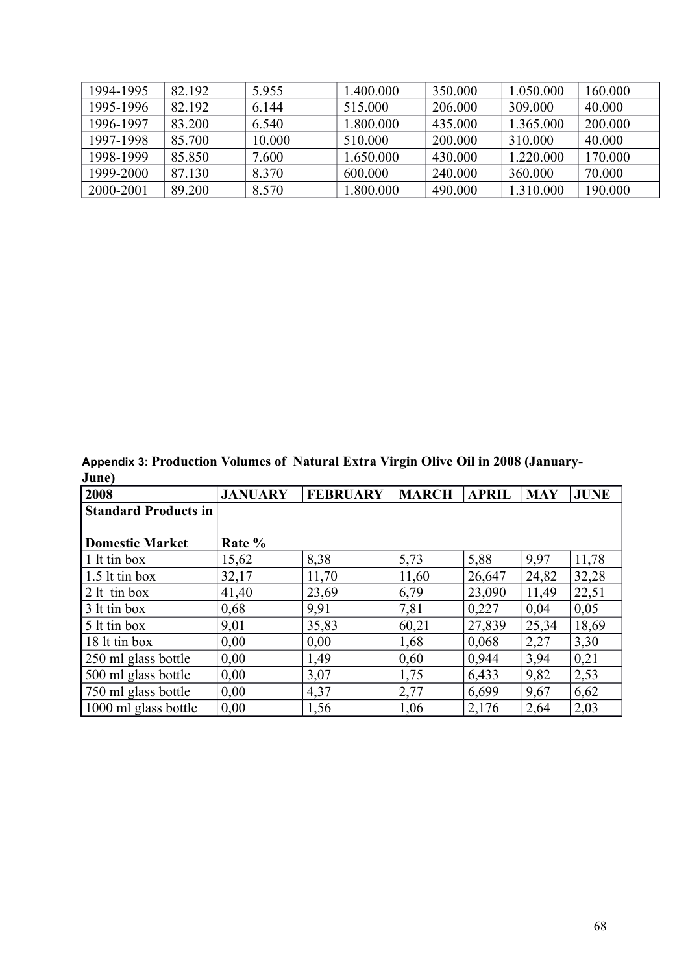| 1994-1995 | 82.192 | 5.955  | .400.000  | 350.000 | 1.050.000 | 160.000 |
|-----------|--------|--------|-----------|---------|-----------|---------|
| 1995-1996 | 82.192 | 6.144  | 515.000   | 206.000 | 309.000   | 40.000  |
| 1996-1997 | 83.200 | 6.540  | 1.800.000 | 435.000 | 1.365.000 | 200.000 |
| 1997-1998 | 85.700 | 10.000 | 510.000   | 200.000 | 310.000   | 40.000  |
| 1998-1999 | 85.850 | 7.600  | 1.650.000 | 430.000 | 1.220.000 | 170.000 |
| 1999-2000 | 87.130 | 8.370  | 600.000   | 240,000 | 360,000   | 70.000  |
| 2000-2001 | 89.200 | 8.570  | .800.000  | 490.000 | 1.310.000 | 190.000 |

**Appendix 3: Production Volumes of Natural Extra Virgin Olive Oil in 2008 (January-June)**

| 2008                        | <b>JANUARY</b> | <b>FEBRUARY</b> | <b>MARCH</b> | <b>APRIL</b> | <b>MAY</b> | <b>JUNE</b> |
|-----------------------------|----------------|-----------------|--------------|--------------|------------|-------------|
| <b>Standard Products in</b> |                |                 |              |              |            |             |
|                             |                |                 |              |              |            |             |
| Domestic Market             | Rate %         |                 |              |              |            |             |
| $\vert$ 1 lt tin box        | 15,62          | 8,38            | 5,73         | 5,88         | 9,97       | 11,78       |
| $\vert$ 1.5 lt tin box      | 32,17          | 11,70           | 11,60        | 26,647       | 24,82      | 32,28       |
| $ 2$ lt tin box             | 41,40          | 23,69           | 6,79         | 23,090       | 11,49      | 22,51       |
| 3 lt tin box                | 0,68           | 9,91            | 7,81         | 0,227        | 0,04       | 0,05        |
| $\frac{1}{2}$ 1t tin box    | 9,01           | 35,83           | 60,21        | 27,839       | 25,34      | 18,69       |
| 18 lt tin box               | 0,00           | 0,00            | 1,68         | 0,068        | 2,27       | 3,30        |
| 250 ml glass bottle         | 0,00           | 1,49            | 0,60         | 0.944        | 3,94       | 0,21        |
| 500 ml glass bottle         | 0,00           | 3,07            | 1,75         | 6,433        | 9,82       | 2,53        |
| 750 ml glass bottle         | 0,00           | 4,37            | 2,77         | 6,699        | 9,67       | 6,62        |
| 1000 ml glass bottle        | 0,00           | 1,56            | 1,06         | 2,176        | 2,64       | 2,03        |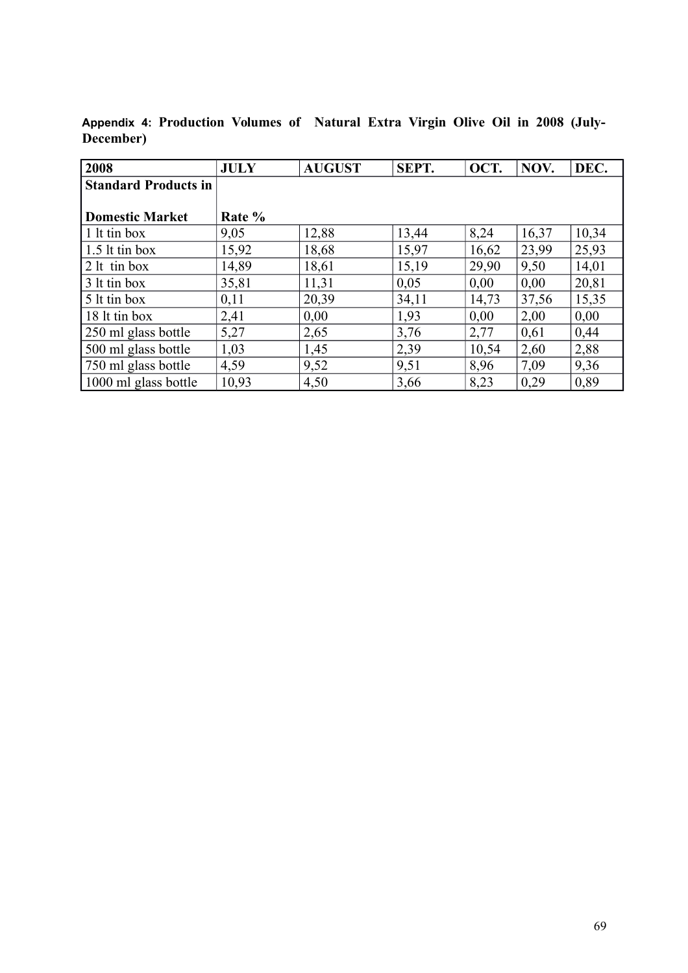| 2008                        | <b>JULY</b> | <b>AUGUST</b> | SEPT. | OCT.  | NOV.  | DEC.  |
|-----------------------------|-------------|---------------|-------|-------|-------|-------|
| <b>Standard Products in</b> |             |               |       |       |       |       |
|                             |             |               |       |       |       |       |
| <b>Domestic Market</b>      | Rate %      |               |       |       |       |       |
| 1 lt tin box                | 9,05        | 12,88         | 13,44 | 8,24  | 16,37 | 10,34 |
| $\vert$ 1.5 lt tin box      | 15,92       | 18,68         | 15,97 | 16,62 | 23,99 | 25,93 |
| $2$ lt tin box              | 14,89       | 18,61         | 15,19 | 29,90 | 9,50  | 14,01 |
| 3 lt tin box                | 35,81       | 11,31         | 0,05  | 0,00  | 0,00  | 20,81 |
| 5 lt tin box                | 0,11        | 20,39         | 34,11 | 14,73 | 37,56 | 15,35 |
| 18 lt tin box               | 2,41        | 0,00          | 1,93  | 0,00  | 2,00  | 0,00  |
| 250 ml glass bottle         | 5,27        | 2,65          | 3,76  | 2,77  | 0,61  | 0,44  |
| 500 ml glass bottle         | 1,03        | 1,45          | 2,39  | 10,54 | 2,60  | 2,88  |
| 750 ml glass bottle         | 4,59        | 9,52          | 9,51  | 8,96  | 7,09  | 9,36  |
| 1000 ml glass bottle        | 10,93       | 4,50          | 3,66  | 8,23  | 0,29  | 0,89  |

**Appendix 4: Production Volumes of Natural Extra Virgin Olive Oil in 2008 (July-December)**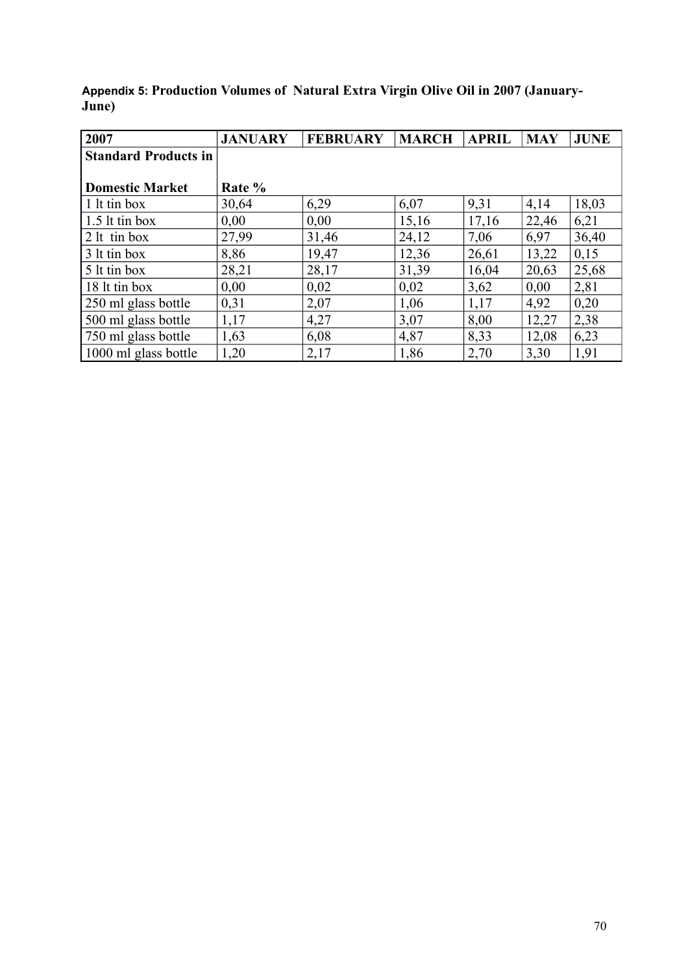**Appendix 5: Production Volumes of Natural Extra Virgin Olive Oil in 2007 (January-June)**

| 2007                        | <b>JANUARY</b> | <b>FEBRUARY</b> | <b>MARCH</b> | <b>APRIL</b> | <b>MAY</b> | <b>JUNE</b> |
|-----------------------------|----------------|-----------------|--------------|--------------|------------|-------------|
| <b>Standard Products in</b> |                |                 |              |              |            |             |
|                             |                |                 |              |              |            |             |
| <b>Domestic Market</b>      | Rate %         |                 |              |              |            |             |
| 1 lt tin box                | 30,64          | 6,29            | 6,07         | 9,31         | 4,14       | 18,03       |
| $1.5$ lt tin box            | 0,00           | 0,00            | 15,16        | 17,16        | 22,46      | 6,21        |
| $2$ lt tin box              | 27,99          | 31,46           | 24,12        | 7,06         | 6,97       | 36,40       |
| 3 lt tin box                | 8,86           | 19,47           | 12,36        | 26,61        | 13,22      | 0,15        |
| 5 lt tin box                | 28,21          | 28,17           | 31,39        | 16,04        | 20,63      | 25,68       |
| 18 lt tin box               | 0,00           | 0,02            | 0,02         | 3,62         | 0,00       | 2,81        |
| 250 ml glass bottle         | 0,31           | 2,07            | 1,06         | 1,17         | 4,92       | 0,20        |
| 500 ml glass bottle         | 1,17           | 4,27            | 3,07         | 8,00         | 12,27      | 2,38        |
| 750 ml glass bottle         | 1,63           | 6,08            | 4,87         | 8,33         | 12,08      | 6,23        |
| 1000 ml glass bottle        | 1,20           | 2,17            | 1,86         | 2,70         | 3,30       | 1,91        |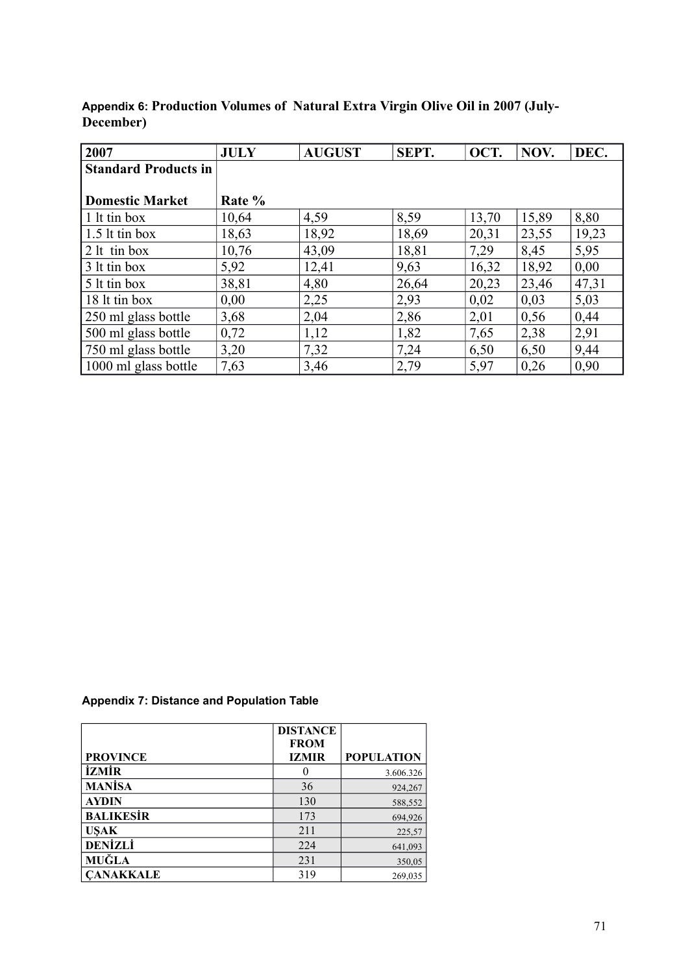| 2007                                      | <b>JULY</b> | <b>AUGUST</b> | SEPT. | OCT.  | NOV.  | DEC.  |
|-------------------------------------------|-------------|---------------|-------|-------|-------|-------|
| <b>Standard Products in</b>               |             |               |       |       |       |       |
|                                           |             |               |       |       |       |       |
| <b>Domestic Market</b>                    | Rate %      |               |       |       |       |       |
| 1 It tin box                              | 10,64       | 4,59          | 8,59  | 13,70 | 15,89 | 8,80  |
| $\frac{1.5 \text{lt}}{20}$ 1.5 lt tin box | 18,63       | 18,92         | 18,69 | 20,31 | 23,55 | 19,23 |
| $2$ lt tin box                            | 10,76       | 43,09         | 18,81 | 7,29  | 8,45  | 5,95  |
| 3 lt tin box                              | 5,92        | 12,41         | 9,63  | 16,32 | 18,92 | 0.00  |
| 5 lt tin box                              | 38,81       | 4,80          | 26,64 | 20,23 | 23,46 | 47,31 |
| 18 lt tin box                             | 0,00        | 2,25          | 2,93  | 0,02  | 0,03  | 5,03  |
| 250 ml glass bottle                       | 3,68        | 2,04          | 2,86  | 2,01  | 0,56  | 0,44  |
| 500 ml glass bottle                       | 0,72        | 1,12          | 1,82  | 7,65  | 2,38  | 2,91  |
| 750 ml glass bottle                       | 3,20        | 7,32          | 7,24  | 6,50  | 6,50  | 9,44  |
| 1000 ml glass bottle                      | 7,63        | 3,46          | 2,79  | 5,97  | 0,26  | 0,90  |

**Appendix 6: Production Volumes of Natural Extra Virgin Olive Oil in 2007 (July-December)**

#### **Appendix 7: Distance and Population Table**

|                  | <b>DISTANCE</b> |                   |
|------------------|-----------------|-------------------|
|                  | <b>FROM</b>     |                   |
| <b>PROVINCE</b>  | <b>IZMIR</b>    | <b>POPULATION</b> |
| <b>İZMİR</b>     |                 | 3.606.326         |
| <b>MANISA</b>    | 36              | 924,267           |
| <b>AYDIN</b>     | 130             | 588,552           |
| <b>BALIKESIR</b> | 173             | 694,926           |
| <b>USAK</b>      | 211             | 225,57            |
| <b>DENİZLİ</b>   | 224             | 641,093           |
| MUĞLA            | 231             | 350,05            |
| <b>CANAKKALE</b> | 319             | 269,035           |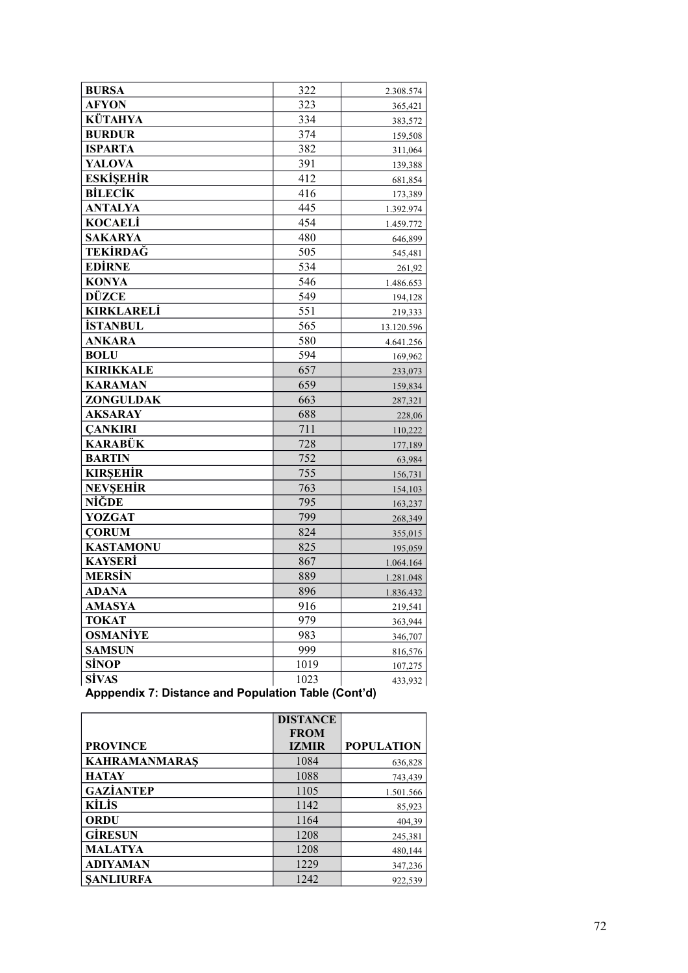| <b>BURSA</b>      | 322  | 2.308.574  |
|-------------------|------|------------|
| <b>AFYON</b>      | 323  | 365,421    |
| KÜTAHYA           | 334  | 383,572    |
| <b>BURDUR</b>     | 374  | 159,508    |
| <b>ISPARTA</b>    | 382  | 311,064    |
| <b>YALOVA</b>     | 391  | 139,388    |
| <b>ESKİŞEHİR</b>  | 412  | 681,854    |
| <b>BİLECİK</b>    | 416  | 173,389    |
| <b>ANTALYA</b>    | 445  | 1.392.974  |
| <b>KOCAELI</b>    | 454  | 1.459.772  |
| <b>SAKARYA</b>    | 480  | 646,899    |
| TEKİRDAĞ          | 505  | 545,481    |
| <b>EDIRNE</b>     | 534  | 261,92     |
| <b>KONYA</b>      | 546  | 1.486.653  |
| DÜZCE             | 549  | 194,128    |
| <b>KIRKLARELİ</b> | 551  | 219,333    |
| <b>İSTANBUL</b>   | 565  | 13.120.596 |
| <b>ANKARA</b>     | 580  | 4.641.256  |
| <b>BOLU</b>       | 594  | 169,962    |
| <b>KIRIKKALE</b>  | 657  | 233,073    |
| <b>KARAMAN</b>    | 659  | 159,834    |
| <b>ZONGULDAK</b>  | 663  | 287,321    |
| <b>AKSARAY</b>    | 688  | 228,06     |
| <b>CANKIRI</b>    | 711  | 110,222    |
| <b>KARABÜK</b>    | 728  | 177,189    |
| <b>BARTIN</b>     | 752  | 63,984     |
| <b>KIRSEHIR</b>   | 755  | 156,731    |
| NEVŞEHİR          | 763  | 154,103    |
| NİĞDE             | 795  | 163,237    |
| <b>YOZGAT</b>     | 799  | 268,349    |
| <b>CORUM</b>      | 824  | 355,015    |
| <b>KASTAMONU</b>  | 825  | 195,059    |
| <b>KAYSERİ</b>    | 867  | 1.064.164  |
| MERSİN            | 889  | 1.281.048  |
| <b>ADANA</b>      | 896  | 1.836.432  |
| <b>AMASYA</b>     | 916  | 219,541    |
| <b>TOKAT</b>      | 979  | 363,944    |
| <b>OSMANİYE</b>   | 983  | 346,707    |
| <b>SAMSUN</b>     | 999  | 816,576    |
| SİNOP             | 1019 | 107,275    |
| <b>SİVAS</b>      | 1023 | 433,932    |

**Apppendix 7: Distance and Population Table (Cont'd)**

|                      | <b>DISTANCE</b> |                   |
|----------------------|-----------------|-------------------|
|                      | <b>FROM</b>     |                   |
| <b>PROVINCE</b>      | <b>IZMIR</b>    | <b>POPULATION</b> |
| <b>KAHRAMANMARAS</b> | 1084            | 636,828           |
| <b>HATAY</b>         | 1088            | 743.439           |
| <b>GAZIANTEP</b>     | 1105            | 1.501.566         |
| <b>KİLİS</b>         | 1142            | 85,923            |
| <b>ORDU</b>          | 1164            | 404,39            |
| <b>GIRESUN</b>       | 1208            | 245,381           |
| <b>MALATYA</b>       | 1208            | 480,144           |
| <b>ADIYAMAN</b>      | 1229            | 347,236           |
| <b>SANLIURFA</b>     | 1242            | 922,539           |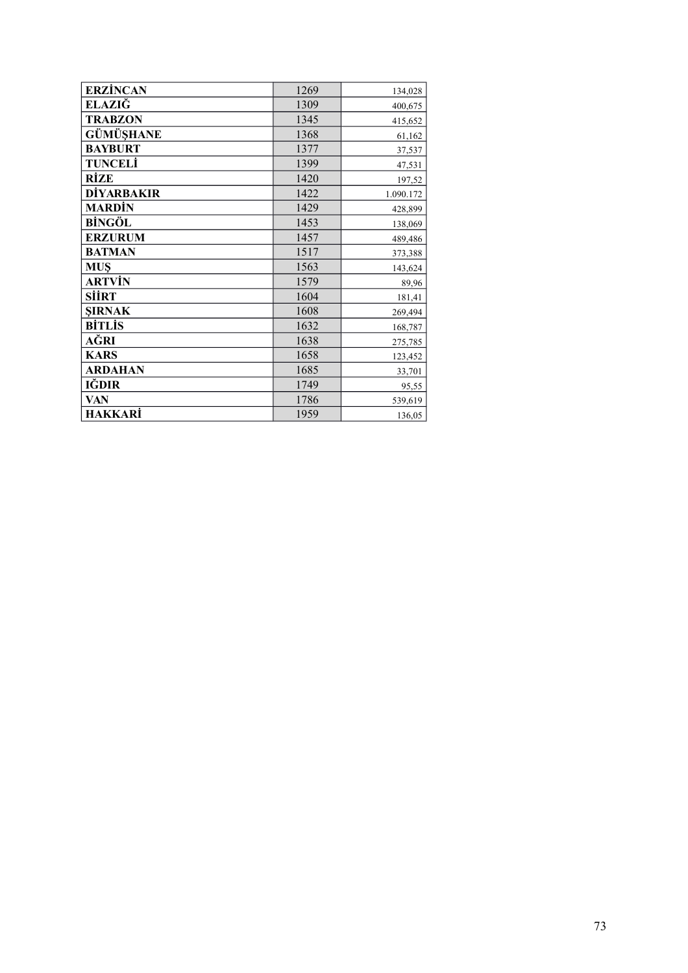| <b>ERZİNCAN</b> | 1269 | 134,028   |
|-----------------|------|-----------|
| ELAZIĞ          | 1309 | 400,675   |
| <b>TRABZON</b>  | 1345 | 415,652   |
| GÜMÜŞHANE       | 1368 | 61,162    |
| <b>BAYBURT</b>  | 1377 | 37,537    |
| TUNCELİ         | 1399 | 47,531    |
| RÍZE            | 1420 | 197,52    |
| DİYARBAKIR      | 1422 | 1.090.172 |
| <b>MARDİN</b>   | 1429 | 428,899   |
| <b>BİNGÖL</b>   | 1453 | 138,069   |
| <b>ERZURUM</b>  | 1457 | 489,486   |
| <b>BATMAN</b>   | 1517 | 373,388   |
| <b>MUŞ</b>      | 1563 | 143,624   |
| ARTVİN          | 1579 | 89,96     |
| SİİRT           | 1604 | 181,41    |
| <b>ŞIRNAK</b>   | 1608 | 269,494   |
| <b>BİTLİS</b>   | 1632 | 168,787   |
| AĞRI            | 1638 | 275,785   |
| <b>KARS</b>     | 1658 | 123,452   |
| <b>ARDAHAN</b>  | 1685 | 33,701    |
| IĞDIR           | 1749 | 95,55     |
| <b>VAN</b>      | 1786 | 539,619   |
| <b>HAKKARİ</b>  | 1959 | 136,05    |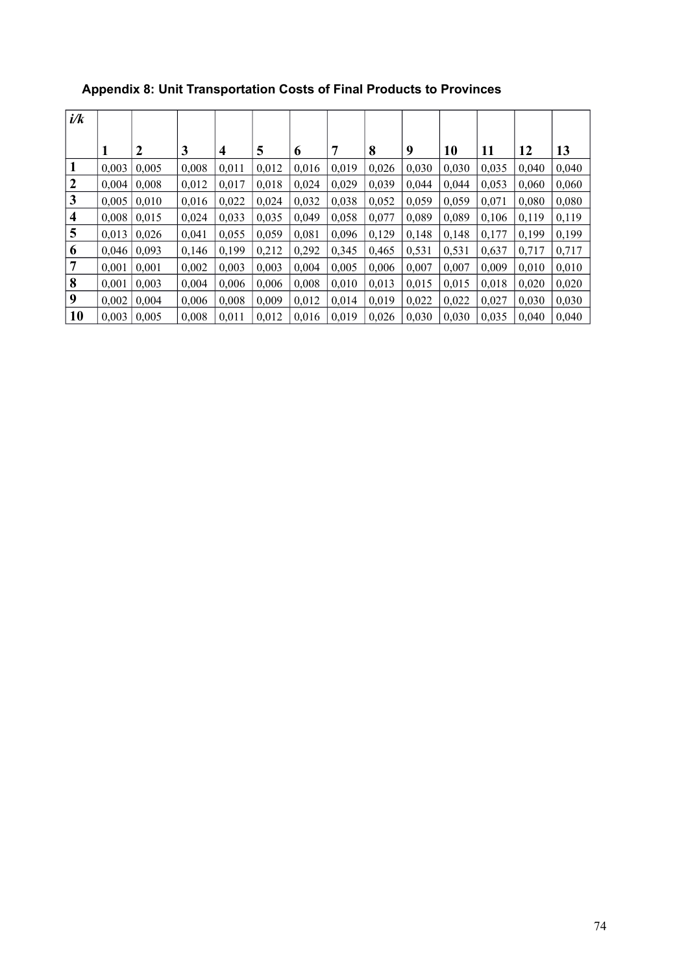| i/k |       |                  |       |       |       |       |       |       |       |       |       |       |       |
|-----|-------|------------------|-------|-------|-------|-------|-------|-------|-------|-------|-------|-------|-------|
|     |       | $\boldsymbol{2}$ | 3     | 4     | 5     | 6     | 7     | 8     | 9     | 10    | 11    | 12    | 13    |
|     | 0,003 | 0,005            | 0,008 | 0,011 | 0,012 | 0,016 | 0,019 | 0,026 | 0,030 | 0,030 | 0,035 | 0,040 | 0,040 |
| 2   | 0.004 | 0.008            | 0,012 | 0.017 | 0,018 | 0,024 | 0,029 | 0,039 | 0.044 | 0.044 | 0,053 | 0.060 | 0,060 |
| 3   | 0.005 | 0.010            | 0,016 | 0,022 | 0,024 | 0,032 | 0,038 | 0,052 | 0,059 | 0,059 | 0,071 | 0,080 | 0,080 |
| 4   | 0,008 | 0.015            | 0,024 | 0,033 | 0,035 | 0,049 | 0,058 | 0,077 | 0,089 | 0,089 | 0,106 | 0,119 | 0,119 |
| 5   | 0,013 | 0,026            | 0,041 | 0,055 | 0,059 | 0,081 | 0,096 | 0,129 | 0,148 | 0,148 | 0,177 | 0.199 | 0,199 |
| 6   | 0,046 | 0.093            | 0,146 | 0,199 | 0,212 | 0,292 | 0,345 | 0,465 | 0,531 | 0,531 | 0,637 | 0,717 | 0,717 |
| 7   | 0,001 | 0,001            | 0,002 | 0,003 | 0,003 | 0,004 | 0,005 | 0,006 | 0,007 | 0,007 | 0,009 | 0,010 | 0,010 |
| 8   | 0,001 | 0,003            | 0,004 | 0,006 | 0,006 | 0,008 | 0,010 | 0,013 | 0.015 | 0,015 | 0,018 | 0,020 | 0,020 |
| 9   | 0,002 | 0,004            | 0,006 | 0,008 | 0,009 | 0,012 | 0,014 | 0,019 | 0,022 | 0,022 | 0,027 | 0,030 | 0,030 |
| 10  | 0,003 | 0,005            | 0,008 | 0,011 | 0,012 | 0,016 | 0,019 | 0,026 | 0,030 | 0,030 | 0,035 | 0.040 | 0,040 |

# **Appendix 8: Unit Transportation Costs of Final Products to Provinces**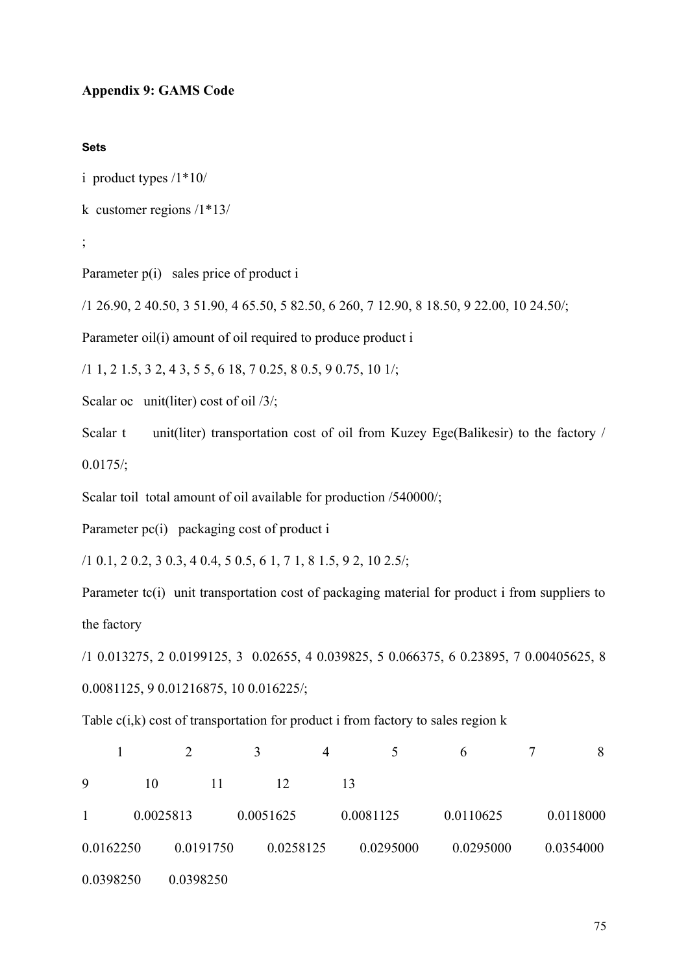#### **Appendix 9: GAMS Code**

#### **Sets**

```
i product types /1*10/
```

```
k customer regions /1*13/
```

```
;
```
Parameter  $p(i)$  sales price of product i

/1 26.90, 2 40.50, 3 51.90, 4 65.50, 5 82.50, 6 260, 7 12.90, 8 18.50, 9 22.00, 10 24.50/;

Parameter oil(i) amount of oil required to produce product i

/1 1, 2 1.5, 3 2, 4 3, 5 5, 6 18, 7 0.25, 8 0.5, 9 0.75, 10 1/;

Scalar oc unit(liter) cost of oil /3/;

Scalar t unit(liter) transportation cost of oil from Kuzey Ege(Balikesir) to the factory /  $0.0175/$ ;

Scalar toil total amount of oil available for production /540000/;

Parameter pc(i) packaging cost of product i

/1 0.1, 2 0.2, 3 0.3, 4 0.4, 5 0.5, 6 1, 7 1, 8 1.5, 9 2, 10 2.5/;

Parameter tc(i) unit transportation cost of packaging material for product i from suppliers to the factory

/1 0.013275, 2 0.0199125, 3 0.02655, 4 0.039825, 5 0.066375, 6 0.23895, 7 0.00405625, 8 0.0081125, 9 0.01216875, 10 0.016225/;

Table  $c(i,k)$  cost of transportation for product i from factory to sales region  $k$ 

|              |           |           |           | 4         |           | 6         | 8         |
|--------------|-----------|-----------|-----------|-----------|-----------|-----------|-----------|
| 9            | 10        | 11        | 12        | 13        |           |           |           |
| $\mathbf{1}$ | 0.0025813 |           | 0.0051625 | 0.0081125 |           | 0.0110625 | 0.0118000 |
| 0.0162250    |           | 0.0191750 | 0.0258125 |           | 0.0295000 | 0.0295000 | 0.0354000 |
| 0.0398250    |           | 0.0398250 |           |           |           |           |           |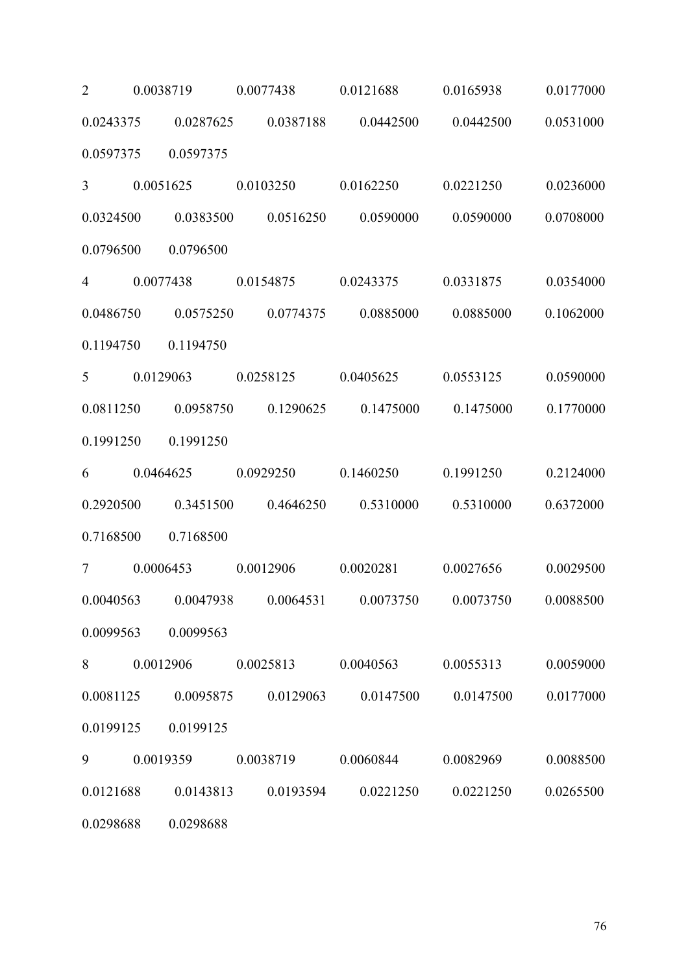2 0.0038719 0.0077438 0.0121688 0.0165938 0.0177000 0.0243375 0.0287625 0.0387188 0.0442500 0.0442500 0.0531000 0.0597375 0.0597375 3 0.0051625 0.0103250 0.0162250 0.0221250 0.0236000 0.0324500 0.0383500 0.0516250 0.0590000 0.0590000 0.0708000 0.0796500 0.0796500 4 0.0077438 0.0154875 0.0243375 0.0331875 0.0354000 0.0486750 0.0575250 0.0774375 0.0885000 0.0885000 0.1062000 0.1194750 0.1194750 5 0.0129063 0.0258125 0.0405625 0.0553125 0.0590000 0.0811250 0.0958750 0.1290625 0.1475000 0.1475000 0.1770000 0.1991250 0.1991250 6 0.0464625 0.0929250 0.1460250 0.1991250 0.2124000 0.2920500 0.3451500 0.4646250 0.5310000 0.5310000 0.6372000 0.7168500 0.7168500 7 0.0006453 0.0012906 0.0020281 0.0027656 0.0029500 0.0040563 0.0047938 0.0064531 0.0073750 0.0073750 0.0088500 0.0099563 0.0099563 8 0.0012906 0.0025813 0.0040563 0.0055313 0.0059000 0.0081125 0.0095875 0.0129063 0.0147500 0.0147500 0.0177000 0.0199125 0.0199125 9 0.0019359 0.0038719 0.0060844 0.0082969 0.0088500 0.0121688 0.0143813 0.0193594 0.0221250 0.0221250 0.0265500 0.0298688 0.0298688

76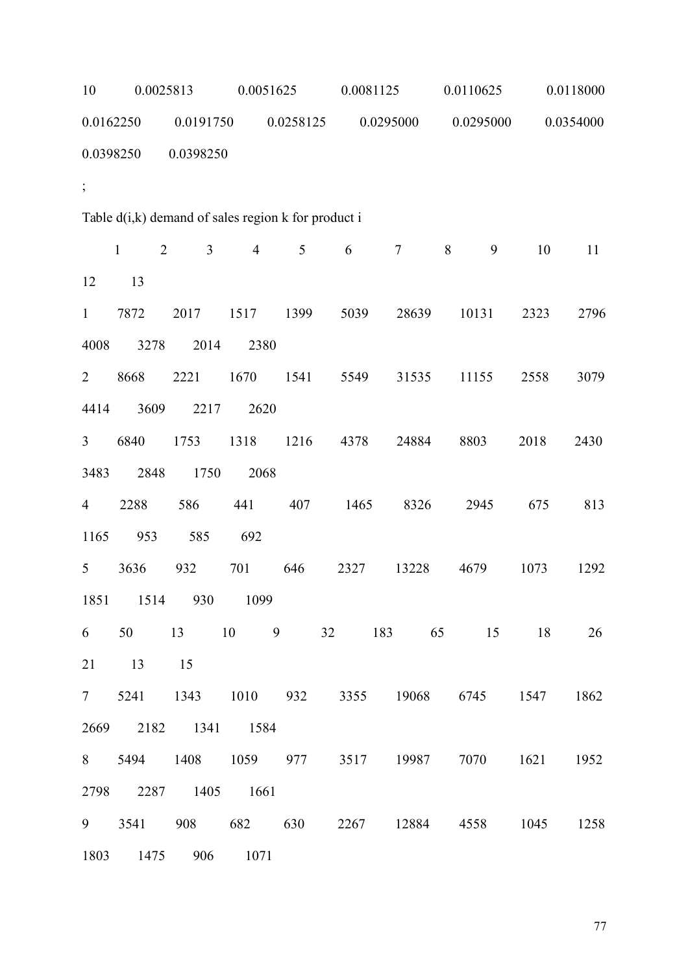| 10             | 0.0025813                      |                                                         |                | 0.0051625 |           | 0.0081125 |                                                | 0.0118000 |           |
|----------------|--------------------------------|---------------------------------------------------------|----------------|-----------|-----------|-----------|------------------------------------------------|-----------|-----------|
| 0.0162250      |                                | 0.0191750                                               |                | 0.0258125 | 0.0295000 |           | 0.0295000                                      |           | 0.0354000 |
| 0.0398250      |                                | 0.0398250                                               |                |           |           |           |                                                |           |           |
| $\frac{1}{2}$  |                                |                                                         |                |           |           |           |                                                |           |           |
|                |                                | Table $d(i,k)$ demand of sales region $k$ for product i |                |           |           |           |                                                |           |           |
|                | $\mathbf{1}$<br>$\overline{2}$ | $\mathfrak{Z}$                                          | $\overline{4}$ | 5         | 6         | $\tau$    | 8<br>9                                         | 10        | 11        |
| 12             | 13                             |                                                         |                |           |           |           |                                                |           |           |
| $\mathbf{1}$   | 7872                           | 2017                                                    | 1517           | 1399      | 5039      | 28639     | 10131                                          | 2323      | 2796      |
| 4008           | 3278                           | 2014                                                    | 2380           |           |           |           |                                                |           |           |
| $\overline{2}$ | 8668                           | 2221                                                    | 1670           | 1541      | 5549      | 31535     | 11155                                          | 2558      | 3079      |
| 4414           | 3609                           | 2217                                                    | 2620           |           |           |           |                                                |           |           |
| 3              | 6840                           | 1753                                                    | 1318           | 1216      | 4378      | 24884     | 8803                                           | 2018      | 2430      |
| 3483           | 2848                           | 1750                                                    | 2068           |           |           |           |                                                |           |           |
| $\overline{4}$ | 2288                           | 586                                                     | 441            | 407       | 1465      | 8326      | 2945                                           | 675       | 813       |
| 1165           | 953                            | 585                                                     | 692            |           |           |           |                                                |           |           |
| 5              | 3636                           | 932                                                     | 701            | 646       | 2327      | 13228     | 4679                                           | 1073      | 1292      |
|                |                                | 1851 1514 930 1099                                      |                |           |           |           |                                                |           |           |
|                |                                | 6 50 13 10 9                                            |                |           |           |           | 32 183 65 15 18                                |           | 26        |
| 21             | 13                             | 15                                                      |                |           |           |           |                                                |           |           |
|                |                                |                                                         |                |           |           |           | 7 5241 1343 1010 932 3355 19068 6745 1547 1862 |           |           |
|                |                                | 2669 2182 1341 1584                                     |                |           |           |           |                                                |           |           |
|                |                                |                                                         |                |           |           |           | 8 5494 1408 1059 977 3517 19987 7070 1621 1952 |           |           |
|                |                                | 2798 2287 1405 1661                                     |                |           |           |           |                                                |           |           |
|                |                                |                                                         |                |           |           |           | 9 3541 908 682 630 2267 12884 4558 1045 1258   |           |           |
|                |                                | 1803 1475 906 1071                                      |                |           |           |           |                                                |           |           |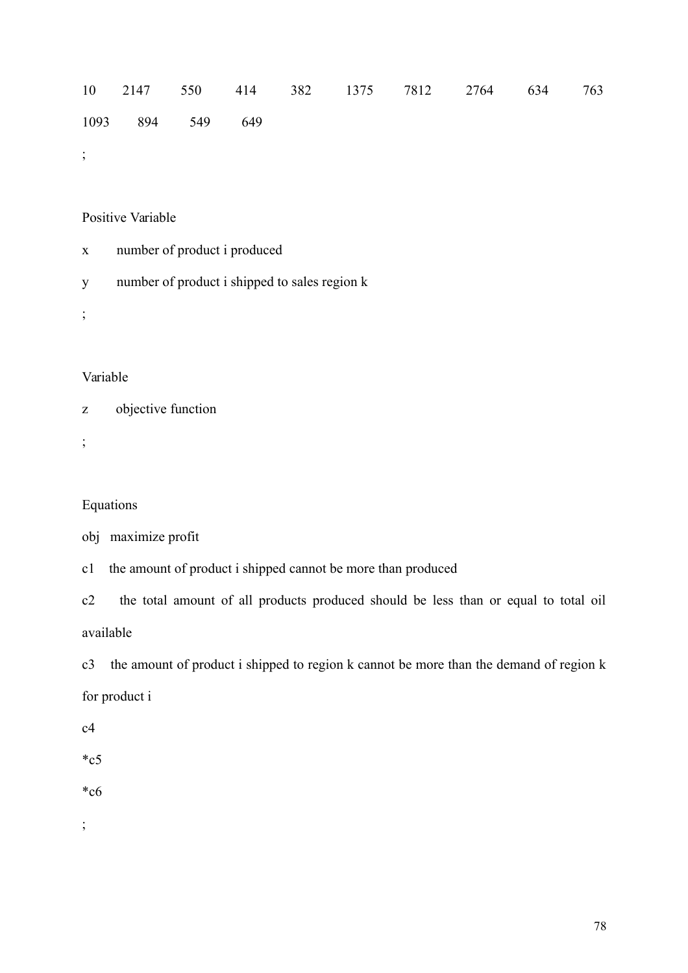10 2147 550 414 382 1375 7812 2764 634 763 1093 894 549 649

;

### Positive Variable

- x number of product i produced
- y number of product i shipped to sales region k

;

## Variable

z objective function

;

## Equations

```
obj maximize profit
```
c1 the amount of product i shipped cannot be more than produced

c2 the total amount of all products produced should be less than or equal to total oil available

c3 the amount of product i shipped to region k cannot be more than the demand of region k for product i

c4

 $\mathrm{^*c5}$ 

\*c6

;